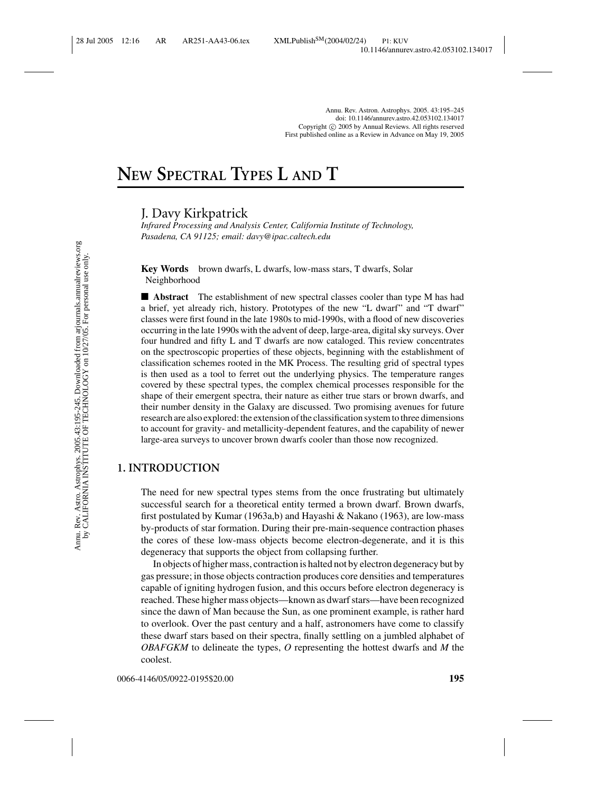# **NEW SPECTRAL TYPES L AND T**

J. Davy Kirkpatrick

*Infrared Processing and Analysis Center, California Institute of Technology, Pasadena, CA 91125; email: davy@ipac.caltech.edu*

**Key Words** brown dwarfs, L dwarfs, low-mass stars, T dwarfs, Solar Neighborhood

■ **Abstract** The establishment of new spectral classes cooler than type M has had a brief, yet already rich, history. Prototypes of the new "L dwarf" and "T dwarf" classes were first found in the late 1980s to mid-1990s, with a flood of new discoveries occurring in the late 1990s with the advent of deep, large-area, digital sky surveys. Over four hundred and fifty L and T dwarfs are now cataloged. This review concentrates on the spectroscopic properties of these objects, beginning with the establishment of classification schemes rooted in the MK Process. The resulting grid of spectral types is then used as a tool to ferret out the underlying physics. The temperature ranges covered by these spectral types, the complex chemical processes responsible for the shape of their emergent spectra, their nature as either true stars or brown dwarfs, and their number density in the Galaxy are discussed. Two promising avenues for future research are also explored: the extension of the classification system to three dimensions to account for gravity- and metallicity-dependent features, and the capability of newer large-area surveys to uncover brown dwarfs cooler than those now recognized.

# **1. INTRODUCTION**

The need for new spectral types stems from the once frustrating but ultimately successful search for a theoretical entity termed a brown dwarf. Brown dwarfs, first postulated by Kumar (1963a,b) and Hayashi & Nakano (1963), are low-mass by-products of star formation. During their pre-main-sequence contraction phases the cores of these low-mass objects become electron-degenerate, and it is this degeneracy that supports the object from collapsing further.

In objects of higher mass, contraction is halted not by electron degeneracy but by gas pressure; in those objects contraction produces core densities and temperatures capable of igniting hydrogen fusion, and this occurs before electron degeneracy is reached. These higher mass objects—known as dwarf stars—have been recognized since the dawn of Man because the Sun, as one prominent example, is rather hard to overlook. Over the past century and a half, astronomers have come to classify these dwarf stars based on their spectra, finally settling on a jumbled alphabet of *OBAFGKM* to delineate the types, *O* representing the hottest dwarfs and *M* the coolest.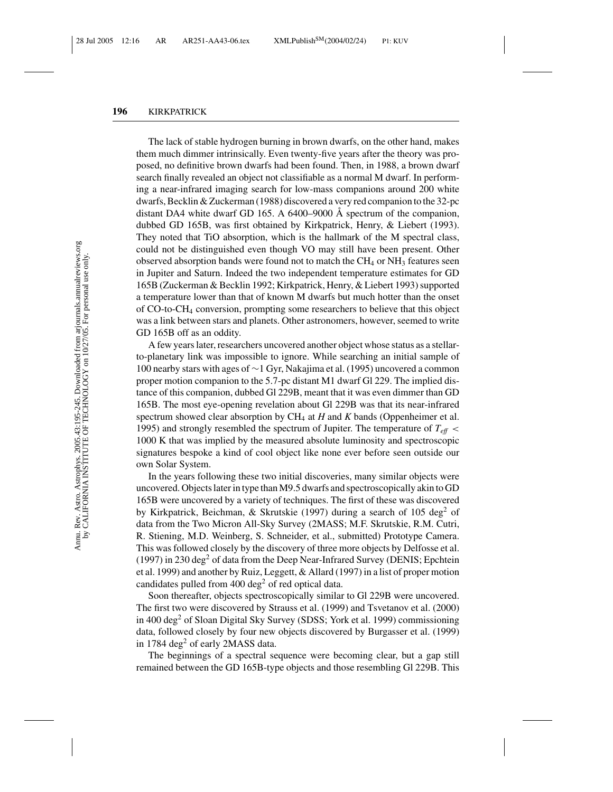The lack of stable hydrogen burning in brown dwarfs, on the other hand, makes them much dimmer intrinsically. Even twenty-five years after the theory was proposed, no definitive brown dwarfs had been found. Then, in 1988, a brown dwarf search finally revealed an object not classifiable as a normal M dwarf. In performing a near-infrared imaging search for low-mass companions around 200 white dwarfs, Becklin & Zuckerman (1988) discovered a very red companion to the 32-pc distant DA4 white dwarf GD 165. A 6400–9000 Å spectrum of the companion, dubbed GD 165B, was first obtained by Kirkpatrick, Henry, & Liebert (1993). They noted that TiO absorption, which is the hallmark of the M spectral class, could not be distinguished even though VO may still have been present. Other observed absorption bands were found not to match the  $CH_4$  or  $NH_3$  features seen in Jupiter and Saturn. Indeed the two independent temperature estimates for GD 165B (Zuckerman & Becklin 1992; Kirkpatrick, Henry, & Liebert 1993) supported a temperature lower than that of known M dwarfs but much hotter than the onset of CO-to-CH4 conversion, prompting some researchers to believe that this object was a link between stars and planets. Other astronomers, however, seemed to write GD 165B off as an oddity.

A few years later, researchers uncovered another object whose status as a stellarto-planetary link was impossible to ignore. While searching an initial sample of 100 nearby stars with ages of ∼1 Gyr, Nakajima et al. (1995) uncovered a common proper motion companion to the 5.7-pc distant M1 dwarf Gl 229. The implied distance of this companion, dubbed Gl 229B, meant that it was even dimmer than GD 165B. The most eye-opening revelation about Gl 229B was that its near-infrared spectrum showed clear absorption by CH4 at *H* and *K* bands (Oppenheimer et al. 1995) and strongly resembled the spectrum of Jupiter. The temperature of  $T_{\text{eff}}$  < 1000 K that was implied by the measured absolute luminosity and spectroscopic signatures bespoke a kind of cool object like none ever before seen outside our own Solar System.

In the years following these two initial discoveries, many similar objects were uncovered. Objects later in type than M9.5 dwarfs and spectroscopically akin to GD 165B were uncovered by a variety of techniques. The first of these was discovered by Kirkpatrick, Beichman, & Skrutskie (1997) during a search of 105 deg<sup>2</sup> of data from the Two Micron All-Sky Survey (2MASS; M.F. Skrutskie, R.M. Cutri, R. Stiening, M.D. Weinberg, S. Schneider, et al., submitted) Prototype Camera. This was followed closely by the discovery of three more objects by Delfosse et al. (1997) in 230 deg<sup>2</sup> of data from the Deep Near-Infrared Survey (DENIS; Epchtein et al. 1999) and another by Ruiz, Leggett, & Allard (1997) in a list of proper motion candidates pulled from  $400 \text{ deg}^2$  of red optical data.

Soon thereafter, objects spectroscopically similar to Gl 229B were uncovered. The first two were discovered by Strauss et al. (1999) and Tsvetanov et al. (2000) in 400 deg<sup>2</sup> of Sloan Digital Sky Survey (SDSS; York et al. 1999) commissioning data, followed closely by four new objects discovered by Burgasser et al. (1999) in 1784 deg<sup>2</sup> of early 2MASS data.

The beginnings of a spectral sequence were becoming clear, but a gap still remained between the GD 165B-type objects and those resembling Gl 229B. This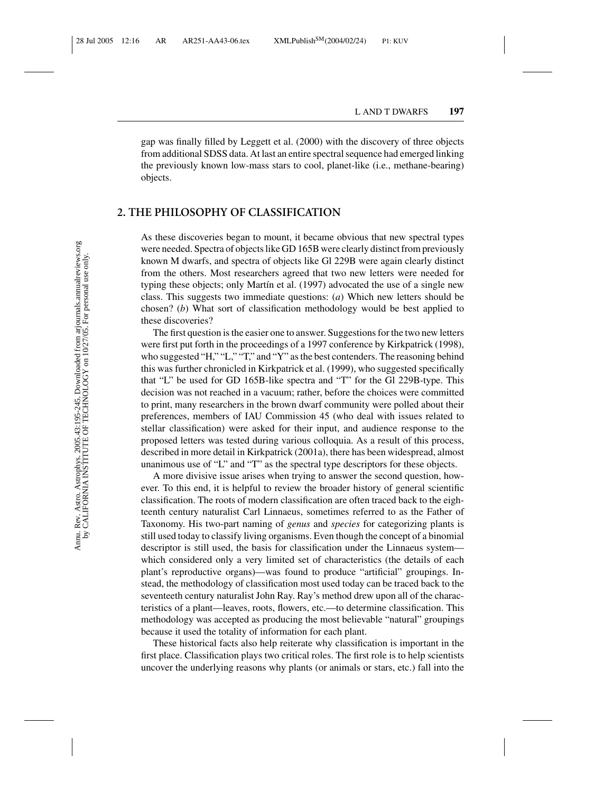gap was finally filled by Leggett et al. (2000) with the discovery of three objects from additional SDSS data. At last an entire spectral sequence had emerged linking the previously known low-mass stars to cool, planet-like (i.e., methane-bearing) objects.

# **2. THE PHILOSOPHY OF CLASSIFICATION**

As these discoveries began to mount, it became obvious that new spectral types were needed. Spectra of objects like GD 165B were clearly distinct from previously known M dwarfs, and spectra of objects like Gl 229B were again clearly distinct from the others. Most researchers agreed that two new letters were needed for typing these objects; only Martín et al. (1997) advocated the use of a single new class. This suggests two immediate questions: (*a*) Which new letters should be chosen? (*b*) What sort of classification methodology would be best applied to these discoveries?

The first question is the easier one to answer. Suggestions for the two new letters were first put forth in the proceedings of a 1997 conference by Kirkpatrick (1998), who suggested "H," "L," "T," and "Y" as the best contenders. The reasoning behind this was further chronicled in Kirkpatrick et al. (1999), who suggested specifically that "L" be used for GD 165B-like spectra and "T" for the Gl 229B-type. This decision was not reached in a vacuum; rather, before the choices were committed to print, many researchers in the brown dwarf community were polled about their preferences, members of IAU Commission 45 (who deal with issues related to stellar classification) were asked for their input, and audience response to the proposed letters was tested during various colloquia. As a result of this process, described in more detail in Kirkpatrick (2001a), there has been widespread, almost unanimous use of "L" and "T" as the spectral type descriptors for these objects.

A more divisive issue arises when trying to answer the second question, however. To this end, it is helpful to review the broader history of general scientific classification. The roots of modern classification are often traced back to the eighteenth century naturalist Carl Linnaeus, sometimes referred to as the Father of Taxonomy. His two-part naming of *genus* and *species* for categorizing plants is still used today to classify living organisms. Even though the concept of a binomial descriptor is still used, the basis for classification under the Linnaeus system which considered only a very limited set of characteristics (the details of each plant's reproductive organs)—was found to produce "artificial" groupings. Instead, the methodology of classification most used today can be traced back to the seventeeth century naturalist John Ray. Ray's method drew upon all of the characteristics of a plant—leaves, roots, flowers, etc.—to determine classification. This methodology was accepted as producing the most believable "natural" groupings because it used the totality of information for each plant.

These historical facts also help reiterate why classification is important in the first place. Classification plays two critical roles. The first role is to help scientists uncover the underlying reasons why plants (or animals or stars, etc.) fall into the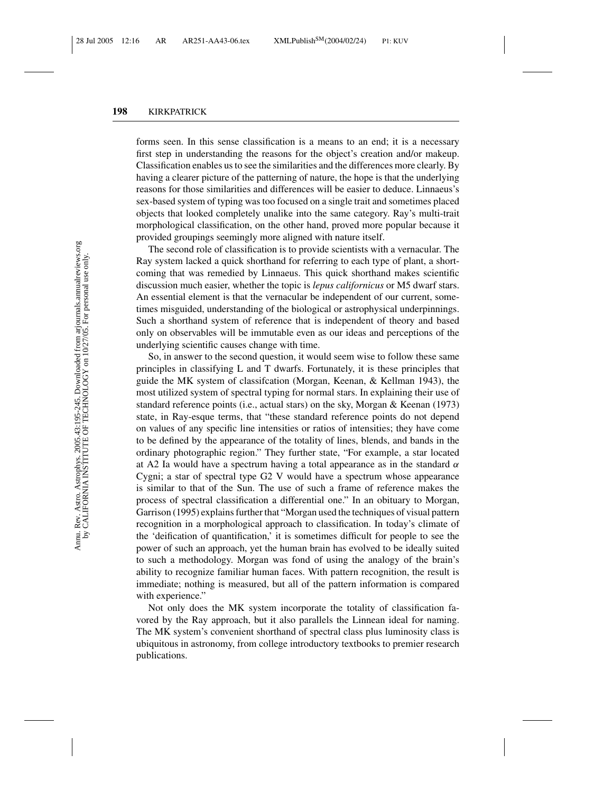forms seen. In this sense classification is a means to an end; it is a necessary first step in understanding the reasons for the object's creation and/or makeup. Classification enables us to see the similarities and the differences more clearly. By having a clearer picture of the patterning of nature, the hope is that the underlying reasons for those similarities and differences will be easier to deduce. Linnaeus's sex-based system of typing was too focused on a single trait and sometimes placed objects that looked completely unalike into the same category. Ray's multi-trait morphological classification, on the other hand, proved more popular because it provided groupings seemingly more aligned with nature itself.

The second role of classification is to provide scientists with a vernacular. The Ray system lacked a quick shorthand for referring to each type of plant, a shortcoming that was remedied by Linnaeus. This quick shorthand makes scientific discussion much easier, whether the topic is *lepus californicus* or M5 dwarf stars. An essential element is that the vernacular be independent of our current, sometimes misguided, understanding of the biological or astrophysical underpinnings. Such a shorthand system of reference that is independent of theory and based only on observables will be immutable even as our ideas and perceptions of the underlying scientific causes change with time.

So, in answer to the second question, it would seem wise to follow these same principles in classifying L and T dwarfs. Fortunately, it is these principles that guide the MK system of classifcation (Morgan, Keenan, & Kellman 1943), the most utilized system of spectral typing for normal stars. In explaining their use of standard reference points (i.e., actual stars) on the sky, Morgan & Keenan (1973) state, in Ray-esque terms, that "these standard reference points do not depend on values of any specific line intensities or ratios of intensities; they have come to be defined by the appearance of the totality of lines, blends, and bands in the ordinary photographic region." They further state, "For example, a star located at A2 Ia would have a spectrum having a total appearance as in the standard  $\alpha$ Cygni; a star of spectral type G2 V would have a spectrum whose appearance is similar to that of the Sun. The use of such a frame of reference makes the process of spectral classification a differential one." In an obituary to Morgan, Garrison (1995) explains further that "Morgan used the techniques of visual pattern recognition in a morphological approach to classification. In today's climate of the 'deification of quantification,' it is sometimes difficult for people to see the power of such an approach, yet the human brain has evolved to be ideally suited to such a methodology. Morgan was fond of using the analogy of the brain's ability to recognize familiar human faces. With pattern recognition, the result is immediate; nothing is measured, but all of the pattern information is compared with experience."

Not only does the MK system incorporate the totality of classification favored by the Ray approach, but it also parallels the Linnean ideal for naming. The MK system's convenient shorthand of spectral class plus luminosity class is ubiquitous in astronomy, from college introductory textbooks to premier research publications.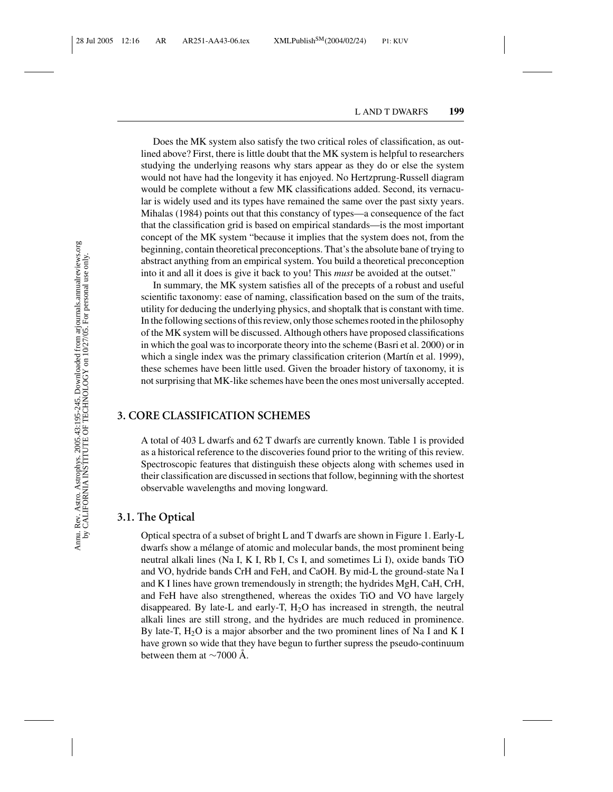Does the MK system also satisfy the two critical roles of classification, as outlined above? First, there is little doubt that the MK system is helpful to researchers studying the underlying reasons why stars appear as they do or else the system would not have had the longevity it has enjoyed. No Hertzprung-Russell diagram would be complete without a few MK classifications added. Second, its vernacular is widely used and its types have remained the same over the past sixty years. Mihalas (1984) points out that this constancy of types—a consequence of the fact that the classification grid is based on empirical standards—is the most important concept of the MK system "because it implies that the system does not, from the beginning, contain theoretical preconceptions. That's the absolute bane of trying to abstract anything from an empirical system. You build a theoretical preconception into it and all it does is give it back to you! This *must* be avoided at the outset."

In summary, the MK system satisfies all of the precepts of a robust and useful scientific taxonomy: ease of naming, classification based on the sum of the traits, utility for deducing the underlying physics, and shoptalk that is constant with time. In the following sections of this review, only those schemes rooted in the philosophy of the MK system will be discussed. Although others have proposed classifications in which the goal was to incorporate theory into the scheme (Basri et al. 2000) or in which a single index was the primary classification criterion (Martín et al. 1999), these schemes have been little used. Given the broader history of taxonomy, it is not surprising that MK-like schemes have been the ones most universally accepted.

# **3. CORE CLASSIFICATION SCHEMES**

A total of 403 L dwarfs and 62 T dwarfs are currently known. Table 1 is provided as a historical reference to the discoveries found prior to the writing of this review. Spectroscopic features that distinguish these objects along with schemes used in their classification are discussed in sections that follow, beginning with the shortest observable wavelengths and moving longward.

# **3.1. The Optical**

Optical spectra of a subset of bright L and T dwarfs are shown in Figure 1. Early-L dwarfs show a mélange of atomic and molecular bands, the most prominent being neutral alkali lines (Na I, K I, Rb I, Cs I, and sometimes Li I), oxide bands TiO and VO, hydride bands CrH and FeH, and CaOH. By mid-L the ground-state Na I and K I lines have grown tremendously in strength; the hydrides MgH, CaH, CrH, and FeH have also strengthened, whereas the oxides TiO and VO have largely disappeared. By late-L and early-T,  $H<sub>2</sub>O$  has increased in strength, the neutral alkali lines are still strong, and the hydrides are much reduced in prominence. By late-T,  $H_2O$  is a major absorber and the two prominent lines of Na I and K I have grown so wide that they have begun to further supress the pseudo-continuum between them at  $\sim$ 7000 A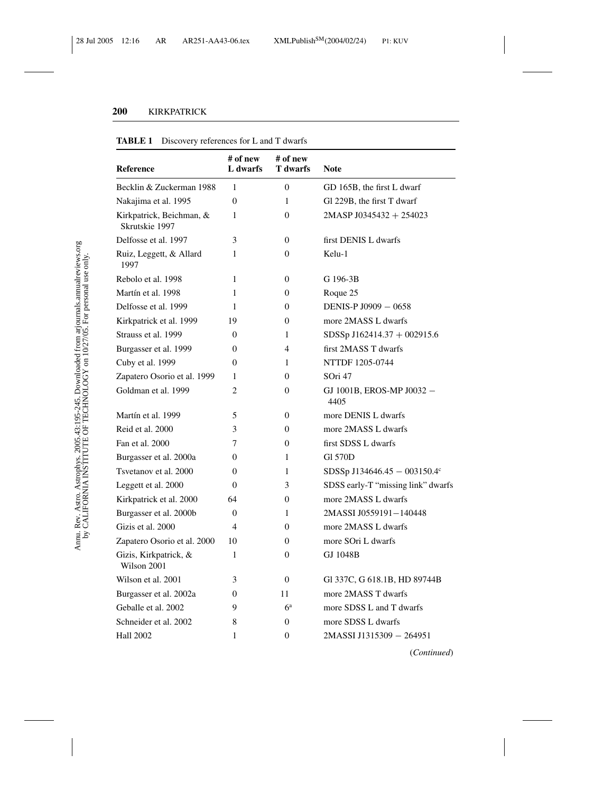| <b>Reference</b>                           | # of new<br>L dwarfs | # of new<br><b>T</b> dwarfs | <b>Note</b>                        |
|--------------------------------------------|----------------------|-----------------------------|------------------------------------|
| Becklin & Zuckerman 1988                   | 1                    | $\mathbf{0}$                | GD 165B, the first L dwarf         |
| Nakajima et al. 1995                       | $\overline{0}$       | $\mathbf{1}$                | Gl 229B, the first T dwarf         |
| Kirkpatrick, Beichman, &<br>Skrutskie 1997 | 1                    | $\theta$                    | $2MASP$ J0345432 + 254023          |
| Delfosse et al. 1997                       | 3                    | $\mathbf{0}$                | first DENIS L dwarfs               |
| Ruiz, Leggett, & Allard<br>1997            | 1                    | $\theta$                    | Kelu-1                             |
| Rebolo et al. 1998                         | 1                    | $\theta$                    | G 196-3B                           |
| Martín et al. 1998                         | 1                    | $\overline{0}$              | Roque 25                           |
| Delfosse et al. 1999                       | 1                    | $\overline{0}$              | DENIS-P J0909 - 0658               |
| Kirkpatrick et al. 1999                    | 19                   | $\overline{0}$              | more 2MASS L dwarfs                |
| Strauss et al. 1999                        | $\theta$             | $\mathbf{1}$                | SDSSp J162414.37 + 002915.6        |
| Burgasser et al. 1999                      | $\Omega$             | 4                           | first 2MASS T dwarfs               |
| Cuby et al. 1999                           | $\theta$             | $\mathbf{1}$                | NTTDF 1205-0744                    |
| Zapatero Osorio et al. 1999                | 1                    | $\theta$                    | SOri 47                            |
| Goldman et al. 1999                        | $\overline{2}$       | $\theta$                    | GJ 1001B, EROS-MP J0032 -<br>4405  |
| Martín et al. 1999                         | 5                    | $\mathbf{0}$                | more DENIS L dwarfs                |
| Reid et al. 2000                           | 3                    | $\overline{0}$              | more 2MASS L dwarfs                |
| Fan et al. 2000                            | 7                    | $\overline{0}$              | first SDSS L dwarfs                |
| Burgasser et al. 2000a                     | $\overline{0}$       | $\mathbf{1}$                | <b>GI 570D</b>                     |
| Tsvetanov et al. 2000                      | $\overline{0}$       | 1                           | SDSSp J134646.45 - 003150.4°       |
| Leggett et al. 2000                        | $\overline{0}$       | 3                           | SDSS early-T "missing link" dwarfs |
| Kirkpatrick et al. 2000                    | 64                   | $\theta$                    | more 2MASS L dwarfs                |
| Burgasser et al. 2000b                     | $\Omega$             | 1                           | 2MASSI J0559191-140448             |
| Gizis et al. 2000                          | 4                    | $\theta$                    | more 2MASS L dwarfs                |
| Zapatero Osorio et al. 2000                | 10                   | $\theta$                    | more SOri L dwarfs                 |
| Gizis, Kirkpatrick, &<br>Wilson 2001       | 1                    | $\theta$                    | GJ 1048B                           |
| Wilson et al. 2001                         | 3                    | $\theta$                    | GI 337C, G 618.1B, HD 89744B       |
| Burgasser et al. 2002a                     | $\theta$             | 11                          | more 2MASS T dwarfs                |
| Geballe et al. 2002                        | 9                    | 6 <sup>a</sup>              | more SDSS L and T dwarfs           |
| Schneider et al. 2002                      | 8                    | $\Omega$                    | more SDSS L dwarfs                 |
| <b>Hall 2002</b>                           | 1                    | $\theta$                    | 2MASSI J1315309 - 264951           |

**TABLE 1** Discovery references for L and T dwarfs

(*Continued*)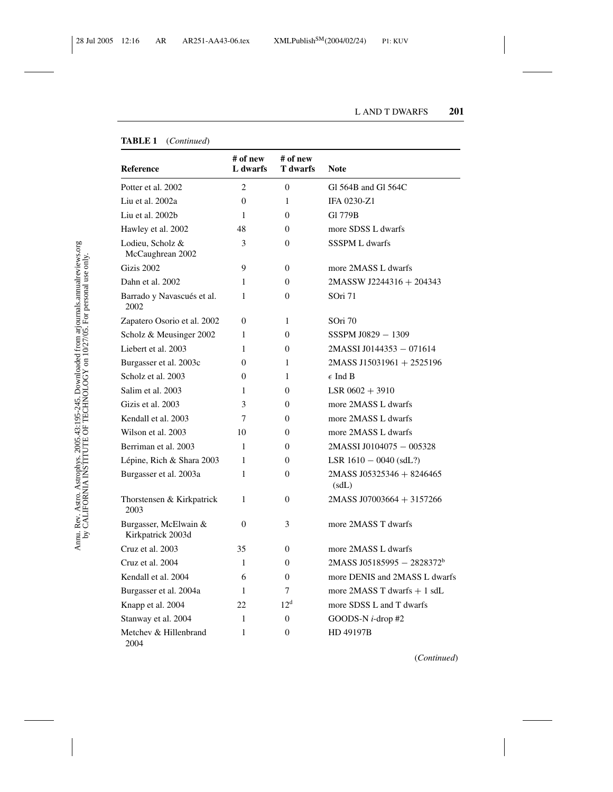| <b>Reference</b>                           | # of new<br>L dwarfs | # of new<br><b>T</b> dwarfs | <b>Note</b>                              |
|--------------------------------------------|----------------------|-----------------------------|------------------------------------------|
| Potter et al. 2002                         | $\overline{c}$       | $\Omega$                    | GI 564B and GI 564C                      |
| Liu et al. 2002a                           | $\overline{0}$       | 1                           | IFA 0230-Z1                              |
| Liu et al. 2002b                           | 1                    | $\Omega$                    | GI 779B                                  |
| Hawley et al. 2002                         | 48                   | $\Omega$                    | more SDSS L dwarfs                       |
| Lodieu, Scholz &<br>McCaughrean 2002       | 3                    | $\overline{0}$              | <b>SSSPM L dwarfs</b>                    |
| Gizis 2002                                 | 9                    | $\Omega$                    | more 2MASS L dwarfs                      |
| Dahn et al. 2002                           | 1                    | $\Omega$                    | 2MASSW J2244316 + 204343                 |
| Barrado y Navascués et al.<br>2002         | 1                    | $\theta$                    | SOri 71                                  |
| Zapatero Osorio et al. 2002                | $\Omega$             | 1                           | SOri 70                                  |
| Scholz & Meusinger 2002                    | 1                    | $\Omega$                    | SSSPM J0829 - 1309                       |
| Liebert et al. 2003                        | 1                    | $\theta$                    | 2MASSI J0144353 - 071614                 |
| Burgasser et al. 2003c                     | 0                    | 1                           | $2MASS$ J15031961 + 2525196              |
| Scholz et al. 2003                         | $\Omega$             | 1                           | $\epsilon$ Ind B                         |
| Salim et al. 2003                          | 1                    | $\theta$                    | $LSR$ 0602 + 3910                        |
| Gizis et al. 2003                          | 3                    | 0                           | more 2MASS L dwarfs                      |
| Kendall et al. 2003                        | 7                    | $\Omega$                    | more 2MASS L dwarfs                      |
| Wilson et al. 2003                         | 10                   | $\Omega$                    | more 2MASS L dwarfs                      |
| Berriman et al. 2003                       | 1                    | $\overline{0}$              | 2MASSI J0104075 - 005328                 |
| Lépine, Rich & Shara 2003                  | 1                    | $\boldsymbol{0}$            | LSR $1610 - 0040$ (sdL?)                 |
| Burgasser et al. 2003a                     | 1                    | $\Omega$                    | $2MASS$ J05325346 + 8246465<br>(sdL)     |
| Thorstensen & Kirkpatrick<br>2003          | 1                    | $\boldsymbol{0}$            | $2MASS$ J07003664 + 3157266              |
| Burgasser, McElwain &<br>Kirkpatrick 2003d | $\Omega$             | 3                           | more 2MASS T dwarfs                      |
| Cruz et al. 2003                           | 35                   | $\Omega$                    | more 2MASS L dwarfs                      |
| Cruz et al. 2004                           | 1                    | 0                           | $2MASS$ J05185995 - 2828372 <sup>b</sup> |
| Kendall et al. 2004                        | 6                    | 0                           | more DENIS and 2MASS L dwarfs            |
| Burgasser et al. 2004a                     | 1                    | 7                           | more 2MASS T dwarfs $+1$ sdL             |
| Knapp et al. 2004                          | 22                   | 12 <sup>d</sup>             | more SDSS L and T dwarfs                 |
| Stanway et al. 2004                        | 1                    | $\mathbf{0}$                | GOODS-N $i$ -drop #2                     |
| Metchev & Hillenbrand<br>2004              | 1                    | $\theta$                    | HD 49197B                                |

#### **TABLE 1** (*Continued*)

(*Continued*)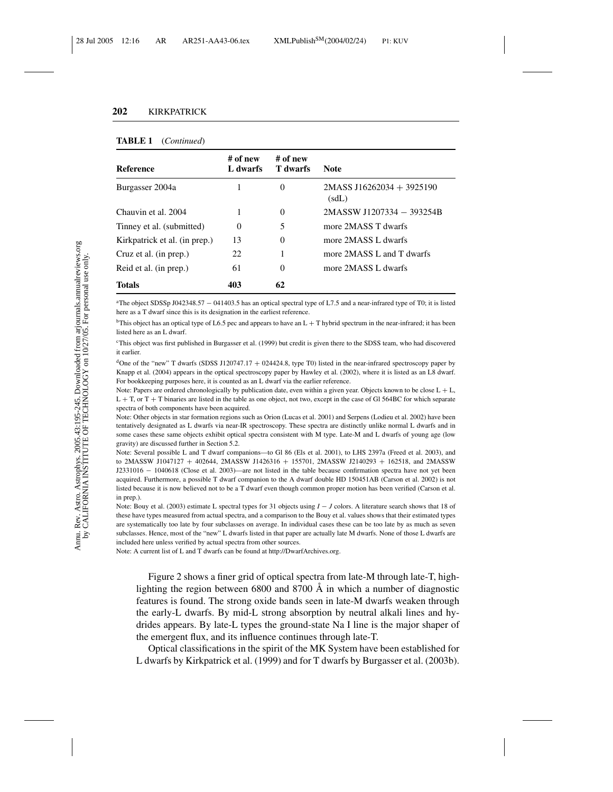| Reference                     | # of new<br>L dwarfs | # of new<br>T dwarfs | <b>Note</b>                          |
|-------------------------------|----------------------|----------------------|--------------------------------------|
| Burgasser 2004a               |                      | $\Omega$             | $2MASS J16262034 + 3925190$<br>(sdL) |
| Chauvin et al. 2004           |                      | $\Omega$             | 2MASSW J1207334 - 393254B            |
| Tinney et al. (submitted)     | $\Omega$             | 5                    | more 2MASS T dwarfs                  |
| Kirkpatrick et al. (in prep.) | 13                   | $\Omega$             | more 2MASS L dwarfs                  |
| Cruz et al. (in prep.)        | 22                   | 1                    | more 2MASS L and T dwarfs            |
| Reid et al. (in prep.)        | 61                   | $\Omega$             | more 2MASS L dwarfs                  |
| Totals                        | 403                  | 62                   |                                      |

#### **TABLE 1** (*Continued*)

aThe object SDSSp J042348.57 <sup>−</sup> 041403.5 has an optical spectral type of L7.5 and a near-infrared type of T0; it is listed here as a T dwarf since this is its designation in the earliest reference.

<sup>b</sup>This object has an optical type of L6.5 pec and appears to have an  $L + T$  hybrid spectrum in the near-infrared; it has been listed here as an L dwarf.

cThis object was first published in Burgasser et al. (1999) but credit is given there to the SDSS team, who had discovered it earlier

<sup>d</sup>One of the "new" T dwarfs (SDSS J120747.17 + 024424.8, type T0) listed in the near-infrared spectroscopy paper by Knapp et al. (2004) appears in the optical spectroscopy paper by Hawley et al. (2002), where it is listed as an L8 dwarf. For bookkeeping purposes here, it is counted as an L dwarf via the earlier reference.

Note: Papers are ordered chronologically by publication date, even within a given year. Objects known to be close  $L + L$ ,  $L + T$ , or  $T + T$  binaries are listed in the table as one object, not two, except in the case of Gl 564BC for which separate spectra of both components have been acquired.

Note: Other objects in star formation regions such as Orion (Lucas et al. 2001) and Serpens (Lodieu et al. 2002) have been tentatively designated as L dwarfs via near-IR spectroscopy. These spectra are distinctly unlike normal L dwarfs and in some cases these same objects exhibit optical spectra consistent with M type. Late-M and L dwarfs of young age (low gravity) are discussed further in Section 5.2.

Note: Several possible L and T dwarf companions—to Gl 86 (Els et al. 2001), to LHS 2397a (Freed et al. 2003), and to 2MASSW J1047127 + 402644, 2MASSW J1426316 + 155701, 2MASSW J2140293 + 162518, and 2MASSW J2331016 – 1040618 (Close et al. 2003)—are not listed in the table because confirmation spectra have not yet been acquired. Furthermore, a possible T dwarf companion to the A dwarf double HD 150451AB (Carson et al. 2002) is not listed because it is now believed not to be a T dwarf even though common proper motion has been verified (Carson et al. in prep.).

Note: Bouy et al. (2003) estimate L spectral types for 31 objects using *I* − *J* colors. A literature search shows that 18 of these have types measured from actual spectra, and a comparison to the Bouy et al. values shows that their estimated types are systematically too late by four subclasses on average. In individual cases these can be too late by as much as seven subclasses. Hence, most of the "new" L dwarfs listed in that paper are actually late M dwarfs. None of those L dwarfs are included here unless verified by actual spectra from other sources.

Note: A current list of L and T dwarfs can be found at http://DwarfArchives.org.

Figure 2 shows a finer grid of optical spectra from late-M through late-T, highlighting the region between 6800 and 8700  $\AA$  in which a number of diagnostic features is found. The strong oxide bands seen in late-M dwarfs weaken through the early-L dwarfs. By mid-L strong absorption by neutral alkali lines and hydrides appears. By late-L types the ground-state Na I line is the major shaper of the emergent flux, and its influence continues through late-T.

Optical classifications in the spirit of the MK System have been established for L dwarfs by Kirkpatrick et al. (1999) and for T dwarfs by Burgasser et al. (2003b).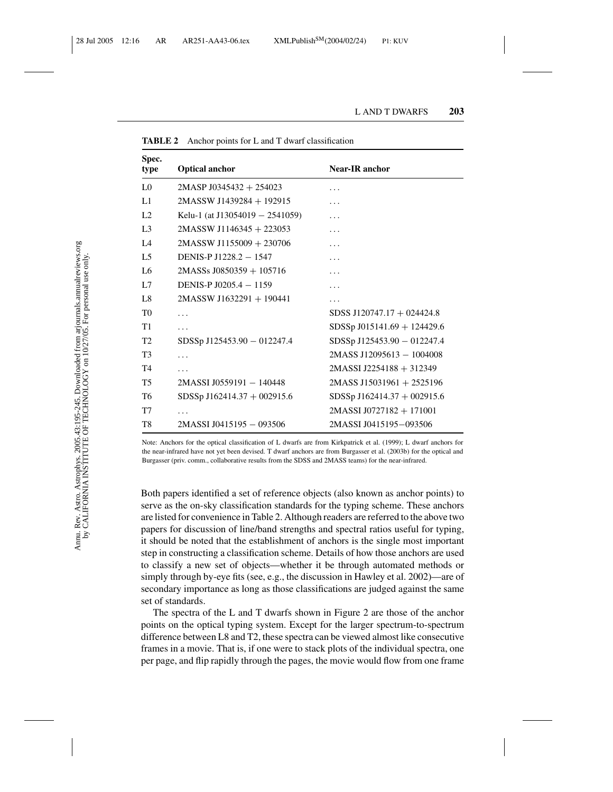| Spec.<br>type  | <b>Optical anchor</b>           | <b>Near-IR</b> anchor        |
|----------------|---------------------------------|------------------------------|
| $L_{0}$        | $2MASP$ J0345432 + 254023       |                              |
| L1             | $2MASSW$ J1439284 + 192915      | .                            |
| L <sub>2</sub> | Kelu-1 (at J13054019 - 2541059) | .                            |
| L <sub>3</sub> | $2MASSW$ J1146345 + 223053      | .                            |
| IA             | $2MASSW$ J1155009 + 230706      | .                            |
| L <sub>5</sub> | DENIS-P J1228.2 - 1547          | .                            |
| L6             | $2MASSs$ J0850359 + 105716      | .                            |
| L7             | DENIS-P J0205.4 - 1159          | .                            |
| L8             | $2MASSW$ J1632291 + 190441      | .                            |
| T <sub>0</sub> | .                               | SDSS J120747.17 $+$ 024424.8 |
| T1             | .                               | SDSSp J015141.69 + 124429.6  |
| T <sub>2</sub> | SDSSp J125453.90 $-$ 012247.4   | SDSSp J125453.90 - 012247.4  |
| T <sub>3</sub> | .                               | 2MASS J12095613 - 1004008    |
| T <sub>4</sub> | .                               | 2MASSI J2254188 + 312349     |
| <b>T5</b>      | 2MASSI J0559191 - 140448        | $2MASS$ J15031961 + 2525196  |
| T6             | SDSSp J162414.37 + 002915.6     | SDSSp J162414.37 + 002915.6  |
| T7             | .                               | $2MASSI$ J0727182 + 171001   |
| T8             | 2MASSI J0415195 - 093506        | 2MASSI J0415195-093506       |

**TABLE 2** Anchor points for L and T dwarf classification

Note: Anchors for the optical classification of L dwarfs are from Kirkpatrick et al. (1999); L dwarf anchors for the near-infrared have not yet been devised. T dwarf anchors are from Burgasser et al. (2003b) for the optical and Burgasser (priv. comm., collaborative results from the SDSS and 2MASS teams) for the near-infrared.

Both papers identified a set of reference objects (also known as anchor points) to serve as the on-sky classification standards for the typing scheme. These anchors are listed for convenience in Table 2. Although readers are referred to the above two papers for discussion of line/band strengths and spectral ratios useful for typing, it should be noted that the establishment of anchors is the single most important step in constructing a classification scheme. Details of how those anchors are used to classify a new set of objects—whether it be through automated methods or simply through by-eye fits (see, e.g., the discussion in Hawley et al. 2002)—are of secondary importance as long as those classifications are judged against the same set of standards.

The spectra of the L and T dwarfs shown in Figure 2 are those of the anchor points on the optical typing system. Except for the larger spectrum-to-spectrum difference between L8 and T2, these spectra can be viewed almost like consecutive frames in a movie. That is, if one were to stack plots of the individual spectra, one per page, and flip rapidly through the pages, the movie would flow from one frame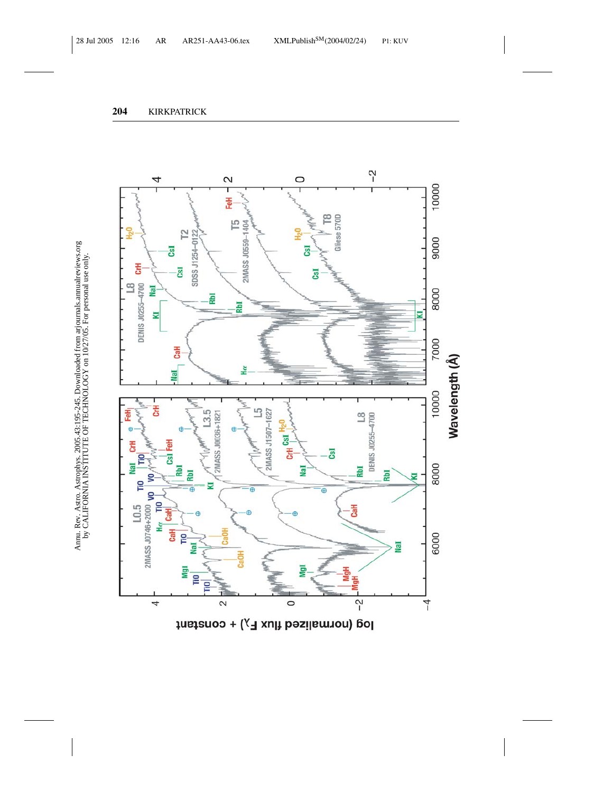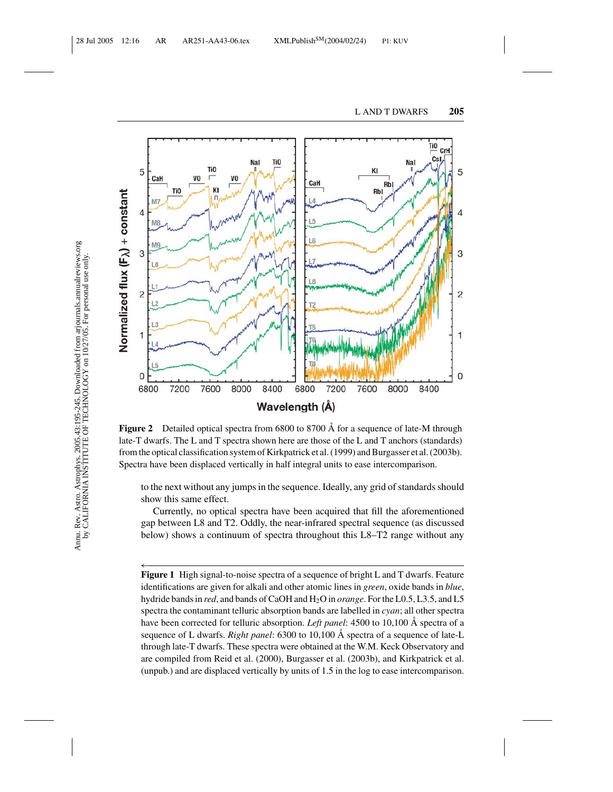

**Figure 2** Detailed optical spectra from 6800 to 8700 Å for a sequence of late-M through late-T dwarfs. The L and T spectra shown here are those of the L and T anchors (standards) from the optical classification system of Kirkpatrick et al. (1999) and Burgasser et al. (2003b). Spectra have been displaced vertically in half integral units to ease intercomparison.

to the next without any jumps in the sequence. Ideally, any grid of standards should show this same effect.

Currently, no optical spectra have been acquired that fill the aforementioned gap between L8 and T2. Oddly, the near-infrared spectral sequence (as discussed below) shows a continuum of spectra throughout this L8–T2 range without any

← **Figure 1** High signal-to-noise spectra of a sequence of bright L and T dwarfs. Feature identifications are given for alkali and other atomic lines in *green*, oxide bands in *blue*, hydride bands in *red*, and bands of CaOH and H<sub>2</sub>O in *orange*. For the L0.5, L3.5, and L5 spectra the contaminant telluric absorption bands are labelled in *cyan*; all other spectra have been corrected for telluric absorption. *Left panel*: 4500 to 10,100 Å spectra of a sequence of L dwarfs. *Right panel*: 6300 to 10,100 A˚ spectra of a sequence of late-L through late-T dwarfs. These spectra were obtained at the W.M. Keck Observatory and are compiled from Reid et al. (2000), Burgasser et al. (2003b), and Kirkpatrick et al. (unpub.) and are displaced vertically by units of 1.5 in the log to ease intercomparison.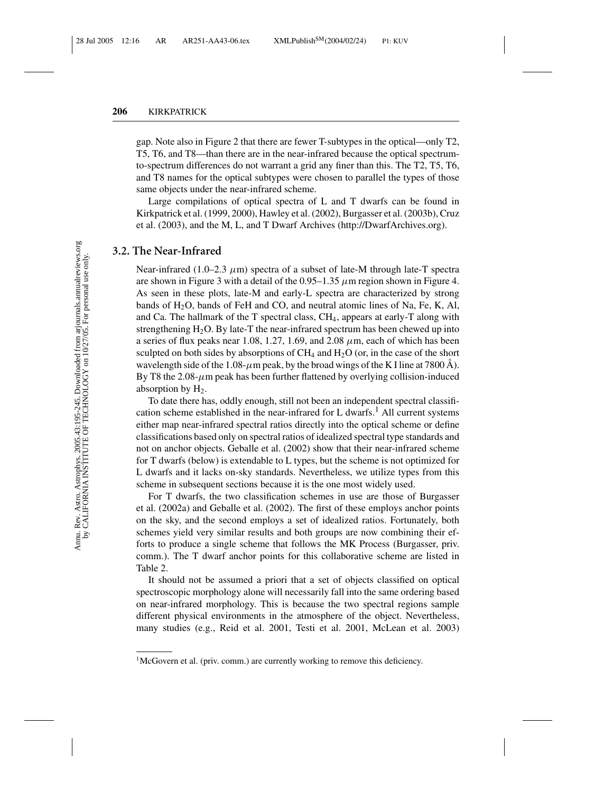gap. Note also in Figure 2 that there are fewer T-subtypes in the optical—only T2, T5, T6, and T8—than there are in the near-infrared because the optical spectrumto-spectrum differences do not warrant a grid any finer than this. The T2, T5, T6, and T8 names for the optical subtypes were chosen to parallel the types of those same objects under the near-infrared scheme.

Large compilations of optical spectra of L and T dwarfs can be found in Kirkpatrick et al. (1999, 2000), Hawley et al. (2002), Burgasser et al. (2003b), Cruz et al. (2003), and the M, L, and T Dwarf Archives (http://DwarfArchives.org).

### **3.2. The Near-Infrared**

Near-infrared (1.0–2.3  $\mu$ m) spectra of a subset of late-M through late-T spectra are shown in Figure 3 with a detail of the  $0.95-1.35 \mu$ m region shown in Figure 4. As seen in these plots, late-M and early-L spectra are characterized by strong bands of  $H_2O$ , bands of FeH and CO, and neutral atomic lines of Na, Fe, K, Al, and Ca. The hallmark of the T spectral class,  $CH<sub>4</sub>$ , appears at early-T along with strengthening  $H_2O$ . By late-T the near-infrared spectrum has been chewed up into a series of flux peaks near 1.08, 1.27, 1.69, and 2.08  $\mu$ m, each of which has been sculpted on both sides by absorptions of  $CH_4$  and  $H_2O$  (or, in the case of the short wavelength side of the 1.08- $\mu$ m peak, by the broad wings of the KI line at 7800 Å). By T8 the  $2.08\text{-}\mu$ m peak has been further flattened by overlying collision-induced absorption by  $H_2$ .

To date there has, oddly enough, still not been an independent spectral classification scheme established in the near-infrared for L dwarfs.<sup>1</sup> All current systems either map near-infrared spectral ratios directly into the optical scheme or define classifications based only on spectral ratios of idealized spectral type standards and not on anchor objects. Geballe et al. (2002) show that their near-infrared scheme for T dwarfs (below) is extendable to L types, but the scheme is not optimized for L dwarfs and it lacks on-sky standards. Nevertheless, we utilize types from this scheme in subsequent sections because it is the one most widely used.

For T dwarfs, the two classification schemes in use are those of Burgasser et al. (2002a) and Geballe et al. (2002). The first of these employs anchor points on the sky, and the second employs a set of idealized ratios. Fortunately, both schemes yield very similar results and both groups are now combining their efforts to produce a single scheme that follows the MK Process (Burgasser, priv. comm.). The T dwarf anchor points for this collaborative scheme are listed in Table 2.

It should not be assumed a priori that a set of objects classified on optical spectroscopic morphology alone will necessarily fall into the same ordering based on near-infrared morphology. This is because the two spectral regions sample different physical environments in the atmosphere of the object. Nevertheless, many studies (e.g., Reid et al. 2001, Testi et al. 2001, McLean et al. 2003)

<sup>&</sup>lt;sup>1</sup>McGovern et al. (priv. comm.) are currently working to remove this deficiency.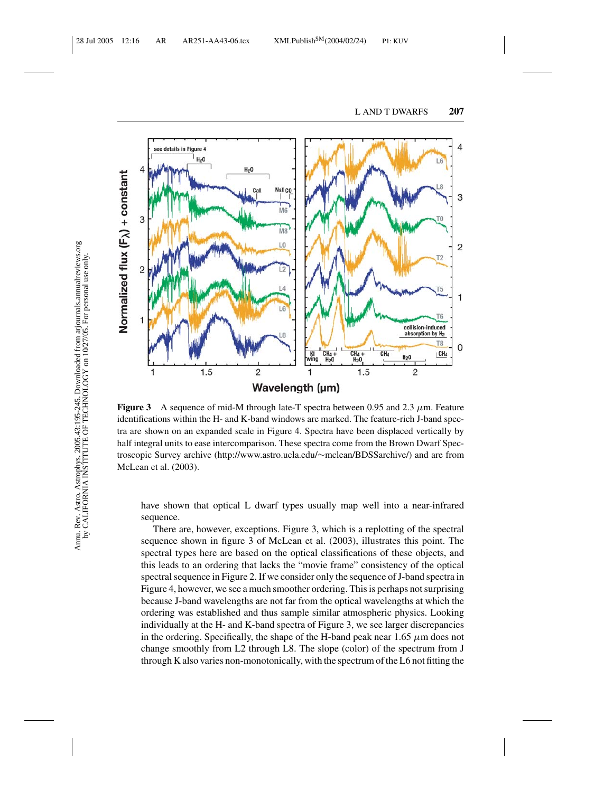

**Figure 3** A sequence of mid-M through late-T spectra between 0.95 and 2.3  $\mu$ m. Feature identifications within the H- and K-band windows are marked. The feature-rich J-band spectra are shown on an expanded scale in Figure 4. Spectra have been displaced vertically by half integral units to ease intercomparison. These spectra come from the Brown Dwarf Spectroscopic Survey archive (http://www.astro.ucla.edu/∼mclean/BDSSarchive/) and are from McLean et al. (2003).

have shown that optical L dwarf types usually map well into a near-infrared sequence.

There are, however, exceptions. Figure 3, which is a replotting of the spectral sequence shown in figure 3 of McLean et al. (2003), illustrates this point. The spectral types here are based on the optical classifications of these objects, and this leads to an ordering that lacks the "movie frame" consistency of the optical spectral sequence in Figure 2. If we consider only the sequence of J-band spectra in Figure 4, however, we see a much smoother ordering. This is perhaps not surprising because J-band wavelengths are not far from the optical wavelengths at which the ordering was established and thus sample similar atmospheric physics. Looking individually at the H- and K-band spectra of Figure 3, we see larger discrepancies in the ordering. Specifically, the shape of the H-band peak near 1.65  $\mu$ m does not change smoothly from L2 through L8. The slope (color) of the spectrum from J through K also varies non-monotonically, with the spectrum of the L6 not fitting the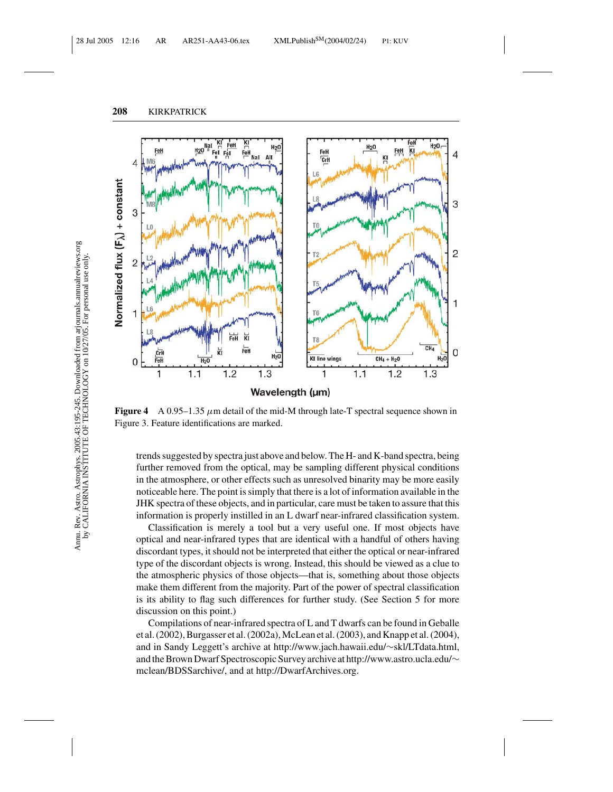

**Figure 4** A 0.95–1.35  $\mu$ m detail of the mid-M through late-T spectral sequence shown in Figure 3. Feature identifications are marked.

trends suggested by spectra just above and below. The H- and K-band spectra, being further removed from the optical, may be sampling different physical conditions in the atmosphere, or other effects such as unresolved binarity may be more easily noticeable here. The point is simply that there is a lot of information available in the JHK spectra of these objects, and in particular, care must be taken to assure that this information is properly instilled in an L dwarf near-infrared classification system.

Classification is merely a tool but a very useful one. If most objects have optical and near-infrared types that are identical with a handful of others having discordant types, it should not be interpreted that either the optical or near-infrared type of the discordant objects is wrong. Instead, this should be viewed as a clue to the atmospheric physics of those objects—that is, something about those objects make them different from the majority. Part of the power of spectral classification is its ability to flag such differences for further study. (See Section 5 for more discussion on this point.)

Compilations of near-infrared spectra of L and T dwarfs can be found in Geballe et al. (2002), Burgasser et al. (2002a), McLean et al. (2003), and Knapp et al. (2004), and in Sandy Leggett's archive at http://www.jach.hawaii.edu/∼skl/LTdata.html, and the Brown Dwarf Spectroscopic Survey archive at http://www.astro.ucla.edu/∼ mclean/BDSSarchive/, and at http://DwarfArchives.org.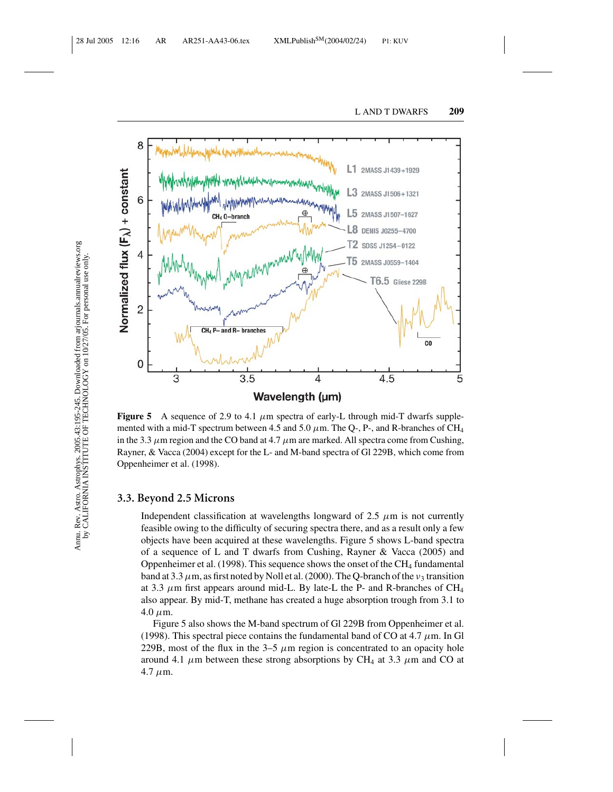

**Figure 5** A sequence of 2.9 to 4.1  $\mu$ m spectra of early-L through mid-T dwarfs supplemented with a mid-T spectrum between 4.5 and 5.0  $\mu$ m. The Q-, P-, and R-branches of CH<sub>4</sub> in the 3.3  $\mu$ m region and the CO band at 4.7  $\mu$ m are marked. All spectra come from Cushing, Rayner, & Vacca (2004) except for the L- and M-band spectra of Gl 229B, which come from Oppenheimer et al. (1998).

#### **3.3. Beyond 2.5 Microns**

Independent classification at wavelengths longward of 2.5  $\mu$ m is not currently feasible owing to the difficulty of securing spectra there, and as a result only a few objects have been acquired at these wavelengths. Figure 5 shows L-band spectra of a sequence of L and T dwarfs from Cushing, Rayner & Vacca (2005) and Oppenheimer et al. (1998). This sequence shows the onset of the  $CH_4$  fundamental band at 3.3  $\mu$ m, as first noted by Noll et al. (2000). The Q-branch of the  $v_3$  transition at 3.3  $\mu$ m first appears around mid-L. By late-L the P- and R-branches of CH<sub>4</sub> also appear. By mid-T, methane has created a huge absorption trough from 3.1 to 4.0  $\mu$ m.

Figure 5 also shows the M-band spectrum of Gl 229B from Oppenheimer et al. (1998). This spectral piece contains the fundamental band of CO at 4.7  $\mu$ m. In Gl 229B, most of the flux in the 3–5  $\mu$ m region is concentrated to an opacity hole around 4.1  $\mu$ m between these strong absorptions by CH<sub>4</sub> at 3.3  $\mu$ m and CO at 4.7  $\mu$ m.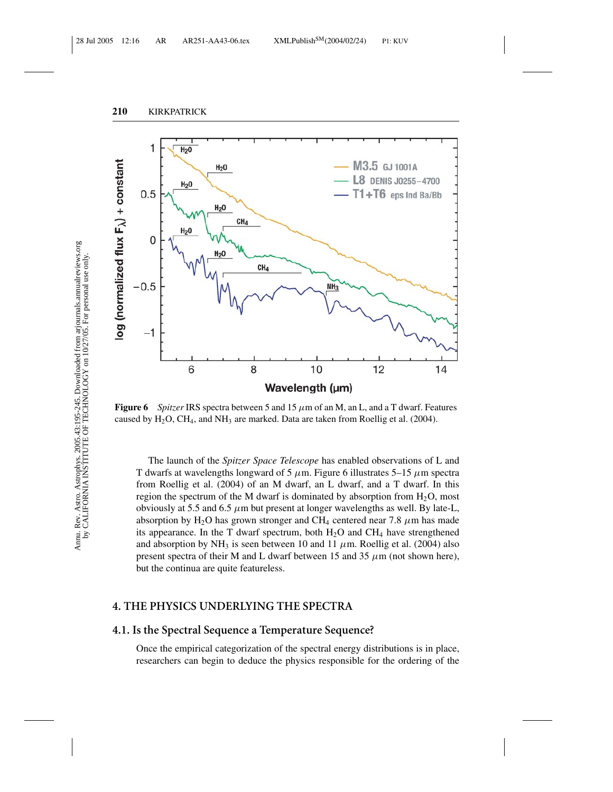

**Figure 6** *Spitzer* IRS spectra between 5 and 15  $\mu$ m of an M, an L, and a T dwarf. Features caused by  $H_2O$ , CH<sub>4</sub>, and NH<sub>3</sub> are marked. Data are taken from Roellig et al. (2004).

The launch of the *Spitzer Space Telescope* has enabled observations of L and T dwarfs at wavelengths longward of 5  $\mu$ m. Figure 6 illustrates 5–15  $\mu$ m spectra from Roellig et al. (2004) of an M dwarf, an L dwarf, and a T dwarf. In this region the spectrum of the M dwarf is dominated by absorption from  $H_2O$ , most obviously at 5.5 and 6.5  $\mu$ m but present at longer wavelengths as well. By late-L, absorption by H<sub>2</sub>O has grown stronger and CH<sub>4</sub> centered near 7.8  $\mu$ m has made its appearance. In the T dwarf spectrum, both  $H_2O$  and  $CH_4$  have strengthened and absorption by NH<sub>3</sub> is seen between 10 and 11  $\mu$ m. Roellig et al. (2004) also present spectra of their M and L dwarf between 15 and 35  $\mu$ m (not shown here), but the continua are quite featureless.

#### **4. THE PHYSICS UNDERLYING THE SPECTRA**

# **4.1. Is the Spectral Sequence a Temperature Sequence?**

Once the empirical categorization of the spectral energy distributions is in place, researchers can begin to deduce the physics responsible for the ordering of the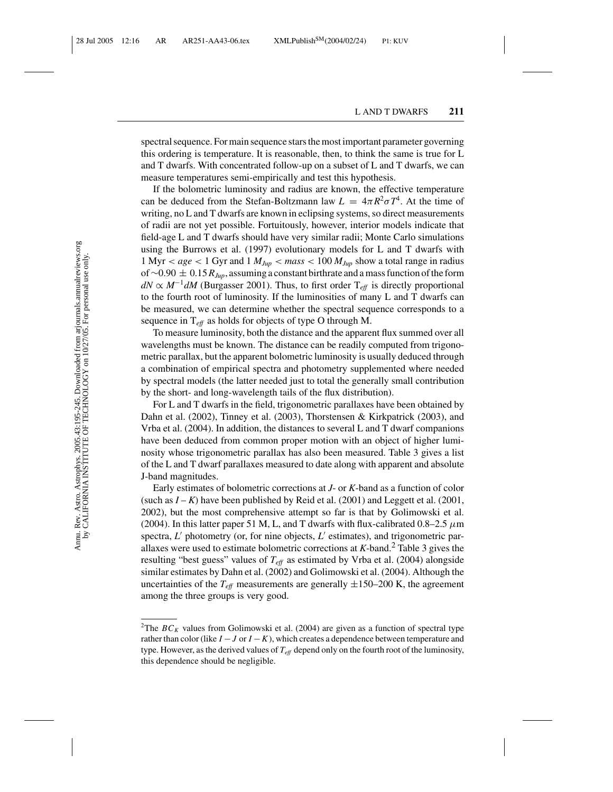spectral sequence. For main sequence stars the most important parameter governing this ordering is temperature. It is reasonable, then, to think the same is true for L and T dwarfs. With concentrated follow-up on a subset of L and T dwarfs, we can measure temperatures semi-empirically and test this hypothesis.

If the bolometric luminosity and radius are known, the effective temperature can be deduced from the Stefan-Boltzmann law  $L = 4\pi R^2 \sigma T^4$ . At the time of writing, no L and T dwarfs are known in eclipsing systems, so direct measurements of radii are not yet possible. Fortuitously, however, interior models indicate that field-age L and T dwarfs should have very similar radii; Monte Carlo simulations using the Burrows et al. (1997) evolutionary models for L and T dwarfs with 1 Myr  $\langle age| < 1$  Gyr and  $1 M_{Jup} < mass < 100 M_{Jup}$  show a total range in radius of∼0.90 ± 0.15*RJup*, assuming a constant birthrate and a mass function of the form  $dN \propto M^{-1} dM$  (Burgasser 2001). Thus, to first order  $T_{eff}$  is directly proportional to the fourth root of luminosity. If the luminosities of many L and T dwarfs can be measured, we can determine whether the spectral sequence corresponds to a sequence in  $T_{\text{eff}}$  as holds for objects of type O through M.

To measure luminosity, both the distance and the apparent flux summed over all wavelengths must be known. The distance can be readily computed from trigonometric parallax, but the apparent bolometric luminosity is usually deduced through a combination of empirical spectra and photometry supplemented where needed by spectral models (the latter needed just to total the generally small contribution by the short- and long-wavelength tails of the flux distribution).

For L and T dwarfs in the field, trigonometric parallaxes have been obtained by Dahn et al. (2002), Tinney et al. (2003), Thorstensen & Kirkpatrick (2003), and Vrba et al. (2004). In addition, the distances to several L and T dwarf companions have been deduced from common proper motion with an object of higher luminosity whose trigonometric parallax has also been measured. Table 3 gives a list of the L and T dwarf parallaxes measured to date along with apparent and absolute J-band magnitudes.

Early estimates of bolometric corrections at *J*- or *K*-band as a function of color (such as  $I - K$ ) have been published by Reid et al. (2001) and Leggett et al. (2001, 2002), but the most comprehensive attempt so far is that by Golimowski et al. (2004). In this latter paper 51 M, L, and T dwarfs with flux-calibrated  $0.8-2.5 \mu m$ spectra, L' photometry (or, for nine objects, L' estimates), and trigonometric parallaxes were used to estimate bolometric corrections at  $K$ -band.<sup>2</sup> Table 3 gives the resulting "best guess" values of  $T_{\text{eff}}$  as estimated by Vrba et al. (2004) alongside similar estimates by Dahn et al. (2002) and Golimowski et al. (2004). Although the uncertainties of the  $T_{\text{eff}}$  measurements are generally  $\pm 150-200$  K, the agreement among the three groups is very good.

<sup>&</sup>lt;sup>2</sup>The  $BC_K$  values from Golimowski et al. (2004) are given as a function of spectral type rather than color (like  $I - J$  or  $I - K$ ), which creates a dependence between temperature and type. However, as the derived values of  $T_{\text{eff}}$  depend only on the fourth root of the luminosity, this dependence should be negligible.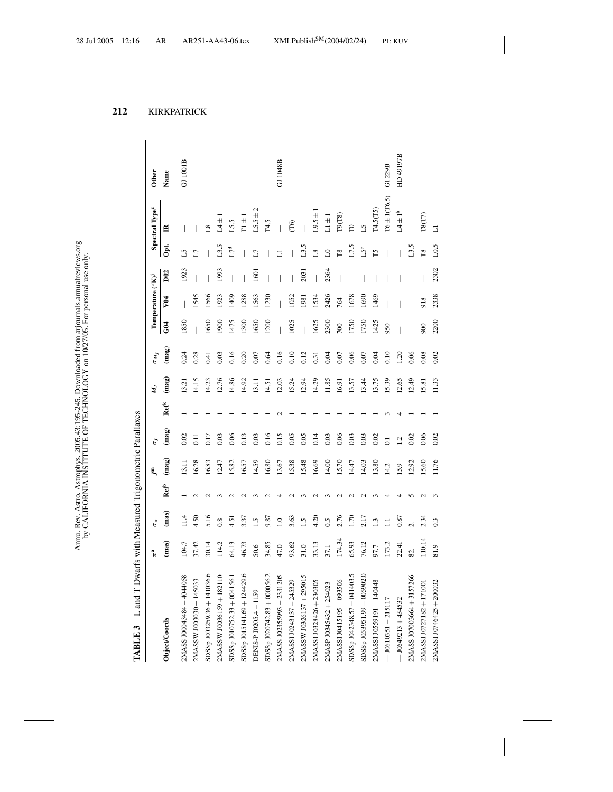|                                                             | יי יים היה וז                                     |
|-------------------------------------------------------------|---------------------------------------------------|
| 2005 42-105 245 Press<br>$5 - 24$<br>si Citi<br>$rac{1}{2}$ | ALIFORNIA INSTITUTE OF TECHNOLOGY on 10/27/05. F- |

TABLE 3 L and T Dwarfs with Measured Trigonometric Parallaxes

| <b>TABLE 3</b> L and T Dwarfs with Measured Trigonometric Parallaxes |         |                |                  |       |                     |     |               |                |                          |                              |                 |                    |                            |              |
|----------------------------------------------------------------------|---------|----------------|------------------|-------|---------------------|-----|---------------|----------------|--------------------------|------------------------------|-----------------|--------------------|----------------------------|--------------|
|                                                                      | $\pi^a$ | $\sigma_{\pi}$ |                  | E,    | $\overline{\sigma}$ |     | $\tilde{M}_J$ | $\sigma_{M_J}$ |                          | $Temperature(^{\circ}K)^{j}$ |                 |                    | Spectral Type <sup>c</sup> | <b>Other</b> |
| Object/Coords                                                        | (mas)   | (mas)          | Ref <sup>e</sup> | (mag) | (mag)               | Ref | (mag)         | (mag)          | <b>EG</b>                | 201                          | D <sub>02</sub> | Öpt.               | Ĕ                          | Name         |
| 2MASS J00043484-4044058                                              | 104.7   | 11.4           |                  | 13.11 | 0.02                |     | 13.21         | 0.24           | 1850                     |                              | 1923            | ٩                  |                            | GJ 1001B     |
| 2MASSW J003030-145033                                                | 37.42   | 4.50           | $\sim$           | 16.28 | $\Xi$               |     | 14.15         | 0.28           |                          | 545                          |                 | 2                  |                            |              |
| SDSSp J003259.36 + 141036.6                                          | 30.14   | 5.16           |                  | 16.83 | 0.17                |     | 14.23         | 0.41           | 1650                     | 566                          |                 |                    | $^{8}$                     |              |
| 2MASSW J0036159 + 182110                                             | 114.2   | 0.8            |                  | 12.47 | 0.03                |     | 12.76         | 0.03           | 1900                     | 1923                         | 1993            | 13.5               | $L4 \pm 1$                 |              |
| SDSSp J010752.33 + 004156.1                                          | 64.13   | 4.51           |                  | 15.82 | 0.06                |     | 14.86         | 0.16           | 1475                     | 409                          |                 | $L^{rd}$           | L5.5                       |              |
| SDSSp J015141.69 + 124429.6                                          | 46.73   | 3.37           |                  | 16.57 | 0.13                |     | 14.92         | 0.20           | 1300                     | 288                          |                 |                    | $T1 \pm 1$                 |              |
| DENIS-P J0205.4 - 1159                                               | 50.6    | $\tilde{S}$    |                  | 14.59 | 0.03                |     | 13.11         | 0.07           | 1650                     | 1563                         | 1601            |                    | $L5.5 \pm 2$               |              |
| SDSSp J020742.83 + 000056.2                                          | 34.85   | 9.87           |                  | 16.80 | 0.16                |     | 14.51         | 0.64           | 1200                     | <b>1230</b>                  |                 |                    | T4.5                       |              |
| 2MASS J02355993 - 2331205                                            | 47.0    | $\frac{0}{1}$  |                  | 13.67 | 0.15                |     | 12.03         | 0.16           |                          |                              |                 |                    |                            | G1 1048B     |
| 2MASSI J0243137 - 245329                                             | 93.62   | 3.63           |                  | 15.38 | 0.05                |     | 15.24         | 0.10           | 1025                     | 1052                         |                 |                    | (16)                       |              |
| 2MASSW J0326137 + 295015                                             | 31.0    | 1.5            |                  | 15.48 | 0.05                |     | 12.94         | 0.12           | $\overline{\phantom{a}}$ | 1981                         | 2031            | 3.5                |                            |              |
| 2MASSI J0328426+230305                                               | 33.13   | 4.20           |                  | 16.69 | 0.14                |     | 14.29         | 0.31           | 1625                     | 1534                         |                 | $\mathbf{\degree}$ | $L9.5 \pm 1$               |              |
| 2MASP J0345432 + 254023                                              | 37.1    | 0.5            |                  | 14.00 | 0.03                |     | 1.85          | 0.04           | 2300                     | 2426                         | 2364            | S                  | $L1 \pm 1$                 |              |
| 2MASSI J0415195-093506                                               | 174.34  | 2.76           |                  | 15.70 | 0.06                |     | 16.91         | 0.07           | 700                      | 764                          |                 | P8                 | T9(T8)                     |              |
| SDSSp J042348.57 - 041403.5                                          | 65.93   | 1.70           |                  | 14.47 | 0.03                |     | 13.57         | 0.06           | 1750                     | 1678                         |                 | 5.71               | $\overline{C}$             |              |
| SDSSp J053951.99 - 005902.0                                          | 76.12   | 2.17           |                  | 14.03 | 0.03                |     | 13.44         | 0.07           | 1750                     | <b>690</b>                   |                 | ئ                  | $\tilde{c}$                |              |
| 2MASSI J0559191-140448                                               | 97.7    | $\frac{3}{2}$  |                  | 13.80 | 0.02                |     | 13.75         | 0.04           | 1425                     | 1469                         |                 | F                  | T4.5(T5)                   |              |
| $-10610351 - 215117$                                                 | 173.2   | Ξ              |                  | 14.2  | $\overline{0}$ .    |     | 15.39         | 0.10           | 950                      |                              |                 |                    | $T6 \pm 1(T6.5)$           | GI 229B      |
| $-10649213 + 434532$                                                 | 22.41   | 0.87           |                  | 15.9  | $\overline{5}$      |     | 12.65         | 1.20           |                          |                              |                 |                    | $L4\pm1^{\rm h}$           | HD 49197B    |
| 2MASS J07003664 + 3157266                                            | 82.     | Ń              |                  | 12.92 | 0.02                |     | 12.49         | 0.06           |                          |                              |                 | <u>35</u>          |                            |              |
| 2MASSI J0727182 + 171001                                             | 110.14  | 2.34           |                  | 15.60 | 0.06                |     | 15.81         | 0.08           | 900                      | 918                          |                 | T8                 | T8(T7)                     |              |
| 2MASSI J0746425 + 200032                                             | 81.9    | 0.3            |                  | 11.76 | 0.02                |     | 11.33         | 0.02           | 2200                     | 2338                         | 2302            | L0.5               | $\overline{a}$             |              |

l.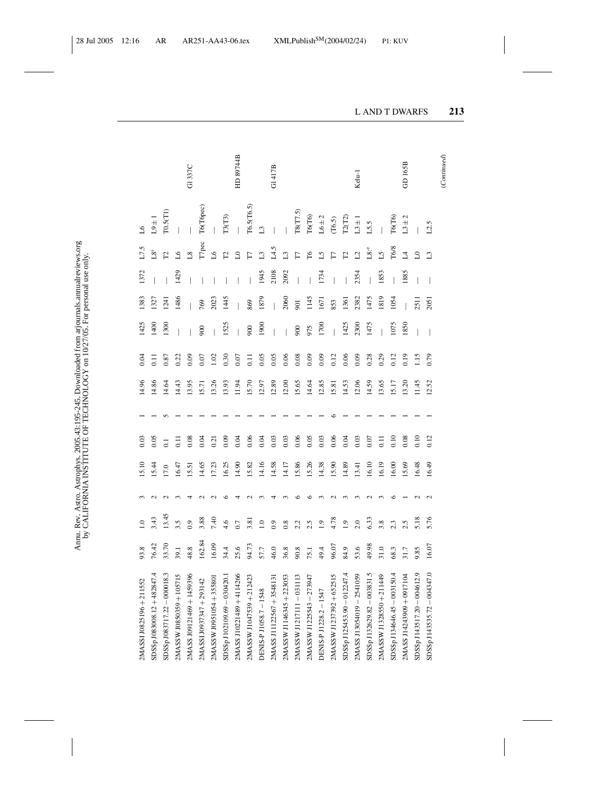| (Continued) |                |                   |      |                          |                          |                  |       |                    |       |                  |        |                             |
|-------------|----------------|-------------------|------|--------------------------|--------------------------|------------------|-------|--------------------|-------|------------------|--------|-----------------------------|
|             | L2.5           | Ľ3                |      | 2051                     |                          | 0.79             | 12.52 | 0.12               | 16.49 | 5.76             | 16.07  | SDSSp J143535.72 - 004347.0 |
|             |                | S                 |      | $\frac{1}{2}$            |                          | 115              | 1.45  | 0.10               | 16.48 | 5.18             | 9.85   | SDSSp J143517.20 - 004612.9 |
| GD 165B     | $L3 \pm 2$     | 크                 | 1885 |                          | 1850                     | 0.19             | 13.20 | 0.08               | 15.69 | 2.5              | 31.7   | 2MASS J14243909 + 0917104   |
|             | T6(T6)         | T6/8              |      | 1054                     | 1075                     | 0.12             | 15.17 | 0.10               | 16.00 | 2.3              | 68.3   | SDSSp J134646.45 - 003150.4 |
|             |                | $\tilde{L}$       | 1853 | 1819                     |                          | 0.29             | 13.65 | $\overline{0}$ .11 | 16.19 | 3.8              | 31.0   | 2MASSW J1328550+211449      |
|             | L5.5           | $\mathbf{L8}^{e}$ |      | 1475                     | 1475                     | 0.28             | 14.59 | 0.07               | 16.10 | 6.33             | 49.98  | SDSSp J132629.82 - 003831.5 |
| Kelu-1      | $L3 \pm 1$     | R                 | 2354 | 2382                     | 2300                     | 0.09             | 12.06 | 0.03               | 13.41 | 2.0              | 53.6   | 2MASS J13054019-2541059     |
|             | T2(T2)         | 5                 |      | 1361                     | 1425                     | 0.06             | 14.53 | 0.04               | 14.89 | $\overline{0}$   | 84.9   | SDSSp J125453.90 - 012247.4 |
|             | $(T6.5)$       |                   |      | 853                      |                          | 0.12             | 15.81 | 0.06               | 15.90 | 4.78             | 96.07  | 2MASSW J1237392+652515      |
|             | $L6 \pm 2$     |                   | 1734 | 1671                     | 1700                     | 0.09             | 12.85 | 0.03               | 14.38 | $\ddot{ }$       | 49.4   | DENIS-P J1228.2 - 1547      |
|             | <b>T6(T6)</b>  | ۴6                |      | 1145                     | 975                      | 0.09             | 14.64 | 0.05               | 15.26 | 2.5              | 75.1   | 2MASSW J1225543 - 273947    |
|             | S(T7.5)        |                   |      | 500                      | 900                      | 0.08             | 15.65 | 0.06               | 15.86 | 2.2              | 90.8   | 2MASSW J1217111-031113      |
|             |                | n                 | 2092 | 2060                     |                          | 0.06             | 12.00 | 0.03               | 14.17 | 0.8              | 36.8   | 2MASSW J1146345 + 223053    |
| G1417B      |                | 3.4.5             | 2108 | $\overline{\phantom{a}}$ | $\overline{\phantom{a}}$ | 0.05             | 12.89 | 0.03               | 14.58 | 0.9              | 46.0   | 2MASS J11122567 + 3548131   |
|             | $\mathbb{Z}$   | Ľ                 | 1945 | 1879                     | 1900                     | 0.05             | 12.97 | 0.04               | 14.16 | $\overline{1.0}$ | 57.7   | DENIS-P J1058.7 - 1548      |
|             | T6.5(T6.5)     |                   |      | 869                      | 900                      | $\overline{0}$ . | 15.70 | 0.06               | 15.82 | 3.81             | 94.73  | 2MASSW J1047539 + 212423    |
| HD 89744B   |                | S                 |      | $\overline{1}$           | $\overline{1}$           | 0.07             | 11.94 | 0.04               | 14.90 | 0.7              | 25.6   | 2MASS J10221489 + 4114266   |
|             | T3(T3)         | 2                 |      | 1445                     | 1525                     | 0.30             | 13.93 | 0.09               | 16.25 | 4.6              | 34.4   | SDSSp J102109.69 - 030420.1 |
|             |                | ى                 |      | 2023                     | $\overline{\phantom{a}}$ | 1.02             | 13.26 | 0.21               | 17.23 | 7.40             | 16.09  | 2MASSW J0951054+355801      |
|             | Т6(Тбрес)      | I7pec             |      | 769                      | 900                      | 0.07             | 15.71 | 0.04               | 14.65 | 3.88             | 162.84 | 2MASSI J0937347 + 293142    |
| G1337C      |                | $\frac{8}{1}$     |      |                          |                          | 0.09             | 13.95 | 0.08               | 15.51 | $_{0.9}$         | 48.8   | 2MASS J09121469 + 1459396   |
|             |                | $\overline{5}$    | 1429 | 1486                     |                          | 0.22             | 14.43 | $\Xi$              | 6.47  | 3.5              | 39.1   | 2MASSW J0850359 + 105715    |
|             | T0.5(T1)       | Ł,                |      | 1241                     | 1300                     | 0.87             | 14.64 | $\overline{5}$     | 17.0  | 13.45            | 33.70  | SDSSp J083717.22 - 000018.3 |
|             | $19 \pm 1$     | $\overline{18}$   |      | 1327                     | 1400                     | $\overline{11}$  | 14.86 | 0.05               | 15.44 | 3.43             | 76.42  | SDSSp J083008.12 + 482847.4 |
|             | $\overline{5}$ | C.7.5             | 1372 | 1383                     | 1425                     | 0.04             | 14.96 | 0.03               | 15.10 | $\overline{a}$   | 93.8   | 2MASSI J0825196 + 211552    |

Amu. Rev. Astro. Astrophys. 2005.43:195-245. Downloaded from arjournals.annualreviews.org<br>by CALIFORNIA INSTITUTE OF TECHNOLOGY on 10/27/05. For personal use only. Annu. Rev. Astro. Astrophys. 2005.43:195-245. Downloaded from arjournals.annualreviews.org by CALIFORNIA INSTITUTE OF TECHNOLOGY on 10/27/05. For personal use only.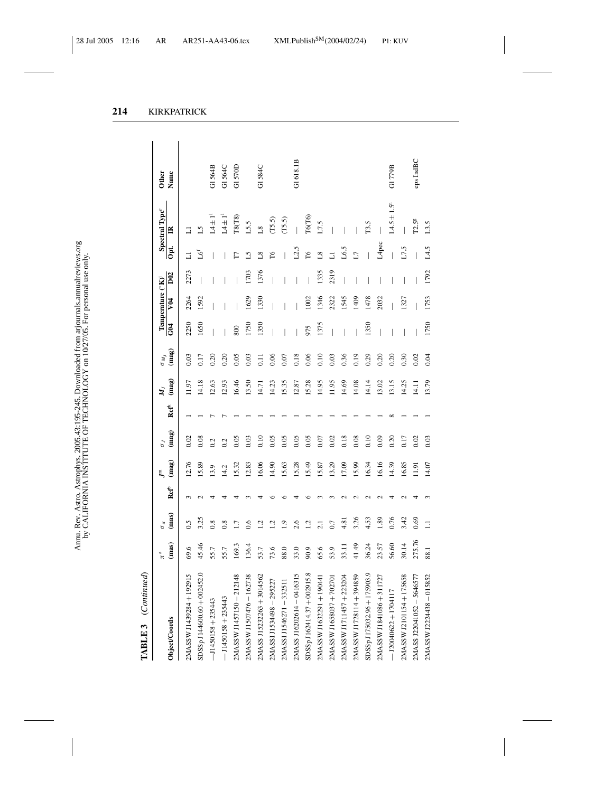Amu. Rev. Astro. Astrophys. 2005.43:195-245. Downloaded from arjournals.annualreviews.org<br>by CALIFORNIA INSTITUTE OF TECHNOLOGY on 10/27/05. For personal use only. Annu. Rev. Astro. Astrophys. 2005.43:195-245. Downloaded from arjournals.annualreviews.org by CALIFORNIA INSTITUTE OF TECHNOLOGY on 10/27/05. For personal use only.

TABLE 3 (Continued)

| <b>TABLE 3</b> Continued    |                  |                         |                 |        |       |                 |       |                        |                          |                                                  |      |                         |                                         |               |
|-----------------------------|------------------|-------------------------|-----------------|--------|-------|-----------------|-------|------------------------|--------------------------|--------------------------------------------------|------|-------------------------|-----------------------------------------|---------------|
| Object/Coords               | (mas)<br>$\pi^a$ | (mas)<br>$\sigma_{\pi}$ | Re <sup>4</sup> | (maxg) | (mag) | Re <sup>k</sup> | (mag) | (mag)<br>$\sigma_{MJ}$ | $\overline{6}$           | Temperature (°K) <sup>j</sup><br>V <sub>04</sub> | D02  | Opt.                    | Spectral Type <sup>c</sup><br>$\approx$ | Name<br>Other |
| 2MASSW J1439284 + 192915    | 69.6             | 0.5                     |                 | 12.76  | 0.02  |                 | 1.97  | 0.03                   | 2250                     | 2264                                             | 2273 |                         | ⋾                                       |               |
| SDSSp J144600.60 +002452.0  | 45.46            | 3.25                    |                 | 15.89  | 0.08  |                 | 14.18 | 0.17                   | 1650                     | 1592                                             |      | ق                       | S                                       |               |
| $-11450158 + 235443$        | 55.7             | $_{0.8}$                |                 | 13.9   | 0.2   |                 | 12.63 | 0.20                   | $\overline{\phantom{a}}$ |                                                  |      |                         | $L4 \pm 1^1$                            | G1564B        |
| $-11450158 + 235443$        | 55.7             | 0.8                     |                 | 14.2   | 0.2   |                 | 12.93 | 0.20                   |                          |                                                  |      |                         | $14 \pm 1^{1}$                          | G1564C        |
| 2MASSW J1457150-212148      | 169.3            | Ξ                       |                 | 15.32  | 0.05  |                 | 16.46 | 0.05                   | 800                      |                                                  |      |                         | T8(T8)                                  | G1570D        |
| 2MASSW J1507476-162738      | 136.4            | $_{0.6}$                |                 | 12.83  | 0.03  |                 | 13.50 | 0.03                   | 1750                     | 1629                                             | 1703 |                         | L5.5                                    |               |
| 2MASS J15232263 + 3014562   | 53.7             |                         |                 | 16.06  | 0.10  |                 | 14.71 | $\bar{=}$              | 1350                     | 1330                                             | 1376 |                         | $\mathbf{S}$                            | G1584C        |
| 2MASSI J1534498-295227      | 73.6             |                         |                 | 14.90  | 0.05  |                 | 14.23 | 0.06                   | $\overline{\phantom{a}}$ | $\overline{\phantom{a}}$                         |      | ۲6                      | (T5.5)                                  |               |
| 2MASSI J1546271-332511      | 88.0             | ڣ                       |                 | 15.63  | 0.05  |                 | 15.35 | 0.07                   | $\overline{\phantom{a}}$ |                                                  |      |                         | (T5.5)                                  |               |
| 2MASS J16202614-0416315     | 33.0             | 2.6                     |                 | 15.28  | 0.05  |                 | 12.87 | 0.18                   |                          |                                                  |      | $-2.5$                  |                                         | G1618.1B      |
| SDSSp J162414.37 + 002915.8 | 90.9             |                         |                 | 15.49  | 0.05  |                 | 15.28 | 0.06                   | 975                      | 1002                                             |      | F6                      | T6(T6)                                  |               |
| 2MASSW J1632291 + 190441    | 65.6             |                         |                 | 15.87  | 0.07  |                 | 14.95 | 0.10                   | 1375                     | 1346                                             | 1335 | $\overline{\mathbf{S}}$ | 5 <sub>1</sub>                          |               |
| 2MASSW J1658037 + 702701    | 53.9             | $\overline{0}$          |                 | 13.29  | 0.02  |                 | 11.95 | 0.03                   |                          | 2322                                             | 2319 |                         |                                         |               |
| 2MASSW J1711457 + 223204    | 33.11            | 4.81                    |                 | 17.09  | 0.18  |                 | 14.69 | 0.36                   |                          | 1545                                             |      | 597                     |                                         |               |
| 2MASSW J1728114+394859      | 41.49            | 3.26                    |                 | 15.99  | 0.08  |                 | 14.08 | 0.19                   |                          | 1409                                             |      | N                       |                                         |               |
| SDSSp J175032.96 + 175903.9 | 36.24            | 4.53                    |                 | 16.34  | 0.10  |                 | 14.14 | 0.29                   | 1350                     | 1478                                             |      |                         | <b>F3.5</b>                             |               |
| 2MASSW J1841086+311727      | 23.57            | .89                     |                 | 16.16  | 0.09  |                 | 13.02 | 0.20                   | $\overline{\phantom{a}}$ | 2032                                             |      | L4pec                   |                                         |               |
| $-120040622 + 1704117$      | 56.60            | 0.76                    |                 | 14.39  | 0.20  |                 | 13.15 | 0.20                   |                          |                                                  |      |                         | $1.5^{\circ}1.5^{\circ}$                | G1779B        |
| 2MASSW J2101154 + 175658    | 30.14            | 3.42                    |                 | 16.85  | 0.17  |                 | 14.25 | 0.30                   |                          | 1327                                             |      | 55                      |                                         |               |
| 2MASS J22041052 - 5646577   | 275.76           | 0.69                    |                 | 11.91  | 0.02  |                 | 14.11 | 0.02                   | I                        |                                                  |      |                         | T2.5 <sup>g</sup>                       | eps IndBC     |
| 2MASSW J2224438-015852      | 88.1             | $\equiv$                |                 | 14.07  | 0.03  |                 | 13.79 | 0.04                   | 1750                     | 1753                                             | 1792 | 14.5                    | L3.5                                    |               |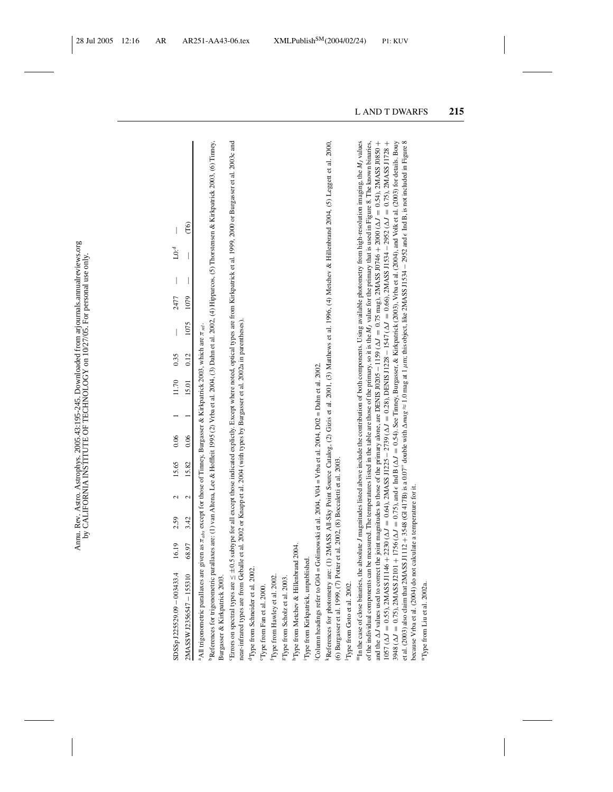| Annu. Rev. Astro. Astrophys. 2005.43:195-245. Downloaded from arjournals.annualreviews.org<br>by CALIFORNIA INSTITUTE OF TECHNOLOGY on 10/27/05. For personal use only. | (T6)<br>L0 <sup>d</sup><br>1079<br>2477<br>1075<br>0.12<br>0.35<br>11.70<br>15.01<br>0.06<br>0.06<br>15.82<br>15.65<br>2<br>$\mathbf{\sim}$<br>2.59<br>3.42<br>16.19<br>68.97<br>SDSSp J225529.09 - 003433.4<br>2MASSW J2356547 - 155310 | <sup>a</sup> All trigonometric parallaxes are given as $\pi_{abs}$ except for those of Tinney, Burgasser & Kirkpatrick 2003, which are $\pi_{rel}$ . | Pederences for trigonometric parallaxes are: (1) van Altena, Lee & Hoffleit 1995 (2) Vrba et al. 2004, (3) Dahn et al. 2002, (4) Hipparcos, (5) Thorstensen & Kirkpatrick 2003, (6) Tinney,<br>Burgasser & Kirkpatrick 2003. | $\leq$ ±0.5 subtype for all except those indicated explicity. Except where noted, optical types are from Kirkpatrick et al. 1999, 2000 or Burgasser et al. 2003c and<br>Geballe et al. 2002 or Knapp et al. 2004 (with types by Burgasser et al. 2002a in parentheses)<br><sup>e</sup> Errors on spectral types are<br>near-infrared types are from | 2002.<br><sup>d</sup> Type from Schneider et al. | eType from Fan et al. 2000. | <sup>f</sup> Type from Hawley et al. 2002. | <sup>g</sup> Type from Scholz et al. 2003. | <sup>hType from Metchev &amp; Hillenbrand 2004.</sup> | Type from Kirkpatrick, unpublished. | Column headings refer to G04 = Golimowski et al. 2004, V04 = Vrba et al. 2004, D02 = Dahn et al. 2002. | are: (1) 2MASS All-Sky Point Source Catalog, (2) Gizis et al. 2001, (3) Matthews et al. 1996, (4) Metchev & Hillenbrand 2004, (5) Leggett et al. 2000,<br>(6) Burgasser et al. 1999, (7) Potter et al. 2002, (8) Boccaletti et al. 2003.<br><b>References</b> for photometry | Type from Goto et al. 2002. | "In the case of close binaries, the absolute J magnitudes listed above include the contribution of both components. Using available photometry from high-resolution imaging, the M <sub>J</sub> values<br>12101 + 1756 ( $\Delta J = 0.75$ ), and $\epsilon$ Ind B ( $\Delta J = 0.54$ ). See Tinney, Burgasser, & Kirkpatrick (2003), Vrba et al. (2004), and Volk et al. (2003) for details. Bouy<br>et al. (2003) also claim that 2MASS J1112 + 3548 (CI 417B) is a 0.07'' double with $\Delta mag \approx 1.0$ mag at 1 µm; this object, like 2MASS J1534 - 2952 and e Ind B, is not included in Figure 8<br>of the individual components can be measured. The temperatures listed in the table are those of the primary, so it is the M, value for the primary that is used in Figure 8. The known binaries,<br>and the $\Delta J$ values used to correct the joint magnitudes to those of the primary alone, are DENIS 10205 – 1159 ( $\Delta J = 0.75$ mag), 2MASS 10746 + 2000 ( $\Delta J = 0.54$ ), 2MASS 10850 +<br>$11146 + 2230 (cJ = 0.64), 2MASSI 1225 - 2739 (cJ = 0.28), DENIS 11228 - 1547 (cJ = 0.66), 2MASSI 1534 - 2952 (cJ = 0.75), 2MASSI 1728 + 1547 (cJ = 0.75), 2MASSI 1228 - 1547 (cJ = 0.75), 2MASSI 1228 - 1547 (cJ = 0.75), 2MASSI 1228 - 1547 (dJ = 0.75), 2MASSI 1228 - 1547 (d$<br>because Vrba et al. (2004) do not calculate a temperature for it.<br>$1057 (\Delta J = 0.55), 2MASS$<br>3948 ( $\Delta J = 0.75$ ), 2MASS<br>"Type from Liu et al. 2002a |
|-------------------------------------------------------------------------------------------------------------------------------------------------------------------------|------------------------------------------------------------------------------------------------------------------------------------------------------------------------------------------------------------------------------------------|------------------------------------------------------------------------------------------------------------------------------------------------------|------------------------------------------------------------------------------------------------------------------------------------------------------------------------------------------------------------------------------|-----------------------------------------------------------------------------------------------------------------------------------------------------------------------------------------------------------------------------------------------------------------------------------------------------------------------------------------------------|--------------------------------------------------|-----------------------------|--------------------------------------------|--------------------------------------------|-------------------------------------------------------|-------------------------------------|--------------------------------------------------------------------------------------------------------|------------------------------------------------------------------------------------------------------------------------------------------------------------------------------------------------------------------------------------------------------------------------------|-----------------------------|----------------------------------------------------------------------------------------------------------------------------------------------------------------------------------------------------------------------------------------------------------------------------------------------------------------------------------------------------------------------------------------------------------------------------------------------------------------------------------------------------------------------------------------------------------------------------------------------------------------------------------------------------------------------------------------------------------------------------------------------------------------------------------------------------------------------------------------------------------------------------------------------------------------------------------------------------------------------------------------------------------------------------------------------------------------------------------------------------------------------------------------------------------------------------------------------------------------------------------------------------------------------------------------------------------------------------------------------------------------------------------------------------------------------------------------------------------------------------------------------|
|-------------------------------------------------------------------------------------------------------------------------------------------------------------------------|------------------------------------------------------------------------------------------------------------------------------------------------------------------------------------------------------------------------------------------|------------------------------------------------------------------------------------------------------------------------------------------------------|------------------------------------------------------------------------------------------------------------------------------------------------------------------------------------------------------------------------------|-----------------------------------------------------------------------------------------------------------------------------------------------------------------------------------------------------------------------------------------------------------------------------------------------------------------------------------------------------|--------------------------------------------------|-----------------------------|--------------------------------------------|--------------------------------------------|-------------------------------------------------------|-------------------------------------|--------------------------------------------------------------------------------------------------------|------------------------------------------------------------------------------------------------------------------------------------------------------------------------------------------------------------------------------------------------------------------------------|-----------------------------|----------------------------------------------------------------------------------------------------------------------------------------------------------------------------------------------------------------------------------------------------------------------------------------------------------------------------------------------------------------------------------------------------------------------------------------------------------------------------------------------------------------------------------------------------------------------------------------------------------------------------------------------------------------------------------------------------------------------------------------------------------------------------------------------------------------------------------------------------------------------------------------------------------------------------------------------------------------------------------------------------------------------------------------------------------------------------------------------------------------------------------------------------------------------------------------------------------------------------------------------------------------------------------------------------------------------------------------------------------------------------------------------------------------------------------------------------------------------------------------------|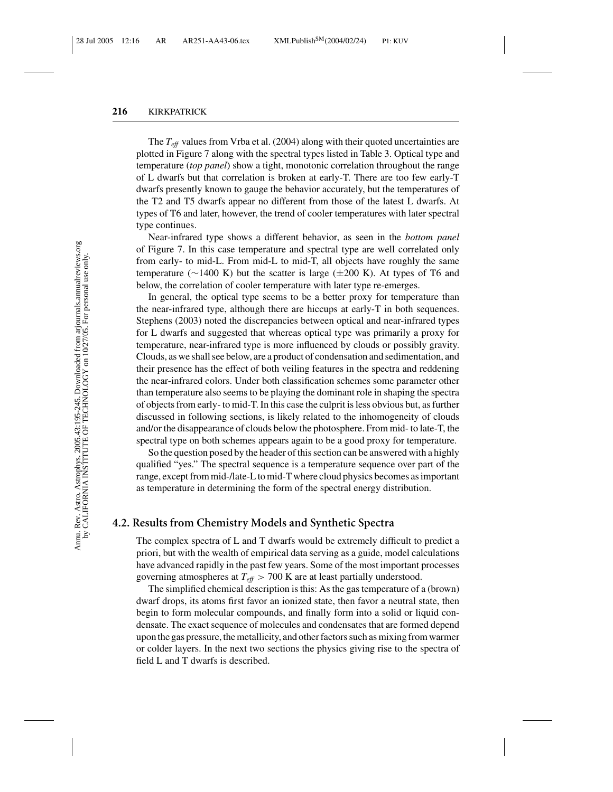The *Teff* values from Vrba et al. (2004) along with their quoted uncertainties are plotted in Figure 7 along with the spectral types listed in Table 3. Optical type and temperature (*top panel*) show a tight, monotonic correlation throughout the range of L dwarfs but that correlation is broken at early-T. There are too few early-T dwarfs presently known to gauge the behavior accurately, but the temperatures of the T2 and T5 dwarfs appear no different from those of the latest L dwarfs. At types of T6 and later, however, the trend of cooler temperatures with later spectral type continues.

Near-infrared type shows a different behavior, as seen in the *bottom panel* of Figure 7. In this case temperature and spectral type are well correlated only from early- to mid-L. From mid-L to mid-T, all objects have roughly the same temperature ( $\sim$ 1400 K) but the scatter is large ( $\pm$ 200 K). At types of T6 and below, the correlation of cooler temperature with later type re-emerges.

In general, the optical type seems to be a better proxy for temperature than the near-infrared type, although there are hiccups at early-T in both sequences. Stephens (2003) noted the discrepancies between optical and near-infrared types for L dwarfs and suggested that whereas optical type was primarily a proxy for temperature, near-infrared type is more influenced by clouds or possibly gravity. Clouds, as we shall see below, are a product of condensation and sedimentation, and their presence has the effect of both veiling features in the spectra and reddening the near-infrared colors. Under both classification schemes some parameter other than temperature also seems to be playing the dominant role in shaping the spectra of objects from early- to mid-T. In this case the culprit is less obvious but, as further discussed in following sections, is likely related to the inhomogeneity of clouds and/or the disappearance of clouds below the photosphere. From mid- to late-T, the spectral type on both schemes appears again to be a good proxy for temperature.

So the question posed by the header of this section can be answered with a highly qualified "yes." The spectral sequence is a temperature sequence over part of the range, except from mid-/late-L to mid-T where cloud physics becomes as important as temperature in determining the form of the spectral energy distribution.

# **4.2. Results from Chemistry Models and Synthetic Spectra**

The complex spectra of L and T dwarfs would be extremely difficult to predict a priori, but with the wealth of empirical data serving as a guide, model calculations have advanced rapidly in the past few years. Some of the most important processes governing atmospheres at  $T_{\text{eff}} > 700$  K are at least partially understood.

The simplified chemical description is this: As the gas temperature of a (brown) dwarf drops, its atoms first favor an ionized state, then favor a neutral state, then begin to form molecular compounds, and finally form into a solid or liquid condensate. The exact sequence of molecules and condensates that are formed depend upon the gas pressure, the metallicity, and other factors such as mixing from warmer or colder layers. In the next two sections the physics giving rise to the spectra of field L and T dwarfs is described.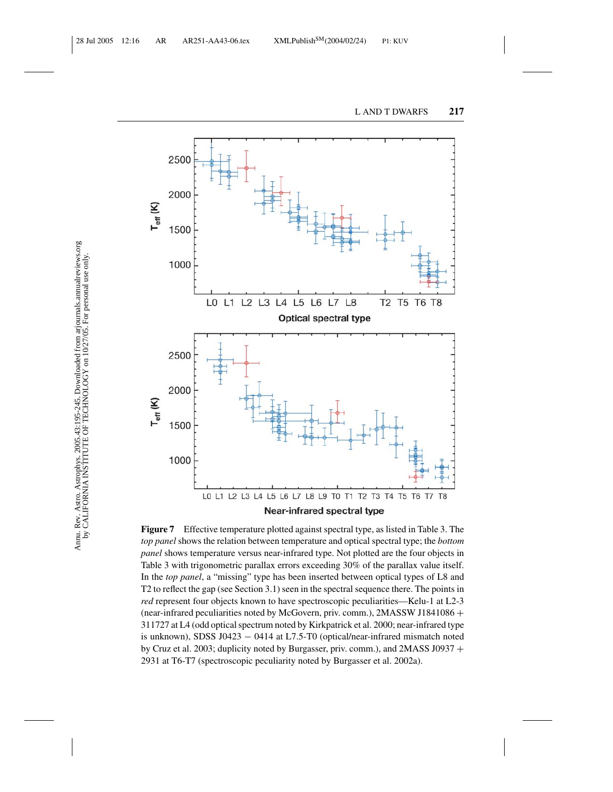

**Figure 7** Effective temperature plotted against spectral type, as listed in Table 3. The *top panel* shows the relation between temperature and optical spectral type; the *bottom panel* shows temperature versus near-infrared type. Not plotted are the four objects in Table 3 with trigonometric parallax errors exceeding 30% of the parallax value itself. In the *top panel*, a "missing" type has been inserted between optical types of L8 and T2 to reflect the gap (see Section 3.1) seen in the spectral sequence there. The points in *red* represent four objects known to have spectroscopic peculiarities—Kelu-1 at L2-3 (near-infrared peculiarities noted by McGovern, priv. comm.), 2MASSW J1841086 + 311727 at L4 (odd optical spectrum noted by Kirkpatrick et al. 2000; near-infrared type is unknown), SDSS J0423 − 0414 at L7.5-T0 (optical/near-infrared mismatch noted by Cruz et al. 2003; duplicity noted by Burgasser, priv. comm.), and 2MASS J0937 + 2931 at T6-T7 (spectroscopic peculiarity noted by Burgasser et al. 2002a).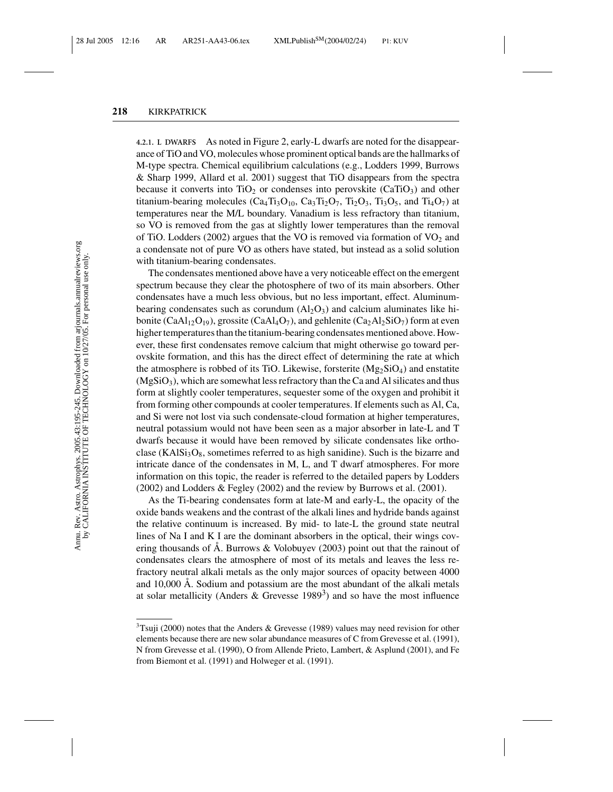**4.2.1. L DWARFS** As noted in Figure 2, early-L dwarfs are noted for the disappearance of TiO and VO, molecules whose prominent optical bands are the hallmarks of M-type spectra. Chemical equilibrium calculations (e.g., Lodders 1999, Burrows & Sharp 1999, Allard et al. 2001) suggest that TiO disappears from the spectra because it converts into  $TiO<sub>2</sub>$  or condenses into perovskite (CaTiO<sub>3</sub>) and other titanium-bearing molecules  $(Ca_4Ti_3O_{10}, Ca_3Ti_2O_7, Ti_2O_3, Ti_3O_5$ , and  $Ti_4O_7$ ) at temperatures near the M/L boundary. Vanadium is less refractory than titanium, so VO is removed from the gas at slightly lower temperatures than the removal of TiO. Lodders (2002) argues that the VO is removed via formation of  $VO<sub>2</sub>$  and a condensate not of pure VO as others have stated, but instead as a solid solution with titanium-bearing condensates.

The condensates mentioned above have a very noticeable effect on the emergent spectrum because they clear the photosphere of two of its main absorbers. Other condensates have a much less obvious, but no less important, effect. Aluminumbearing condensates such as corundum  $(A_1\Omega_3)$  and calcium aluminates like hibonite (CaAl<sub>12</sub>O<sub>19</sub>), grossite (CaAl<sub>4</sub>O<sub>7</sub>), and gehlenite (Ca<sub>2</sub>Al<sub>2</sub>SiO<sub>7</sub>) form at even higher temperatures than the titanium-bearing condensates mentioned above. However, these first condensates remove calcium that might otherwise go toward perovskite formation, and this has the direct effect of determining the rate at which the atmosphere is robbed of its TiO. Likewise, forsterite  $(Mg_2SiO_4)$  and enstatite  $(MgSiO<sub>3</sub>)$ , which are somewhat less refractory than the Ca and Al silicates and thus form at slightly cooler temperatures, sequester some of the oxygen and prohibit it from forming other compounds at cooler temperatures. If elements such as Al, Ca, and Si were not lost via such condensate-cloud formation at higher temperatures, neutral potassium would not have been seen as a major absorber in late-L and T dwarfs because it would have been removed by silicate condensates like orthoclase (KAl $Si<sub>3</sub>O<sub>8</sub>$ , sometimes referred to as high sanidine). Such is the bizarre and intricate dance of the condensates in M, L, and T dwarf atmospheres. For more information on this topic, the reader is referred to the detailed papers by Lodders (2002) and Lodders & Fegley (2002) and the review by Burrows et al. (2001).

As the Ti-bearing condensates form at late-M and early-L, the opacity of the oxide bands weakens and the contrast of the alkali lines and hydride bands against the relative continuum is increased. By mid- to late-L the ground state neutral lines of Na I and K I are the dominant absorbers in the optical, their wings covering thousands of A. Burrows & Volobuyev  $(2003)$  point out that the rainout of condensates clears the atmosphere of most of its metals and leaves the less refractory neutral alkali metals as the only major sources of opacity between 4000 and  $10,000$  Å. Sodium and potassium are the most abundant of the alkali metals at solar metallicity (Anders & Grevesse  $1989<sup>3</sup>$ ) and so have the most influence

<sup>&</sup>lt;sup>3</sup>Tsuji (2000) notes that the Anders & Grevesse (1989) values may need revision for other elements because there are new solar abundance measures of C from Grevesse et al. (1991), N from Grevesse et al. (1990), O from Allende Prieto, Lambert, & Asplund (2001), and Fe from Biemont et al. (1991) and Holweger et al. (1991).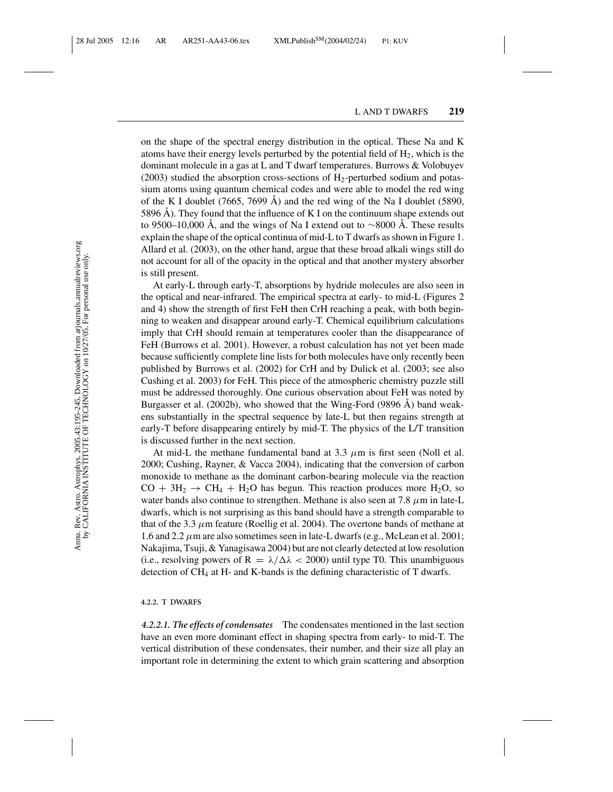on the shape of the spectral energy distribution in the optical. These Na and K atoms have their energy levels perturbed by the potential field of  $H_2$ , which is the dominant molecule in a gas at L and T dwarf temperatures. Burrows & Volobuyev  $(2003)$  studied the absorption cross-sections of H<sub>2</sub>-perturbed sodium and potassium atoms using quantum chemical codes and were able to model the red wing of the K I doublet (7665, 7699 Å) and the red wing of the Na I doublet (5890, 5896  $\AA$ ). They found that the influence of K I on the continuum shape extends out to 9500–10,000 Å, and the wings of Na I extend out to  $\sim$ 8000 Å. These results explain the shape of the optical continua of mid-L to T dwarfs as shown in Figure 1. Allard et al. (2003), on the other hand, argue that these broad alkali wings still do not account for all of the opacity in the optical and that another mystery absorber is still present.

At early-L through early-T, absorptions by hydride molecules are also seen in the optical and near-infrared. The empirical spectra at early- to mid-L (Figures 2 and 4) show the strength of first FeH then CrH reaching a peak, with both beginning to weaken and disappear around early-T. Chemical equilibrium calculations imply that CrH should remain at temperatures cooler than the disappearance of FeH (Burrows et al. 2001). However, a robust calculation has not yet been made because sufficiently complete line lists for both molecules have only recently been published by Burrows et al. (2002) for CrH and by Dulick et al. (2003; see also Cushing et al. 2003) for FeH. This piece of the atmospheric chemistry puzzle still must be addressed thoroughly. One curious observation about FeH was noted by Burgasser et al. (2002b), who showed that the Wing-Ford (9896 A) band weakens substantially in the spectral sequence by late-L but then regains strength at early-T before disappearing entirely by mid-T. The physics of the L/T transition is discussed further in the next section.

At mid-L the methane fundamental band at 3.3  $\mu$ m is first seen (Noll et al. 2000; Cushing, Rayner, & Vacca 2004), indicating that the conversion of carbon monoxide to methane as the dominant carbon-bearing molecule via the reaction  $CO + 3H_2 \rightarrow CH_4 + H_2O$  has begun. This reaction produces more H<sub>2</sub>O, so water bands also continue to strengthen. Methane is also seen at 7.8  $\mu$ m in late-L dwarfs, which is not surprising as this band should have a strength comparable to that of the 3.3  $\mu$ m feature (Roellig et al. 2004). The overtone bands of methane at 1.6 and 2.2  $\mu$ m are also sometimes seen in late-L dwarfs (e.g., McLean et al. 2001; Nakajima, Tsuji, & Yanagisawa 2004) but are not clearly detected at low resolution (i.e., resolving powers of R =  $\lambda/\Delta\lambda$  < 2000) until type T0. This unambiguous detection of CH<sub>4</sub> at H- and K-bands is the defining characteristic of T dwarfs.

#### **4.2.2. T DWARFS**

*4.2.2.1. The effects of condensates* The condensates mentioned in the last section have an even more dominant effect in shaping spectra from early- to mid-T. The vertical distribution of these condensates, their number, and their size all play an important role in determining the extent to which grain scattering and absorption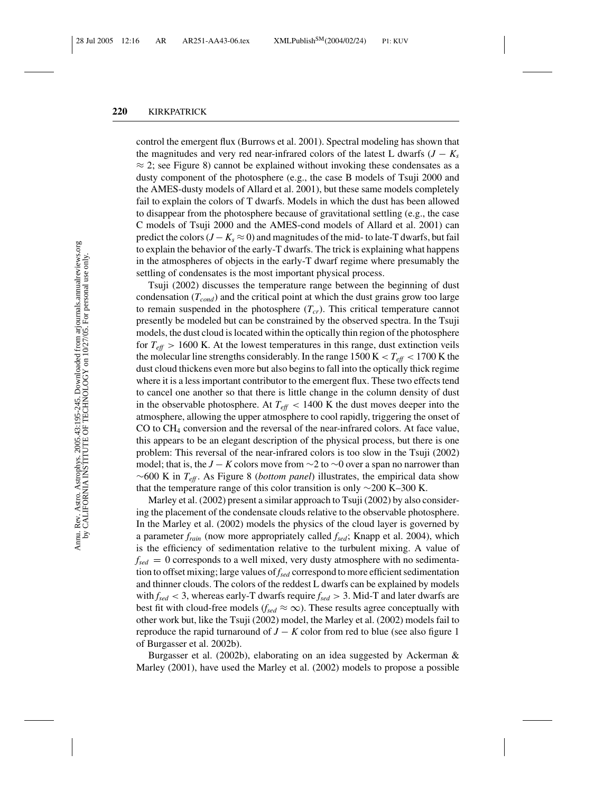control the emergent flux (Burrows et al. 2001). Spectral modeling has shown that the magnitudes and very red near-infrared colors of the latest L dwarfs  $(J - K_s)$  $\approx$  2; see Figure 8) cannot be explained without invoking these condensates as a dusty component of the photosphere (e.g., the case B models of Tsuji 2000 and the AMES-dusty models of Allard et al. 2001), but these same models completely fail to explain the colors of T dwarfs. Models in which the dust has been allowed to disappear from the photosphere because of gravitational settling (e.g., the case C models of Tsuji 2000 and the AMES-cond models of Allard et al. 2001) can predict the colors ( $J - K_s \approx 0$ ) and magnitudes of the mid- to late-T dwarfs, but fail to explain the behavior of the early-T dwarfs. The trick is explaining what happens in the atmospheres of objects in the early-T dwarf regime where presumably the settling of condensates is the most important physical process.

Tsuji (2002) discusses the temperature range between the beginning of dust condensation  $(T_{cond})$  and the critical point at which the dust grains grow too large to remain suspended in the photosphere  $(T_{cr})$ . This critical temperature cannot presently be modeled but can be constrained by the observed spectra. In the Tsuji models, the dust cloud is located within the optically thin region of the photosphere for  $T_{\text{eff}} > 1600$  K. At the lowest temperatures in this range, dust extinction veils the molecular line strengths considerably. In the range  $1500 \text{ K} < T_{\text{eff}} < 1700 \text{ K}$  the dust cloud thickens even more but also begins to fall into the optically thick regime where it is a less important contributor to the emergent flux. These two effects tend to cancel one another so that there is little change in the column density of dust in the observable photosphere. At  $T_{\text{eff}} < 1400$  K the dust moves deeper into the atmosphere, allowing the upper atmosphere to cool rapidly, triggering the onset of CO to CH4 conversion and the reversal of the near-infrared colors. At face value, this appears to be an elegant description of the physical process, but there is one problem: This reversal of the near-infrared colors is too slow in the Tsuji (2002) model; that is, the *J* − *K* colors move from  $\sim$ 2 to  $\sim$ 0 over a span no narrower than ∼600 K in *Teff* . As Figure 8 (*bottom panel*) illustrates, the empirical data show that the temperature range of this color transition is only  $\sim$ 200 K–300 K.

Marley et al. (2002) present a similar approach to Tsuji (2002) by also considering the placement of the condensate clouds relative to the observable photosphere. In the Marley et al. (2002) models the physics of the cloud layer is governed by a parameter *frain* (now more appropriately called *fsed*; Knapp et al. 2004), which is the efficiency of sedimentation relative to the turbulent mixing. A value of  $f_{\text{sed}} = 0$  corresponds to a well mixed, very dusty atmosphere with no sedimentation to offset mixing; large values of*fsed* correspond to more efficient sedimentation and thinner clouds. The colors of the reddest L dwarfs can be explained by models with  $f_{\text{sed}} < 3$ , whereas early-T dwarfs require  $f_{\text{sed}} > 3$ . Mid-T and later dwarfs are best fit with cloud-free models ( $f_{\text{sed}} \approx \infty$ ). These results agree conceptually with other work but, like the Tsuji (2002) model, the Marley et al. (2002) models fail to reproduce the rapid turnaround of  $J - K$  color from red to blue (see also figure 1 of Burgasser et al. 2002b).

Burgasser et al. (2002b), elaborating on an idea suggested by Ackerman & Marley (2001), have used the Marley et al. (2002) models to propose a possible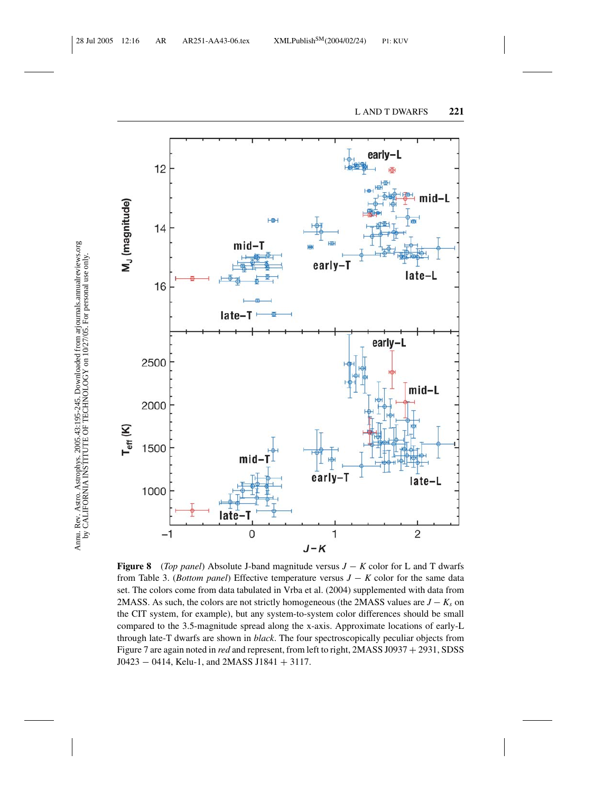

**Figure 8** (*Top panel*) Absolute J-band magnitude versus *J* − *K* color for L and T dwarfs from Table 3. (*Bottom panel*) Effective temperature versus *J* − *K* color for the same data set. The colors come from data tabulated in Vrba et al. (2004) supplemented with data from 2MASS. As such, the colors are not strictly homogeneous (the 2MASS values are  $J - K_s$  on the CIT system, for example), but any system-to-system color differences should be small compared to the 3.5-magnitude spread along the x-axis. Approximate locations of early-L through late-T dwarfs are shown in *black*. The four spectroscopically peculiar objects from Figure 7 are again noted in *red* and represent, from left to right, 2MASS J0937 + 2931, SDSS J0423 − 0414, Kelu-1, and 2MASS J1841 + 3117.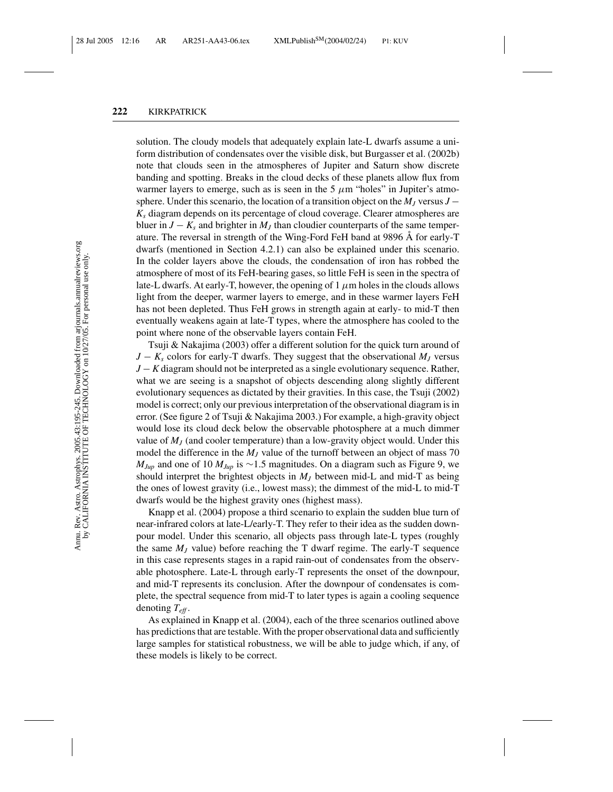solution. The cloudy models that adequately explain late-L dwarfs assume a uniform distribution of condensates over the visible disk, but Burgasser et al. (2002b) note that clouds seen in the atmospheres of Jupiter and Saturn show discrete banding and spotting. Breaks in the cloud decks of these planets allow flux from warmer layers to emerge, such as is seen in the 5  $\mu$ m "holes" in Jupiter's atmosphere. Under this scenario, the location of a transition object on the  $M_J$  versus  $J -$ *Ks* diagram depends on its percentage of cloud coverage. Clearer atmospheres are bluer in  $J - K_s$  and brighter in  $M_J$  than cloudier counterparts of the same temperature. The reversal in strength of the Wing-Ford FeH band at 9896 A for early-T dwarfs (mentioned in Section 4.2.1) can also be explained under this scenario. In the colder layers above the clouds, the condensation of iron has robbed the atmosphere of most of its FeH-bearing gases, so little FeH is seen in the spectra of late-L dwarfs. At early-T, however, the opening of  $1 \mu m$  holes in the clouds allows light from the deeper, warmer layers to emerge, and in these warmer layers FeH has not been depleted. Thus FeH grows in strength again at early- to mid-T then eventually weakens again at late-T types, where the atmosphere has cooled to the point where none of the observable layers contain FeH.

Tsuji & Nakajima (2003) offer a different solution for the quick turn around of  $J - K_s$  colors for early-T dwarfs. They suggest that the observational  $M_J$  versus *J* − *K* diagram should not be interpreted as a single evolutionary sequence. Rather, what we are seeing is a snapshot of objects descending along slightly different evolutionary sequences as dictated by their gravities. In this case, the Tsuji (2002) model is correct; only our previous interpretation of the observational diagram is in error. (See figure 2 of Tsuji & Nakajima 2003.) For example, a high-gravity object would lose its cloud deck below the observable photosphere at a much dimmer value of *MJ* (and cooler temperature) than a low-gravity object would. Under this model the difference in the  $M_J$  value of the turnoff between an object of mass 70 *M<sub>Jup</sub>* and one of 10 *M<sub>Jup</sub>* is ∼1.5 magnitudes. On a diagram such as Figure 9, we should interpret the brightest objects in  $M<sub>J</sub>$  between mid-L and mid-T as being the ones of lowest gravity (i.e., lowest mass); the dimmest of the mid-L to mid-T dwarfs would be the highest gravity ones (highest mass).

Knapp et al. (2004) propose a third scenario to explain the sudden blue turn of near-infrared colors at late-L/early-T. They refer to their idea as the sudden downpour model. Under this scenario, all objects pass through late-L types (roughly the same  $M_J$  value) before reaching the T dwarf regime. The early-T sequence in this case represents stages in a rapid rain-out of condensates from the observable photosphere. Late-L through early-T represents the onset of the downpour, and mid-T represents its conclusion. After the downpour of condensates is complete, the spectral sequence from mid-T to later types is again a cooling sequence denoting *Teff* .

As explained in Knapp et al. (2004), each of the three scenarios outlined above has predictions that are testable. With the proper observational data and sufficiently large samples for statistical robustness, we will be able to judge which, if any, of these models is likely to be correct.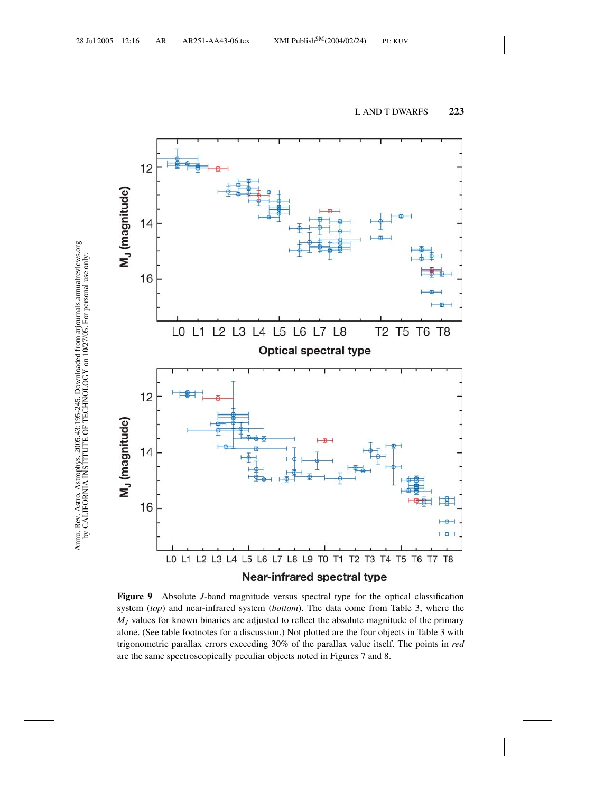

**Figure 9** Absolute *J*-band magnitude versus spectral type for the optical classification system (*top*) and near-infrared system (*bottom*). The data come from Table 3, where the *MJ* values for known binaries are adjusted to reflect the absolute magnitude of the primary alone. (See table footnotes for a discussion.) Not plotted are the four objects in Table 3 with trigonometric parallax errors exceeding 30% of the parallax value itself. The points in *red* are the same spectroscopically peculiar objects noted in Figures 7 and 8.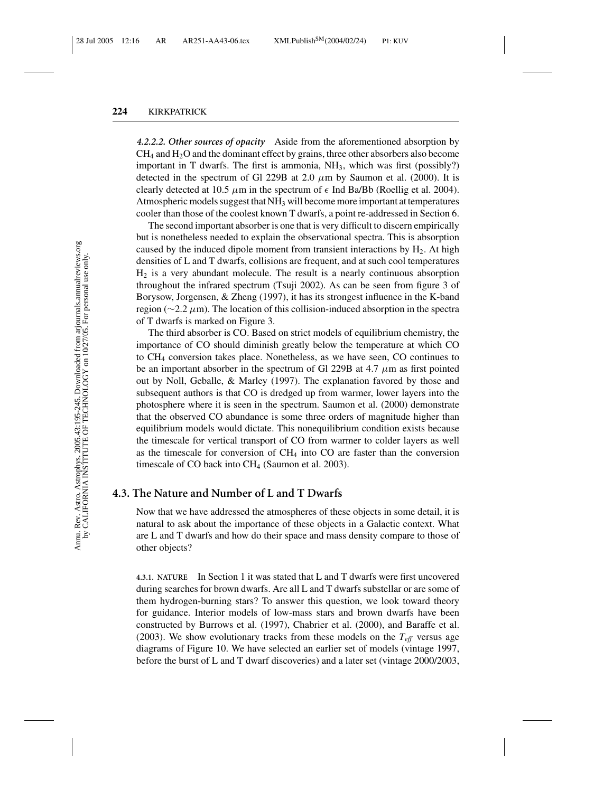*4.2.2.2. Other sources of opacity* Aside from the aforementioned absorption by  $CH<sub>4</sub>$  and  $H<sub>2</sub>O$  and the dominant effect by grains, three other absorbers also become important in T dwarfs. The first is ammonia,  $NH<sub>3</sub>$ , which was first (possibly?) detected in the spectrum of Gl 229B at 2.0  $\mu$ m by Saumon et al. (2000). It is clearly detected at 10.5  $\mu$ m in the spectrum of  $\epsilon$  Ind Ba/Bb (Roellig et al. 2004). Atmospheric models suggest that NH3 will become more important at temperatures cooler than those of the coolest known T dwarfs, a point re-addressed in Section 6.

The second important absorber is one that is very difficult to discern empirically but is nonetheless needed to explain the observational spectra. This is absorption caused by the induced dipole moment from transient interactions by  $H_2$ . At high densities of L and T dwarfs, collisions are frequent, and at such cool temperatures  $H_2$  is a very abundant molecule. The result is a nearly continuous absorption throughout the infrared spectrum (Tsuji 2002). As can be seen from figure 3 of Borysow, Jorgensen, & Zheng (1997), it has its strongest influence in the K-band region ( $\sim$ 2.2  $\mu$ m). The location of this collision-induced absorption in the spectra of T dwarfs is marked on Figure 3.

The third absorber is CO. Based on strict models of equilibrium chemistry, the importance of CO should diminish greatly below the temperature at which CO to CH4 conversion takes place. Nonetheless, as we have seen, CO continues to be an important absorber in the spectrum of Gl 229B at 4.7  $\mu$ m as first pointed out by Noll, Geballe, & Marley (1997). The explanation favored by those and subsequent authors is that CO is dredged up from warmer, lower layers into the photosphere where it is seen in the spectrum. Saumon et al. (2000) demonstrate that the observed CO abundance is some three orders of magnitude higher than equilibrium models would dictate. This nonequilibrium condition exists because the timescale for vertical transport of CO from warmer to colder layers as well as the timescale for conversion of  $CH<sub>4</sub>$  into CO are faster than the conversion timescale of CO back into  $CH_4$  (Saumon et al. 2003).

### **4.3. The Nature and Number of L and T Dwarfs**

Now that we have addressed the atmospheres of these objects in some detail, it is natural to ask about the importance of these objects in a Galactic context. What are L and T dwarfs and how do their space and mass density compare to those of other objects?

**4.3.1. NATURE** In Section 1 it was stated that L and T dwarfs were first uncovered during searches for brown dwarfs. Are all L and T dwarfs substellar or are some of them hydrogen-burning stars? To answer this question, we look toward theory for guidance. Interior models of low-mass stars and brown dwarfs have been constructed by Burrows et al. (1997), Chabrier et al. (2000), and Baraffe et al. (2003). We show evolutionary tracks from these models on the  $T_{\text{eff}}$  versus age diagrams of Figure 10. We have selected an earlier set of models (vintage 1997, before the burst of L and T dwarf discoveries) and a later set (vintage 2000/2003,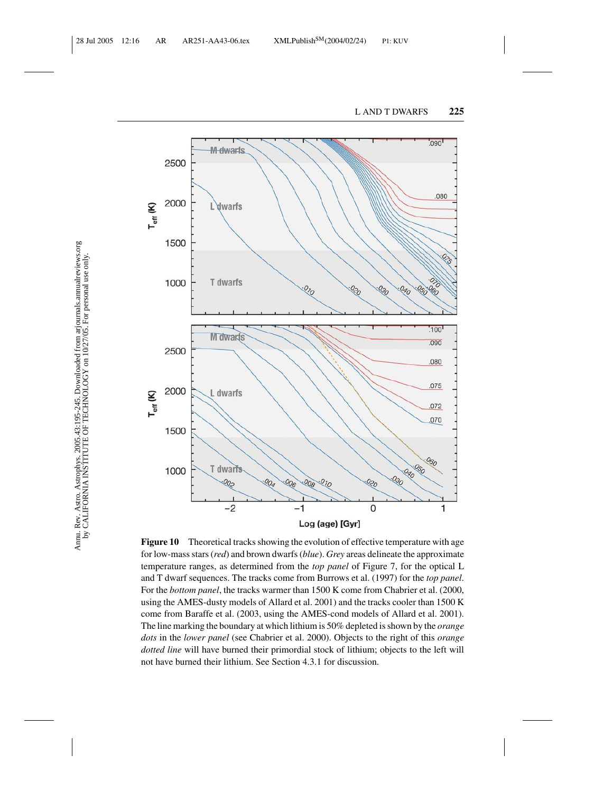

**Figure 10** Theoretical tracks showing the evolution of effective temperature with age for low-mass stars (*red*) and brown dwarfs (*blue*). *Grey* areas delineate the approximate temperature ranges, as determined from the *top panel* of Figure 7, for the optical L and T dwarf sequences. The tracks come from Burrows et al. (1997) for the *top panel*. For the *bottom panel*, the tracks warmer than 1500 K come from Chabrier et al. (2000, using the AMES-dusty models of Allard et al. 2001) and the tracks cooler than 1500 K come from Baraffe et al. (2003, using the AMES-cond models of Allard et al. 2001). The line marking the boundary at which lithium is 50% depleted is shown by the *orange dots* in the *lower panel* (see Chabrier et al. 2000). Objects to the right of this *orange dotted line* will have burned their primordial stock of lithium; objects to the left will not have burned their lithium. See Section 4.3.1 for discussion.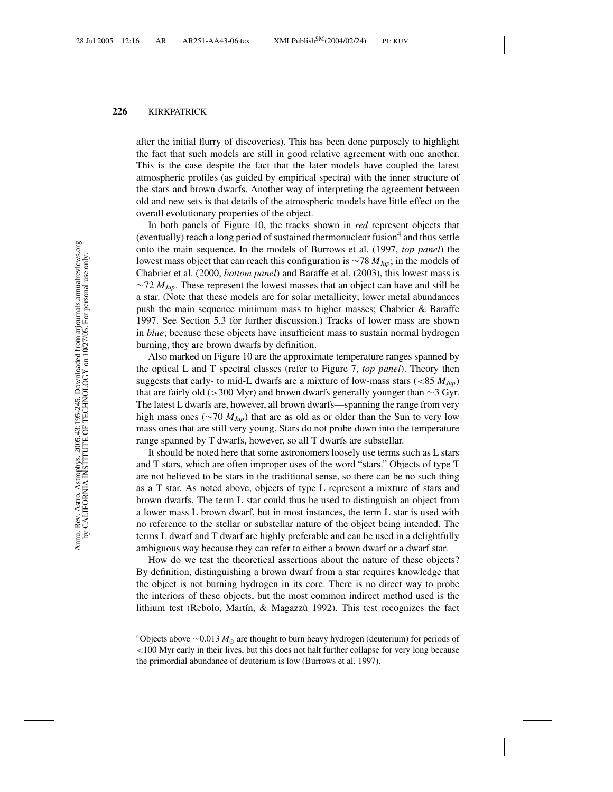after the initial flurry of discoveries). This has been done purposely to highlight the fact that such models are still in good relative agreement with one another. This is the case despite the fact that the later models have coupled the latest atmospheric profiles (as guided by empirical spectra) with the inner structure of the stars and brown dwarfs. Another way of interpreting the agreement between old and new sets is that details of the atmospheric models have little effect on the overall evolutionary properties of the object.

In both panels of Figure 10, the tracks shown in *red* represent objects that (eventually) reach a long period of sustained thermonuclear fusion<sup>4</sup> and thus settle onto the main sequence. In the models of Burrows et al. (1997, *top panel*) the lowest mass object that can reach this configuration is ∼78 *MJup*; in the models of Chabrier et al. (2000, *bottom panel*) and Baraffe et al. (2003), this lowest mass is ∼72 *MJup*. These represent the lowest masses that an object can have and still be a star. (Note that these models are for solar metallicity; lower metal abundances push the main sequence minimum mass to higher masses; Chabrier & Baraffe 1997. See Section 5.3 for further discussion.) Tracks of lower mass are shown in *blue*; because these objects have insufficient mass to sustain normal hydrogen burning, they are brown dwarfs by definition.

Also marked on Figure 10 are the approximate temperature ranges spanned by the optical L and T spectral classes (refer to Figure 7, *top panel*). Theory then suggests that early- to mid-L dwarfs are a mixture of low-mass stars  $\left(\frac{85 M_{Jup}}{\text{s}}\right)$ that are fairly old (>300 Myr) and brown dwarfs generally younger than  $\sim$ 3 Gyr. The latest L dwarfs are, however, all brown dwarfs—spanning the range from very high mass ones (∼70 *MJup*) that are as old as or older than the Sun to very low mass ones that are still very young. Stars do not probe down into the temperature range spanned by T dwarfs, however, so all T dwarfs are substellar.

It should be noted here that some astronomers loosely use terms such as L stars and T stars, which are often improper uses of the word "stars." Objects of type T are not believed to be stars in the traditional sense, so there can be no such thing as a T star. As noted above, objects of type L represent a mixture of stars and brown dwarfs. The term L star could thus be used to distinguish an object from a lower mass L brown dwarf, but in most instances, the term L star is used with no reference to the stellar or substellar nature of the object being intended. The terms L dwarf and T dwarf are highly preferable and can be used in a delightfully ambiguous way because they can refer to either a brown dwarf or a dwarf star.

How do we test the theoretical assertions about the nature of these objects? By definition, distinguishing a brown dwarf from a star requires knowledge that the object is not burning hydrogen in its core. There is no direct way to probe the interiors of these objects, but the most common indirect method used is the lithium test (Rebolo, Martín, & Magazzù 1992). This test recognizes the fact

<sup>&</sup>lt;sup>4</sup>Objects above ∼0.013 *M*<sub>☉</sub> are thought to burn heavy hydrogen (deuterium) for periods of <100 Myr early in their lives, but this does not halt further collapse for very long because the primordial abundance of deuterium is low (Burrows et al. 1997).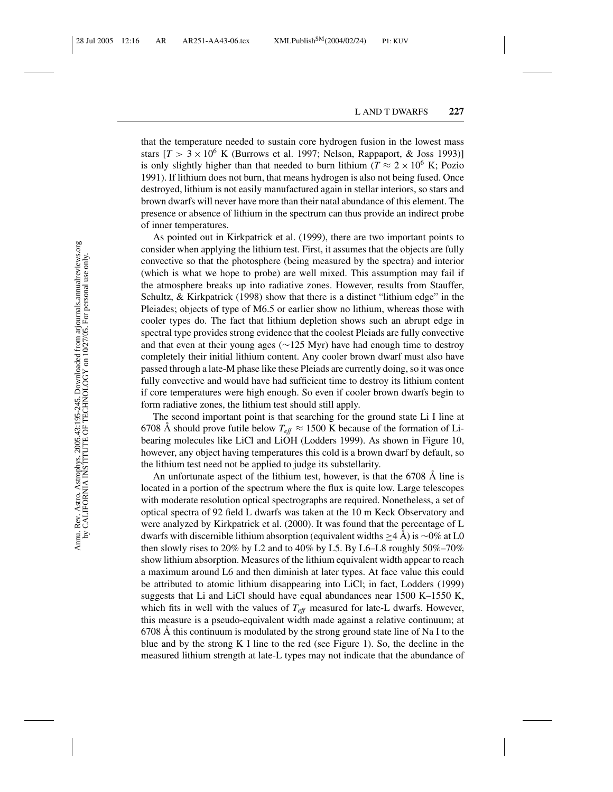that the temperature needed to sustain core hydrogen fusion in the lowest mass stars  $[T > 3 \times 10^6$  K (Burrows et al. 1997; Nelson, Rappaport, & Joss 1993)] is only slightly higher than that needed to burn lithium ( $T \approx 2 \times 10^6$  K; Pozio 1991). If lithium does not burn, that means hydrogen is also not being fused. Once destroyed, lithium is not easily manufactured again in stellar interiors, so stars and brown dwarfs will never have more than their natal abundance of this element. The presence or absence of lithium in the spectrum can thus provide an indirect probe of inner temperatures.

As pointed out in Kirkpatrick et al. (1999), there are two important points to consider when applying the lithium test. First, it assumes that the objects are fully convective so that the photosphere (being measured by the spectra) and interior (which is what we hope to probe) are well mixed. This assumption may fail if the atmosphere breaks up into radiative zones. However, results from Stauffer, Schultz, & Kirkpatrick (1998) show that there is a distinct "lithium edge" in the Pleiades; objects of type of M6.5 or earlier show no lithium, whereas those with cooler types do. The fact that lithium depletion shows such an abrupt edge in spectral type provides strong evidence that the coolest Pleiads are fully convective and that even at their young ages (∼125 Myr) have had enough time to destroy completely their initial lithium content. Any cooler brown dwarf must also have passed through a late-M phase like these Pleiads are currently doing, so it was once fully convective and would have had sufficient time to destroy its lithium content if core temperatures were high enough. So even if cooler brown dwarfs begin to form radiative zones, the lithium test should still apply.

The second important point is that searching for the ground state Li I line at 6708 Å should prove futile below  $T_{\text{eff}} \approx 1500$  K because of the formation of Libearing molecules like LiCl and LiOH (Lodders 1999). As shown in Figure 10, however, any object having temperatures this cold is a brown dwarf by default, so the lithium test need not be applied to judge its substellarity.

An unfortunate aspect of the lithium test, however, is that the  $6708 \text{ Å}$  line is located in a portion of the spectrum where the flux is quite low. Large telescopes with moderate resolution optical spectrographs are required. Nonetheless, a set of optical spectra of 92 field L dwarfs was taken at the 10 m Keck Observatory and were analyzed by Kirkpatrick et al. (2000). It was found that the percentage of L dwarfs with discernible lithium absorption (equivalent widths  $\geq$ 4 Å) is ∼0% at L0 then slowly rises to 20% by L2 and to 40% by L5. By L6–L8 roughly 50%–70% show lithium absorption. Measures of the lithium equivalent width appear to reach a maximum around L6 and then diminish at later types. At face value this could be attributed to atomic lithium disappearing into LiCl; in fact, Lodders (1999) suggests that Li and LiCl should have equal abundances near  $1500 K - 1550 K$ , which fits in well with the values of  $T<sub>eff</sub>$  measured for late-L dwarfs. However, this measure is a pseudo-equivalent width made against a relative continuum; at 6708 A this continuum is modulated by the strong ground state line of Na I to the blue and by the strong K I line to the red (see Figure 1). So, the decline in the measured lithium strength at late-L types may not indicate that the abundance of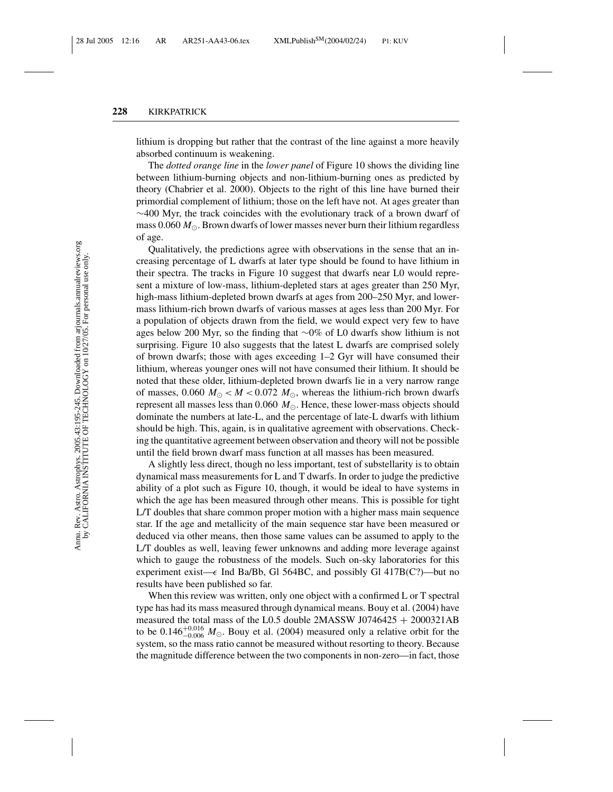lithium is dropping but rather that the contrast of the line against a more heavily absorbed continuum is weakening.

The *dotted orange line* in the *lower panel* of Figure 10 shows the dividing line between lithium-burning objects and non-lithium-burning ones as predicted by theory (Chabrier et al. 2000). Objects to the right of this line have burned their primordial complement of lithium; those on the left have not. At ages greater than ∼400 Myr, the track coincides with the evolutionary track of a brown dwarf of mass  $0.060~M_\odot$ . Brown dwarfs of lower masses never burn their lithium regardless of age.

Qualitatively, the predictions agree with observations in the sense that an increasing percentage of L dwarfs at later type should be found to have lithium in their spectra. The tracks in Figure 10 suggest that dwarfs near L0 would represent a mixture of low-mass, lithium-depleted stars at ages greater than 250 Myr, high-mass lithium-depleted brown dwarfs at ages from 200–250 Myr, and lowermass lithium-rich brown dwarfs of various masses at ages less than 200 Myr. For a population of objects drawn from the field, we would expect very few to have ages below 200 Myr, so the finding that ∼0% of L0 dwarfs show lithium is not surprising. Figure 10 also suggests that the latest L dwarfs are comprised solely of brown dwarfs; those with ages exceeding 1–2 Gyr will have consumed their lithium, whereas younger ones will not have consumed their lithium. It should be noted that these older, lithium-depleted brown dwarfs lie in a very narrow range of masses, 0.060  $M_{\odot}$  <  $M$  < 0.072  $M_{\odot}$ , whereas the lithium-rich brown dwarfs represent all masses less than  $0.060\,M_\odot$ . Hence, these lower-mass objects should dominate the numbers at late-L, and the percentage of late-L dwarfs with lithium should be high. This, again, is in qualitative agreement with observations. Checking the quantitative agreement between observation and theory will not be possible until the field brown dwarf mass function at all masses has been measured.

A slightly less direct, though no less important, test of substellarity is to obtain dynamical mass measurements for L and T dwarfs. In order to judge the predictive ability of a plot such as Figure 10, though, it would be ideal to have systems in which the age has been measured through other means. This is possible for tight L/T doubles that share common proper motion with a higher mass main sequence star. If the age and metallicity of the main sequence star have been measured or deduced via other means, then those same values can be assumed to apply to the L/T doubles as well, leaving fewer unknowns and adding more leverage against which to gauge the robustness of the models. Such on-sky laboratories for this experiment exist— $\epsilon$  Ind Ba/Bb, Gl 564BC, and possibly Gl 417B(C?)—but no results have been published so far.

When this review was written, only one object with a confirmed L or T spectral type has had its mass measured through dynamical means. Bouy et al. (2004) have measured the total mass of the L0.5 double 2MASSW J0746425 + 2000321AB to be  $0.146_{-0.006}^{+0.016}$   $M_{\odot}$ . Bouy et al. (2004) measured only a relative orbit for the system, so the mass ratio cannot be measured without resorting to theory. Because the magnitude difference between the two components in non-zero—in fact, those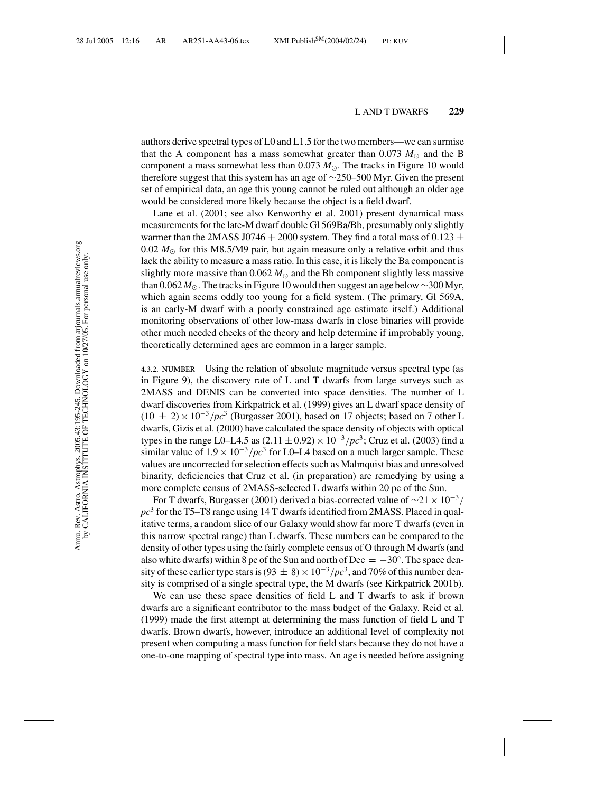authors derive spectral types of L0 and L1.5 for the two members—we can surmise that the A component has a mass somewhat greater than  $0.073 M_{\odot}$  and the B component a mass somewhat less than 0.073 *M* . The tracks in Figure 10 would therefore suggest that this system has an age of ∼250–500 Myr. Given the present set of empirical data, an age this young cannot be ruled out although an older age would be considered more likely because the object is a field dwarf.

Lane et al. (2001; see also Kenworthy et al. 2001) present dynamical mass measurements for the late-M dwarf double Gl 569Ba/Bb, presumably only slightly warmer than the 2MASS J0746 + 2000 system. They find a total mass of 0.123  $\pm$  $0.02 M_{\odot}$  for this M8.5/M9 pair, but again measure only a relative orbit and thus lack the ability to measure a mass ratio. In this case, it is likely the Ba component is slightly more massive than  $0.062 M_{\odot}$  and the Bb component slightly less massive than  $0.062$  *M*<sub>⊙</sub>. The tracks in Figure 10 would then suggest an age below  $\sim$ 300 Myr, which again seems oddly too young for a field system. (The primary, Gl 569A, is an early-M dwarf with a poorly constrained age estimate itself.) Additional monitoring observations of other low-mass dwarfs in close binaries will provide other much needed checks of the theory and help determine if improbably young, theoretically determined ages are common in a larger sample.

**4.3.2. NUMBER** Using the relation of absolute magnitude versus spectral type (as in Figure 9), the discovery rate of L and T dwarfs from large surveys such as 2MASS and DENIS can be converted into space densities. The number of L dwarf discoveries from Kirkpatrick et al. (1999) gives an L dwarf space density of  $(10 \pm 2) \times 10^{-3}$  /pc<sup>3</sup> (Burgasser 2001), based on 17 objects; based on 7 other L dwarfs, Gizis et al. (2000) have calculated the space density of objects with optical types in the range L0–L4.5 as  $(2.11 \pm 0.92) \times 10^{-3}$  /pc<sup>3</sup>; Cruz et al. (2003) find a similar value of  $1.9 \times 10^{-3}/pc^3$  for L0–L4 based on a much larger sample. These values are uncorrected for selection effects such as Malmquist bias and unresolved binarity, deficiencies that Cruz et al. (in preparation) are remedying by using a more complete census of 2MASS-selected L dwarfs within 20 pc of the Sun.

For T dwarfs, Burgasser (2001) derived a bias-corrected value of  $\sim$ 21 × 10<sup>-3</sup>/ *pc*<sup>3</sup> for the T5–T8 range using 14 T dwarfs identified from 2MASS. Placed in qualitative terms, a random slice of our Galaxy would show far more T dwarfs (even in this narrow spectral range) than L dwarfs. These numbers can be compared to the density of other types using the fairly complete census of O through M dwarfs (and also white dwarfs) within 8 pc of the Sun and north of Dec  $= -30^\circ$ . The space density of these earlier type stars is (93  $\pm$  8) × 10<sup>-3</sup>/ $pc$ <sup>3</sup>, and 70% of this number density is comprised of a single spectral type, the M dwarfs (see Kirkpatrick 2001b).

We can use these space densities of field L and T dwarfs to ask if brown dwarfs are a significant contributor to the mass budget of the Galaxy. Reid et al. (1999) made the first attempt at determining the mass function of field L and T dwarfs. Brown dwarfs, however, introduce an additional level of complexity not present when computing a mass function for field stars because they do not have a one-to-one mapping of spectral type into mass. An age is needed before assigning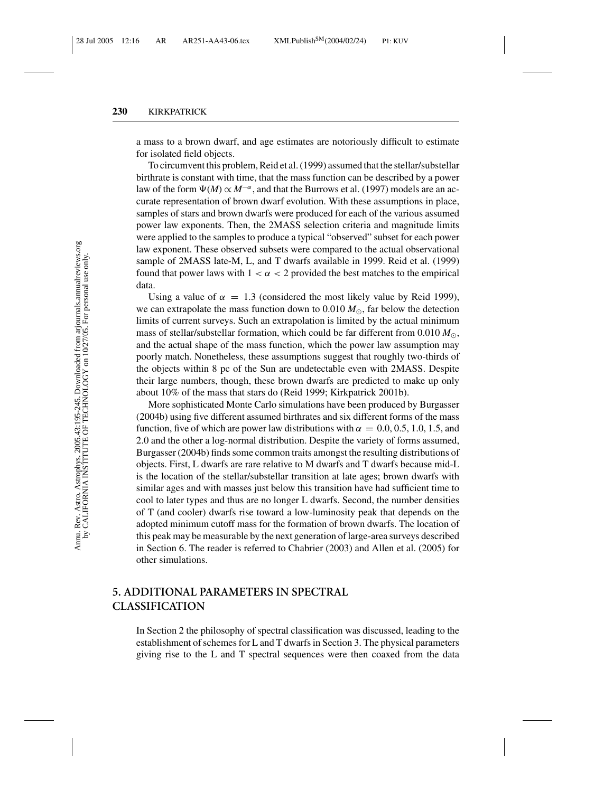a mass to a brown dwarf, and age estimates are notoriously difficult to estimate for isolated field objects.

To circumvent this problem, Reid et al. (1999) assumed that the stellar/substellar birthrate is constant with time, that the mass function can be described by a power law of the form  $\Psi(M) \propto M^{-\alpha}$ , and that the Burrows et al. (1997) models are an accurate representation of brown dwarf evolution. With these assumptions in place, samples of stars and brown dwarfs were produced for each of the various assumed power law exponents. Then, the 2MASS selection criteria and magnitude limits were applied to the samples to produce a typical "observed" subset for each power law exponent. These observed subsets were compared to the actual observational sample of 2MASS late-M, L, and T dwarfs available in 1999. Reid et al. (1999) found that power laws with  $1 < \alpha < 2$  provided the best matches to the empirical data.

Using a value of  $\alpha = 1.3$  (considered the most likely value by Reid 1999), we can extrapolate the mass function down to  $0.010 M_{\odot}$ , far below the detection limits of current surveys. Such an extrapolation is limited by the actual minimum mass of stellar/substellar formation, which could be far different from  $0.010 M_{\odot}$ , and the actual shape of the mass function, which the power law assumption may poorly match. Nonetheless, these assumptions suggest that roughly two-thirds of the objects within 8 pc of the Sun are undetectable even with 2MASS. Despite their large numbers, though, these brown dwarfs are predicted to make up only about 10% of the mass that stars do (Reid 1999; Kirkpatrick 2001b).

More sophisticated Monte Carlo simulations have been produced by Burgasser (2004b) using five different assumed birthrates and six different forms of the mass function, five of which are power law distributions with  $\alpha = 0.0, 0.5, 1.0, 1.5,$  and 2.0 and the other a log-normal distribution. Despite the variety of forms assumed, Burgasser (2004b) finds some common traits amongst the resulting distributions of objects. First, L dwarfs are rare relative to M dwarfs and T dwarfs because mid-L is the location of the stellar/substellar transition at late ages; brown dwarfs with similar ages and with masses just below this transition have had sufficient time to cool to later types and thus are no longer L dwarfs. Second, the number densities of T (and cooler) dwarfs rise toward a low-luminosity peak that depends on the adopted minimum cutoff mass for the formation of brown dwarfs. The location of this peak may be measurable by the next generation of large-area surveys described in Section 6. The reader is referred to Chabrier (2003) and Allen et al. (2005) for other simulations.

# **5. ADDITIONAL PARAMETERS IN SPECTRAL CLASSIFICATION**

In Section 2 the philosophy of spectral classification was discussed, leading to the establishment of schemes for L and T dwarfs in Section 3. The physical parameters giving rise to the L and T spectral sequences were then coaxed from the data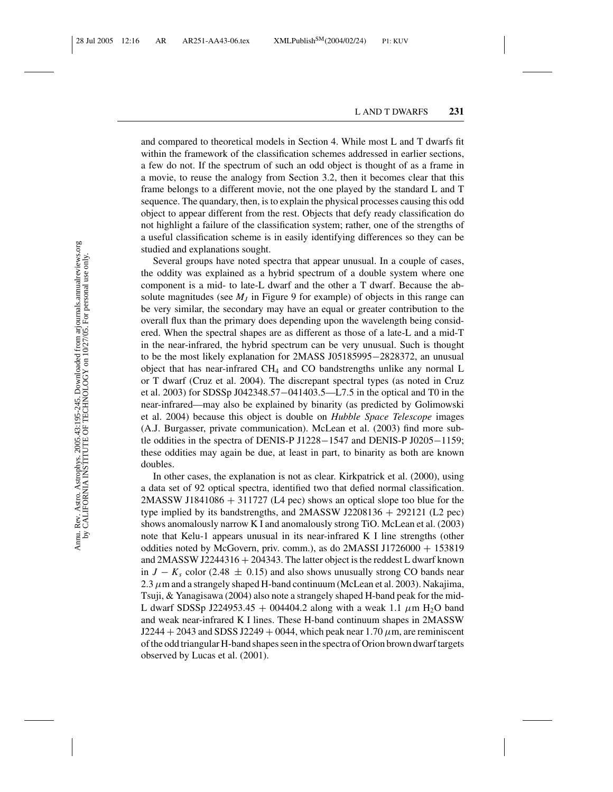and compared to theoretical models in Section 4. While most L and T dwarfs fit within the framework of the classification schemes addressed in earlier sections, a few do not. If the spectrum of such an odd object is thought of as a frame in a movie, to reuse the analogy from Section 3.2, then it becomes clear that this frame belongs to a different movie, not the one played by the standard L and T sequence. The quandary, then, is to explain the physical processes causing this odd object to appear different from the rest. Objects that defy ready classification do not highlight a failure of the classification system; rather, one of the strengths of a useful classification scheme is in easily identifying differences so they can be studied and explanations sought.

Several groups have noted spectra that appear unusual. In a couple of cases, the oddity was explained as a hybrid spectrum of a double system where one component is a mid- to late-L dwarf and the other a T dwarf. Because the absolute magnitudes (see  $M<sub>J</sub>$  in Figure 9 for example) of objects in this range can be very similar, the secondary may have an equal or greater contribution to the overall flux than the primary does depending upon the wavelength being considered. When the spectral shapes are as different as those of a late-L and a mid-T in the near-infrared, the hybrid spectrum can be very unusual. Such is thought to be the most likely explanation for 2MASS J05185995−2828372, an unusual object that has near-infrared  $CH_4$  and CO bandstrengths unlike any normal L or T dwarf (Cruz et al. 2004). The discrepant spectral types (as noted in Cruz et al. 2003) for SDSSp J042348.57−041403.5—L7.5 in the optical and T0 in the near-infrared—may also be explained by binarity (as predicted by Golimowski et al. 2004) because this object is double on *Hubble Space Telescope* images (A.J. Burgasser, private communication). McLean et al. (2003) find more subtle oddities in the spectra of DENIS-P J1228−1547 and DENIS-P J0205−1159; these oddities may again be due, at least in part, to binarity as both are known doubles.

In other cases, the explanation is not as clear. Kirkpatrick et al. (2000), using a data set of 92 optical spectra, identified two that defied normal classification. 2MASSW J1841086 + 311727 (L4 pec) shows an optical slope too blue for the type implied by its bandstrengths, and 2MASSW J2208136 + 292121 (L2 pec) shows anomalously narrow K I and anomalously strong TiO. McLean et al. (2003) note that Kelu-1 appears unusual in its near-infrared K I line strengths (other oddities noted by McGovern, priv. comm.), as do  $2MASSI\,J1726000 + 153819$ and 2MASSW J2244316 + 204343. The latter object is the reddest L dwarf known in  $J - K_s$  color (2.48  $\pm$  0.15) and also shows unusually strong CO bands near 2.3  $\mu$ m and a strangely shaped H-band continuum (McLean et al. 2003). Nakajima, Tsuji, & Yanagisawa (2004) also note a strangely shaped H-band peak for the mid-L dwarf SDSSp J224953.45 + 004404.2 along with a weak 1.1  $\mu$ m H<sub>2</sub>O band and weak near-infrared K I lines. These H-band continuum shapes in 2MASSW J2244 + 2043 and SDSS J2249 + 0044, which peak near 1.70  $\mu$ m, are reminiscent of the odd triangular H-band shapes seen in the spectra of Orion brown dwarf targets observed by Lucas et al. (2001).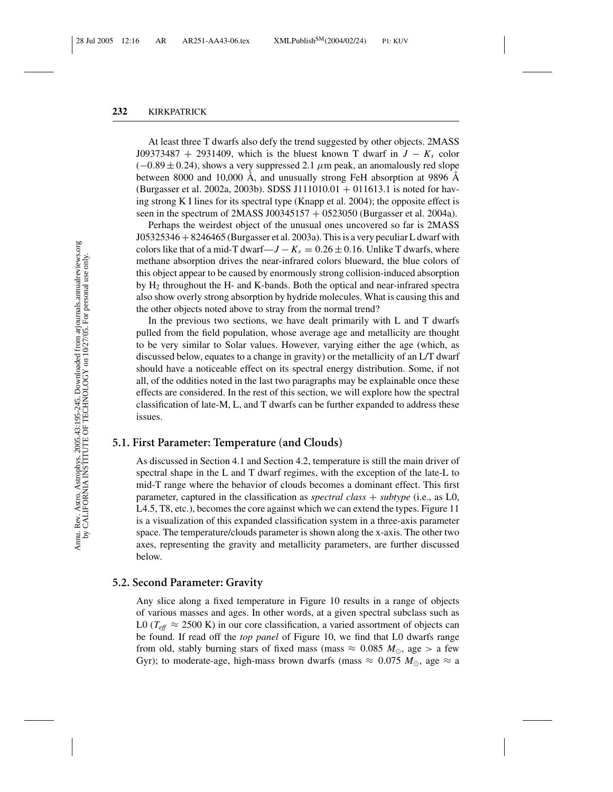At least three T dwarfs also defy the trend suggested by other objects. 2MASS J09373487 + 2931409, which is the bluest known T dwarf in *J* − *Ks* color  $(-0.89 \pm 0.24)$ , shows a very suppressed 2.1  $\mu$ m peak, an anomalously red slope between 8000 and 10,000 Å, and unusually strong FeH absorption at 9896 Å (Burgasser et al. 2002a, 2003b). SDSS J111010.01 + 011613.1 is noted for having strong K I lines for its spectral type (Knapp et al. 2004); the opposite effect is seen in the spectrum of 2MASS J00345157 + 0523050 (Burgasser et al. 2004a).

Perhaps the weirdest object of the unusual ones uncovered so far is 2MASS J05325346+8246465 (Burgasser et al. 2003a). This is a very peculiar L dwarf with colors like that of a mid-T dwarf— $J - K_s = 0.26 \pm 0.16$ . Unlike T dwarfs, where methane absorption drives the near-infrared colors blueward, the blue colors of this object appear to be caused by enormously strong collision-induced absorption by H2 throughout the H- and K-bands. Both the optical and near-infrared spectra also show overly strong absorption by hydride molecules. What is causing this and the other objects noted above to stray from the normal trend?

In the previous two sections, we have dealt primarily with  $L$  and  $T$  dwarfs pulled from the field population, whose average age and metallicity are thought to be very similar to Solar values. However, varying either the age (which, as discussed below, equates to a change in gravity) or the metallicity of an L/T dwarf should have a noticeable effect on its spectral energy distribution. Some, if not all, of the oddities noted in the last two paragraphs may be explainable once these effects are considered. In the rest of this section, we will explore how the spectral classification of late-M, L, and T dwarfs can be further expanded to address these issues.

# **5.1. First Parameter: Temperature (and Clouds)**

As discussed in Section 4.1 and Section 4.2, temperature is still the main driver of spectral shape in the L and T dwarf regimes, with the exception of the late-L to mid-T range where the behavior of clouds becomes a dominant effect. This first parameter, captured in the classification as *spectral class* + *subtype* (i.e., as L0, L4.5, T8, etc.), becomes the core against which we can extend the types. Figure 11 is a visualization of this expanded classification system in a three-axis parameter space. The temperature/clouds parameter is shown along the x-axis. The other two axes, representing the gravity and metallicity parameters, are further discussed below.

#### **5.2. Second Parameter: Gravity**

Any slice along a fixed temperature in Figure 10 results in a range of objects of various masses and ages. In other words, at a given spectral subclass such as L0 ( $T_{\text{eff}} \approx 2500 \text{ K}$ ) in our core classification, a varied assortment of objects can be found. If read off the *top panel* of Figure 10, we find that L0 dwarfs range from old, stably burning stars of fixed mass (mass  $\approx 0.085$   $M_{\odot}$ , age > a few Gyr); to moderate-age, high-mass brown dwarfs (mass  $\approx 0.075$   $M_{\odot}$ , age  $\approx$  a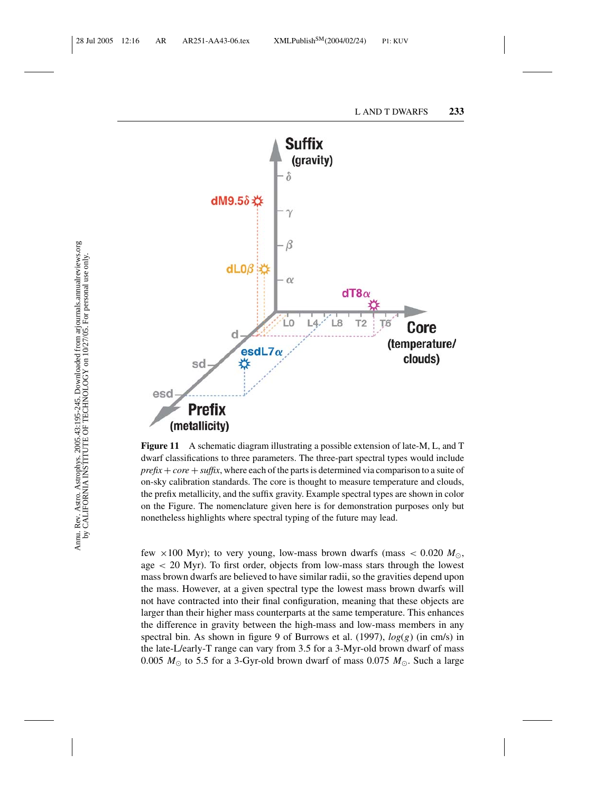

**Figure 11** A schematic diagram illustrating a possible extension of late-M, L, and T dwarf classifications to three parameters. The three-part spectral types would include  $\text{prefix} + \text{core} + \text{suffix}$ , where each of the parts is determined via comparison to a suite of on-sky calibration standards. The core is thought to measure temperature and clouds, the prefix metallicity, and the suffix gravity. Example spectral types are shown in color on the Figure. The nomenclature given here is for demonstration purposes only but nonetheless highlights where spectral typing of the future may lead.

few  $\times 100$  Myr); to very young, low-mass brown dwarfs (mass  $< 0.020$   $M_{\odot}$ , age < 20 Myr). To first order, objects from low-mass stars through the lowest mass brown dwarfs are believed to have similar radii, so the gravities depend upon the mass. However, at a given spectral type the lowest mass brown dwarfs will not have contracted into their final configuration, meaning that these objects are larger than their higher mass counterparts at the same temperature. This enhances the difference in gravity between the high-mass and low-mass members in any spectral bin. As shown in figure 9 of Burrows et al. (1997), *log*(*g*) (in cm/s) in the late-L/early-T range can vary from 3.5 for a 3-Myr-old brown dwarf of mass 0.005  $M_{\odot}$  to 5.5 for a 3-Gyr-old brown dwarf of mass 0.075  $M_{\odot}$ . Such a large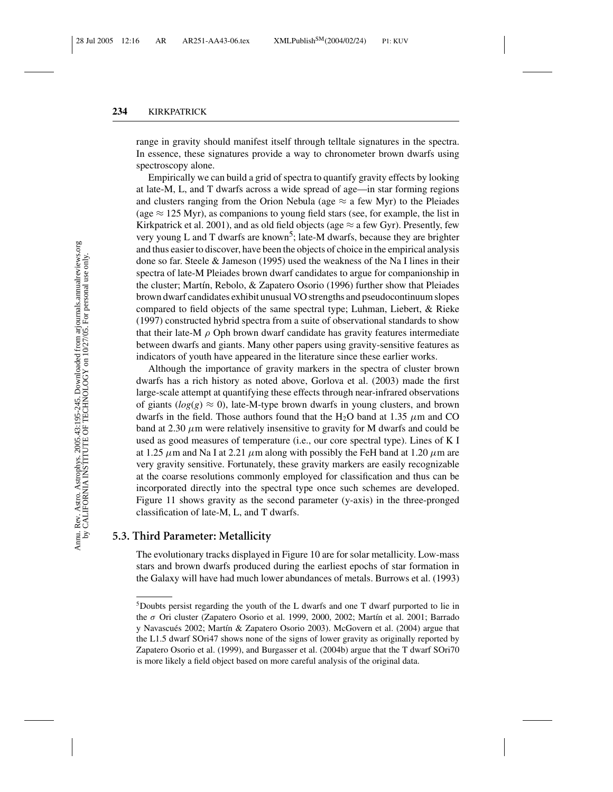range in gravity should manifest itself through telltale signatures in the spectra. In essence, these signatures provide a way to chronometer brown dwarfs using spectroscopy alone.

Empirically we can build a grid of spectra to quantify gravity effects by looking at late-M, L, and T dwarfs across a wide spread of age—in star forming regions and clusters ranging from the Orion Nebula (age  $\approx$  a few Myr) to the Pleiades (age  $\approx$  125 Myr), as companions to young field stars (see, for example, the list in Kirkpatrick et al. 2001), and as old field objects (age  $\approx$  a few Gyr). Presently, few very young L and T dwarfs are known<sup>5</sup>; late-M dwarfs, because they are brighter and thus easier to discover, have been the objects of choice in the empirical analysis done so far. Steele & Jameson (1995) used the weakness of the Na I lines in their spectra of late-M Pleiades brown dwarf candidates to argue for companionship in the cluster; Martín, Rebolo, & Zapatero Osorio (1996) further show that Pleiades brown dwarf candidates exhibit unusual VO strengths and pseudocontinuum slopes compared to field objects of the same spectral type; Luhman, Liebert, & Rieke (1997) constructed hybrid spectra from a suite of observational standards to show that their late-M  $\rho$  Oph brown dwarf candidate has gravity features intermediate between dwarfs and giants. Many other papers using gravity-sensitive features as indicators of youth have appeared in the literature since these earlier works.

Although the importance of gravity markers in the spectra of cluster brown dwarfs has a rich history as noted above, Gorlova et al. (2003) made the first large-scale attempt at quantifying these effects through near-infrared observations of giants ( $log(g) \approx 0$ ), late-M-type brown dwarfs in young clusters, and brown dwarfs in the field. Those authors found that the H<sub>2</sub>O band at 1.35  $\mu$ m and CO band at 2.30  $\mu$ m were relatively insensitive to gravity for M dwarfs and could be used as good measures of temperature (i.e., our core spectral type). Lines of K I at 1.25  $\mu$ m and Na I at 2.21  $\mu$ m along with possibly the FeH band at 1.20  $\mu$ m are very gravity sensitive. Fortunately, these gravity markers are easily recognizable at the coarse resolutions commonly employed for classification and thus can be incorporated directly into the spectral type once such schemes are developed. Figure 11 shows gravity as the second parameter (y-axis) in the three-pronged classification of late-M, L, and T dwarfs.

## **5.3. Third Parameter: Metallicity**

The evolutionary tracks displayed in Figure 10 are for solar metallicity. Low-mass stars and brown dwarfs produced during the earliest epochs of star formation in the Galaxy will have had much lower abundances of metals. Burrows et al. (1993)

<sup>5</sup>Doubts persist regarding the youth of the L dwarfs and one T dwarf purported to lie in the  $\sigma$  Ori cluster (Zapatero Osorio et al. 1999, 2000, 2002; Martín et al. 2001; Barrado y Navascués 2002; Martín & Zapatero Osorio 2003). McGovern et al. (2004) argue that the L1.5 dwarf SOri47 shows none of the signs of lower gravity as originally reported by Zapatero Osorio et al. (1999), and Burgasser et al. (2004b) argue that the T dwarf SOri70 is more likely a field object based on more careful analysis of the original data.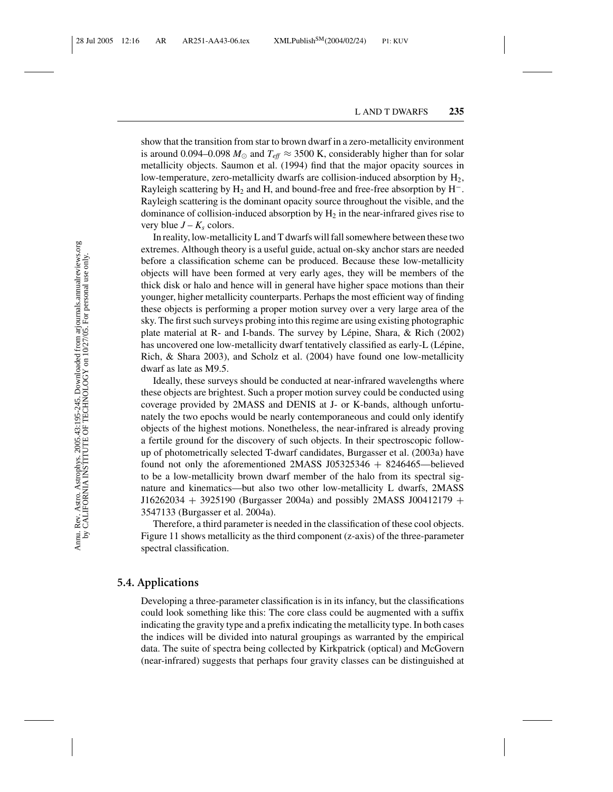show that the transition from star to brown dwarf in a zero-metallicity environment is around 0.094–0.098  $M_{\odot}$  and  $T_{\text{eff}} \approx 3500$  K, considerably higher than for solar metallicity objects. Saumon et al. (1994) find that the major opacity sources in low-temperature, zero-metallicity dwarfs are collision-induced absorption by  $H_2$ , Rayleigh scattering by  $H_2$  and H, and bound-free and free-free absorption by H<sup>-</sup>. Rayleigh scattering is the dominant opacity source throughout the visible, and the dominance of collision-induced absorption by  $H_2$  in the near-infrared gives rise to very blue  $J - K_s$  colors.

In reality, low-metallicity L and T dwarfs will fall somewhere between these two extremes. Although theory is a useful guide, actual on-sky anchor stars are needed before a classification scheme can be produced. Because these low-metallicity objects will have been formed at very early ages, they will be members of the thick disk or halo and hence will in general have higher space motions than their younger, higher metallicity counterparts. Perhaps the most efficient way of finding these objects is performing a proper motion survey over a very large area of the sky. The first such surveys probing into this regime are using existing photographic plate material at R- and I-bands. The survey by L´epine, Shara, & Rich (2002) has uncovered one low-metallicity dwarf tentatively classified as early-L (Lépine, Rich, & Shara 2003), and Scholz et al. (2004) have found one low-metallicity dwarf as late as M9.5.

Ideally, these surveys should be conducted at near-infrared wavelengths where these objects are brightest. Such a proper motion survey could be conducted using coverage provided by 2MASS and DENIS at J- or K-bands, although unfortunately the two epochs would be nearly contemporaneous and could only identify objects of the highest motions. Nonetheless, the near-infrared is already proving a fertile ground for the discovery of such objects. In their spectroscopic followup of photometrically selected T-dwarf candidates, Burgasser et al. (2003a) have found not only the aforementioned 2MASS J05325346 + 8246465—believed to be a low-metallicity brown dwarf member of the halo from its spectral signature and kinematics—but also two other low-metallicity L dwarfs, 2MASS J16262034 + 3925190 (Burgasser 2004a) and possibly 2MASS J00412179 + 3547133 (Burgasser et al. 2004a).

Therefore, a third parameter is needed in the classification of these cool objects. Figure 11 shows metallicity as the third component (z-axis) of the three-parameter spectral classification.

#### **5.4. Applications**

Developing a three-parameter classification is in its infancy, but the classifications could look something like this: The core class could be augmented with a suffix indicating the gravity type and a prefix indicating the metallicity type. In both cases the indices will be divided into natural groupings as warranted by the empirical data. The suite of spectra being collected by Kirkpatrick (optical) and McGovern (near-infrared) suggests that perhaps four gravity classes can be distinguished at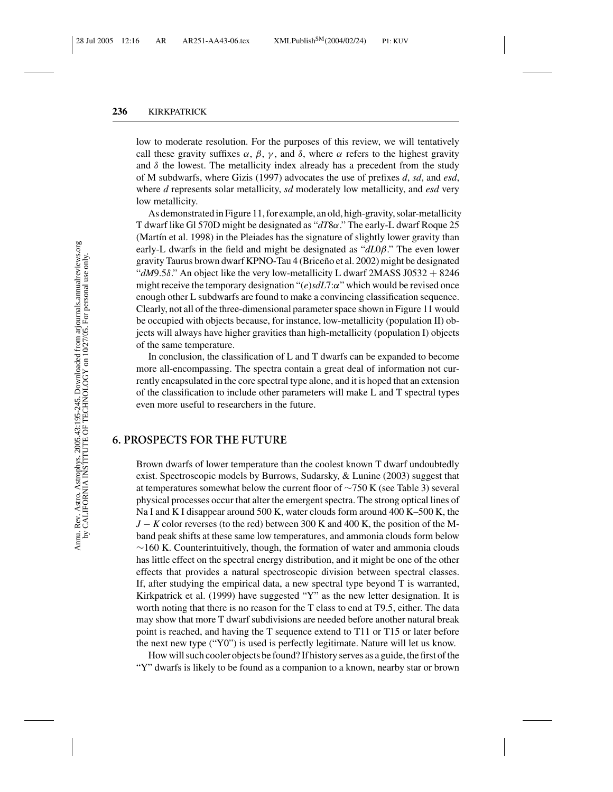low to moderate resolution. For the purposes of this review, we will tentatively call these gravity suffixes  $\alpha$ ,  $\beta$ ,  $\gamma$ , and  $\delta$ , where  $\alpha$  refers to the highest gravity and  $\delta$  the lowest. The metallicity index already has a precedent from the study of M subdwarfs, where Gizis (1997) advocates the use of prefixes *d*, *sd*, and *esd*, where *d* represents solar metallicity, *sd* moderately low metallicity, and *esd* very low metallicity.

As demonstrated in Figure 11, for example, an old, high-gravity, solar-metallicity T dwarf like Gl 570D might be designated as "*dT*8α." The early-L dwarf Roque 25 (Martín et al. 1998) in the Pleiades has the signature of slightly lower gravity than early-L dwarfs in the field and might be designated as "*dL*0β." The even lower gravity Taurus brown dwarf KPNO-Tau 4 (Briceño et al. 2002) might be designated " $dM9.5\delta$ ." An object like the very low-metallicity L dwarf 2MASS J0532  $+$  8246 might receive the temporary designation "(*e*)*sdL*7:α" which would be revised once enough other L subdwarfs are found to make a convincing classification sequence. Clearly, not all of the three-dimensional parameter space shown in Figure 11 would be occupied with objects because, for instance, low-metallicity (population II) objects will always have higher gravities than high-metallicity (population I) objects of the same temperature.

In conclusion, the classification of L and T dwarfs can be expanded to become more all-encompassing. The spectra contain a great deal of information not currently encapsulated in the core spectral type alone, and it is hoped that an extension of the classification to include other parameters will make L and T spectral types even more useful to researchers in the future.

## **6. PROSPECTS FOR THE FUTURE**

Brown dwarfs of lower temperature than the coolest known T dwarf undoubtedly exist. Spectroscopic models by Burrows, Sudarsky, & Lunine (2003) suggest that at temperatures somewhat below the current floor of ∼750 K (see Table 3) several physical processes occur that alter the emergent spectra. The strong optical lines of Na I and K I disappear around 500 K, water clouds form around 400 K–500 K, the *J* − *K* color reverses (to the red) between 300 K and 400 K, the position of the Mband peak shifts at these same low temperatures, and ammonia clouds form below  $~\sim$ 160 K. Counterintuitively, though, the formation of water and ammonia clouds has little effect on the spectral energy distribution, and it might be one of the other effects that provides a natural spectroscopic division between spectral classes. If, after studying the empirical data, a new spectral type beyond T is warranted, Kirkpatrick et al. (1999) have suggested "Y" as the new letter designation. It is worth noting that there is no reason for the T class to end at T9.5, either. The data may show that more T dwarf subdivisions are needed before another natural break point is reached, and having the T sequence extend to T11 or T15 or later before the next new type ("Y0") is used is perfectly legitimate. Nature will let us know.

How will such cooler objects be found? If history serves as a guide, the first of the "Y" dwarfs is likely to be found as a companion to a known, nearby star or brown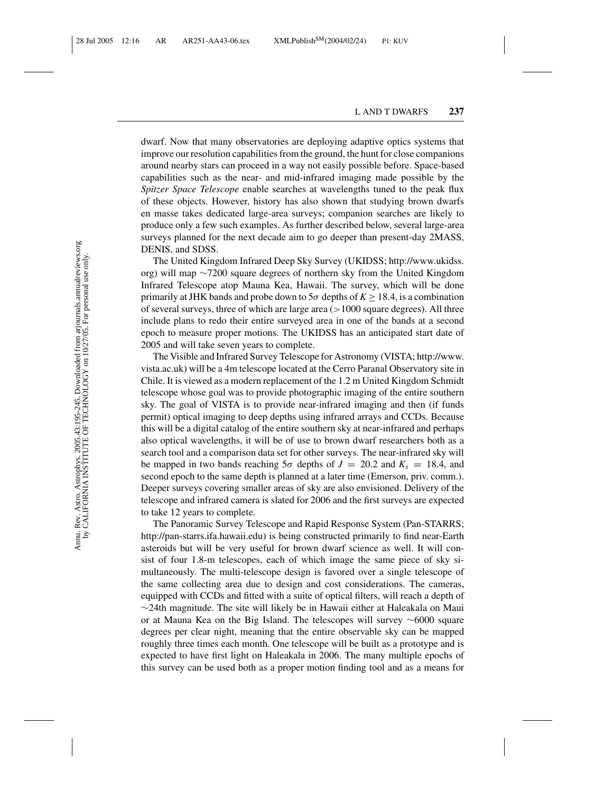dwarf. Now that many observatories are deploying adaptive optics systems that improve our resolution capabilities from the ground, the hunt for close companions around nearby stars can proceed in a way not easily possible before. Space-based capabilities such as the near- and mid-infrared imaging made possible by the *Spitzer Space Telescope* enable searches at wavelengths tuned to the peak flux of these objects. However, history has also shown that studying brown dwarfs en masse takes dedicated large-area surveys; companion searches are likely to produce only a few such examples. As further described below, several large-area surveys planned for the next decade aim to go deeper than present-day 2MASS, DENIS, and SDSS.

The United Kingdom Infrared Deep Sky Survey (UKIDSS; http://www.ukidss. org) will map ∼7200 square degrees of northern sky from the United Kingdom Infrared Telescope atop Mauna Kea, Hawaii. The survey, which will be done primarily at JHK bands and probe down to  $5\sigma$  depths of  $K \ge 18.4$ , is a combination of several surveys, three of which are large area  $(>1000$  square degrees). All three include plans to redo their entire surveyed area in one of the bands at a second epoch to measure proper motions. The UKIDSS has an anticipated start date of 2005 and will take seven years to complete.

The Visible and Infrared Survey Telescope for Astronomy (VISTA; http://www. vista.ac.uk) will be a 4m telescope located at the Cerro Paranal Observatory site in Chile. It is viewed as a modern replacement of the 1.2 m United Kingdom Schmidt telescope whose goal was to provide photographic imaging of the entire southern sky. The goal of VISTA is to provide near-infrared imaging and then (if funds permit) optical imaging to deep depths using infrared arrays and CCDs. Because this will be a digital catalog of the entire southern sky at near-infrared and perhaps also optical wavelengths, it will be of use to brown dwarf researchers both as a search tool and a comparison data set for other surveys. The near-infrared sky will be mapped in two bands reaching  $5\sigma$  depths of  $J = 20.2$  and  $K_s = 18.4$ , and second epoch to the same depth is planned at a later time (Emerson, priv. comm.). Deeper surveys covering smaller areas of sky are also envisioned. Delivery of the telescope and infrared camera is slated for 2006 and the first surveys are expected to take 12 years to complete.

The Panoramic Survey Telescope and Rapid Response System (Pan-STARRS; http://pan-starrs.ifa.hawaii.edu) is being constructed primarily to find near-Earth asteroids but will be very useful for brown dwarf science as well. It will consist of four 1.8-m telescopes, each of which image the same piece of sky simultaneously. The multi-telescope design is favored over a single telescope of the same collecting area due to design and cost considerations. The cameras, equipped with CCDs and fitted with a suite of optical filters, will reach a depth of ∼24th magnitude. The site will likely be in Hawaii either at Haleakala on Maui or at Mauna Kea on the Big Island. The telescopes will survey ∼6000 square degrees per clear night, meaning that the entire observable sky can be mapped roughly three times each month. One telescope will be built as a prototype and is expected to have first light on Haleakala in 2006. The many multiple epochs of this survey can be used both as a proper motion finding tool and as a means for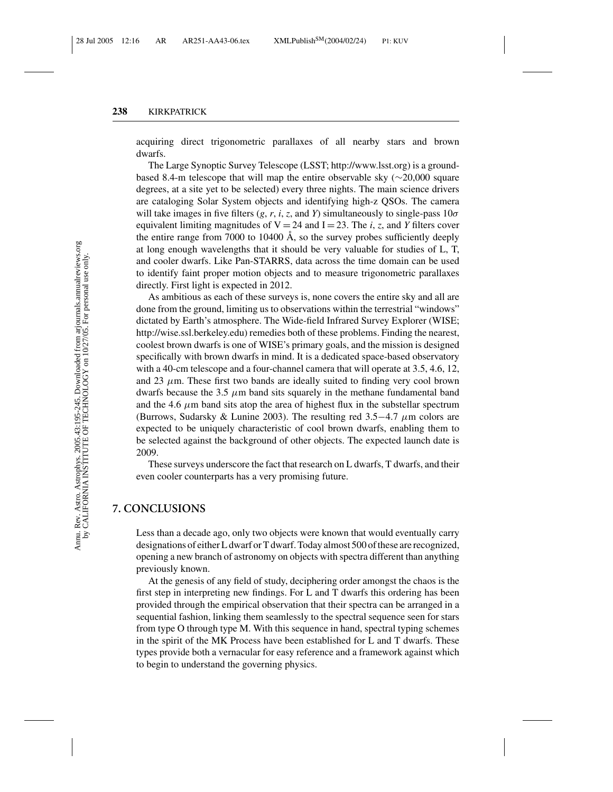acquiring direct trigonometric parallaxes of all nearby stars and brown dwarfs.

The Large Synoptic Survey Telescope (LSST; http://www.lsst.org) is a groundbased 8.4-m telescope that will map the entire observable sky (∼20,000 square degrees, at a site yet to be selected) every three nights. The main science drivers are cataloging Solar System objects and identifying high-z QSOs. The camera will take images in five filters  $(g, r, i, z,$  and  $Y$ ) simultaneously to single-pass  $10\sigma$ equivalent limiting magnitudes of  $V = 24$  and  $I = 23$ . The *i*, *z*, and *Y* filters cover the entire range from 7000 to 10400  $\AA$ , so the survey probes sufficiently deeply at long enough wavelengths that it should be very valuable for studies of L, T, and cooler dwarfs. Like Pan-STARRS, data across the time domain can be used to identify faint proper motion objects and to measure trigonometric parallaxes directly. First light is expected in 2012.

As ambitious as each of these surveys is, none covers the entire sky and all are done from the ground, limiting us to observations within the terrestrial "windows" dictated by Earth's atmosphere. The Wide-field Infrared Survey Explorer (WISE; http://wise.ssl.berkeley.edu) remedies both of these problems. Finding the nearest, coolest brown dwarfs is one of WISE's primary goals, and the mission is designed specifically with brown dwarfs in mind. It is a dedicated space-based observatory with a 40-cm telescope and a four-channel camera that will operate at 3.5, 4.6, 12, and 23  $\mu$ m. These first two bands are ideally suited to finding very cool brown dwarfs because the 3.5  $\mu$ m band sits squarely in the methane fundamental band and the 4.6  $\mu$ m band sits atop the area of highest flux in the substellar spectrum (Burrows, Sudarsky & Lunine 2003). The resulting red  $3.5-4.7 \mu$ m colors are expected to be uniquely characteristic of cool brown dwarfs, enabling them to be selected against the background of other objects. The expected launch date is 2009.

These surveys underscore the fact that research on L dwarfs, T dwarfs, and their even cooler counterparts has a very promising future.

# **7. CONCLUSIONS**

Less than a decade ago, only two objects were known that would eventually carry designations of either L dwarf or T dwarf. Today almost 500 of these are recognized, opening a new branch of astronomy on objects with spectra different than anything previously known.

At the genesis of any field of study, deciphering order amongst the chaos is the first step in interpreting new findings. For L and T dwarfs this ordering has been provided through the empirical observation that their spectra can be arranged in a sequential fashion, linking them seamlessly to the spectral sequence seen for stars from type O through type M. With this sequence in hand, spectral typing schemes in the spirit of the MK Process have been established for L and T dwarfs. These types provide both a vernacular for easy reference and a framework against which to begin to understand the governing physics.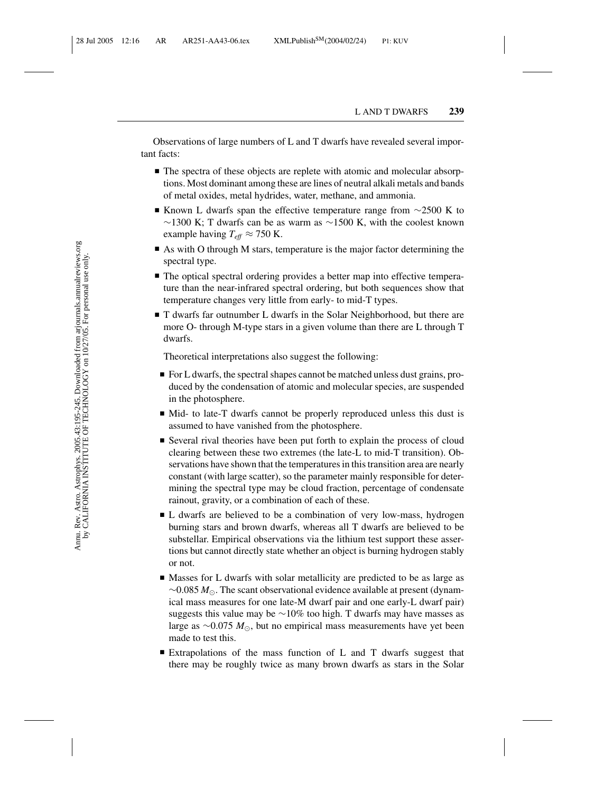Observations of large numbers of L and T dwarfs have revealed several important facts:

- The spectra of these objects are replete with atomic and molecular absorptions. Most dominant among these are lines of neutral alkali metals and bands of metal oxides, metal hydrides, water, methane, and ammonia.
- Known L dwarfs span the effective temperature range from  $\sim$ 2500 K to  $~\sim$ 1300 K; T dwarfs can be as warm as  $~\sim$ 1500 K, with the coolest known example having  $T_{\text{eff}} \approx 750 \text{ K}$ .
- As with O through M stars, temperature is the major factor determining the spectral type.
- The optical spectral ordering provides a better map into effective temperature than the near-infrared spectral ordering, but both sequences show that temperature changes very little from early- to mid-T types.
- T dwarfs far outnumber L dwarfs in the Solar Neighborhood, but there are more O- through M-type stars in a given volume than there are L through T dwarfs.

Theoretical interpretations also suggest the following:

- For L dwarfs, the spectral shapes cannot be matched unless dust grains, produced by the condensation of atomic and molecular species, are suspended in the photosphere.
- Mid- to late-T dwarfs cannot be properly reproduced unless this dust is assumed to have vanished from the photosphere.
- Several rival theories have been put forth to explain the process of cloud clearing between these two extremes (the late-L to mid-T transition). Observations have shown that the temperatures in this transition area are nearly constant (with large scatter), so the parameter mainly responsible for determining the spectral type may be cloud fraction, percentage of condensate rainout, gravity, or a combination of each of these.
- L dwarfs are believed to be a combination of very low-mass, hydrogen burning stars and brown dwarfs, whereas all T dwarfs are believed to be substellar. Empirical observations via the lithium test support these assertions but cannot directly state whether an object is burning hydrogen stably or not.
- Masses for L dwarfs with solar metallicity are predicted to be as large as ∼0.085 *M* . The scant observational evidence available at present (dynamical mass measures for one late-M dwarf pair and one early-L dwarf pair) suggests this value may be  $\sim$ 10% too high. T dwarfs may have masses as large as ∼0.075 *M*<sub>☉</sub>, but no empirical mass measurements have yet been made to test this.
- Extrapolations of the mass function of L and T dwarfs suggest that there may be roughly twice as many brown dwarfs as stars in the Solar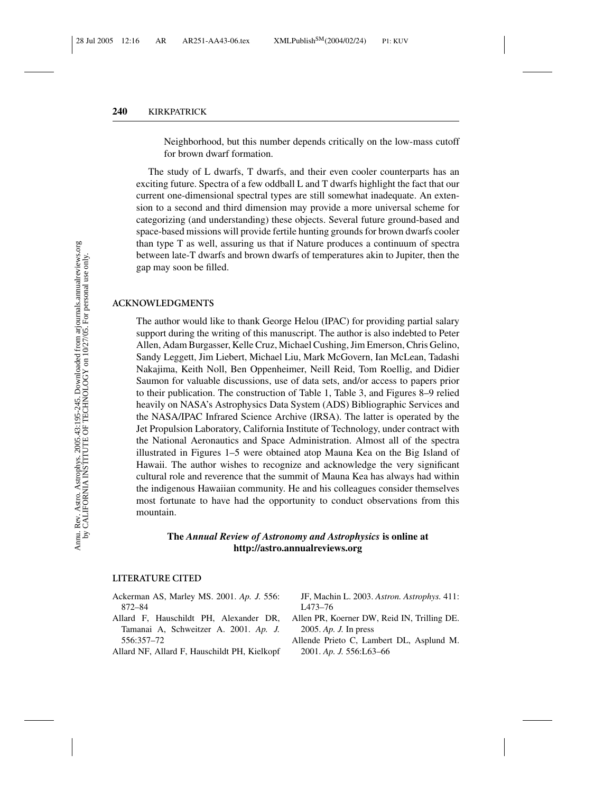Neighborhood, but this number depends critically on the low-mass cutoff for brown dwarf formation.

The study of L dwarfs, T dwarfs, and their even cooler counterparts has an exciting future. Spectra of a few oddball L and T dwarfs highlight the fact that our current one-dimensional spectral types are still somewhat inadequate. An extension to a second and third dimension may provide a more universal scheme for categorizing (and understanding) these objects. Several future ground-based and space-based missions will provide fertile hunting grounds for brown dwarfs cooler than type T as well, assuring us that if Nature produces a continuum of spectra between late-T dwarfs and brown dwarfs of temperatures akin to Jupiter, then the gap may soon be filled.

#### **ACKNOWLEDGMENTS**

The author would like to thank George Helou (IPAC) for providing partial salary support during the writing of this manuscript. The author is also indebted to Peter Allen, Adam Burgasser, Kelle Cruz, Michael Cushing, Jim Emerson, Chris Gelino, Sandy Leggett, Jim Liebert, Michael Liu, Mark McGovern, Ian McLean, Tadashi Nakajima, Keith Noll, Ben Oppenheimer, Neill Reid, Tom Roellig, and Didier Saumon for valuable discussions, use of data sets, and/or access to papers prior to their publication. The construction of Table 1, Table 3, and Figures 8–9 relied heavily on NASA's Astrophysics Data System (ADS) Bibliographic Services and the NASA/IPAC Infrared Science Archive (IRSA). The latter is operated by the Jet Propulsion Laboratory, California Institute of Technology, under contract with the National Aeronautics and Space Administration. Almost all of the spectra illustrated in Figures 1–5 were obtained atop Mauna Kea on the Big Island of Hawaii. The author wishes to recognize and acknowledge the very significant cultural role and reverence that the summit of Mauna Kea has always had within the indigenous Hawaiian community. He and his colleagues consider themselves most fortunate to have had the opportunity to conduct observations from this mountain.

#### **The** *Annual Review of Astronomy and Astrophysics* **is online at http://astro.annualreviews.org**

#### **LITERATURE CITED**

- Ackerman AS, Marley MS. 2001. *Ap. J.* 556: 872–84
- Allard F, Hauschildt PH, Alexander DR, Tamanai A, Schweitzer A. 2001. *Ap. J.* 556:357–72
- Allard NF, Allard F, Hauschildt PH, Kielkopf
- JF, Machin L. 2003. *Astron. Astrophys.* 411: L473–76
- Allen PR, Koerner DW, Reid IN, Trilling DE. 2005. *Ap. J.* In press
- Allende Prieto C, Lambert DL, Asplund M. 2001. *Ap. J.* 556:L63–66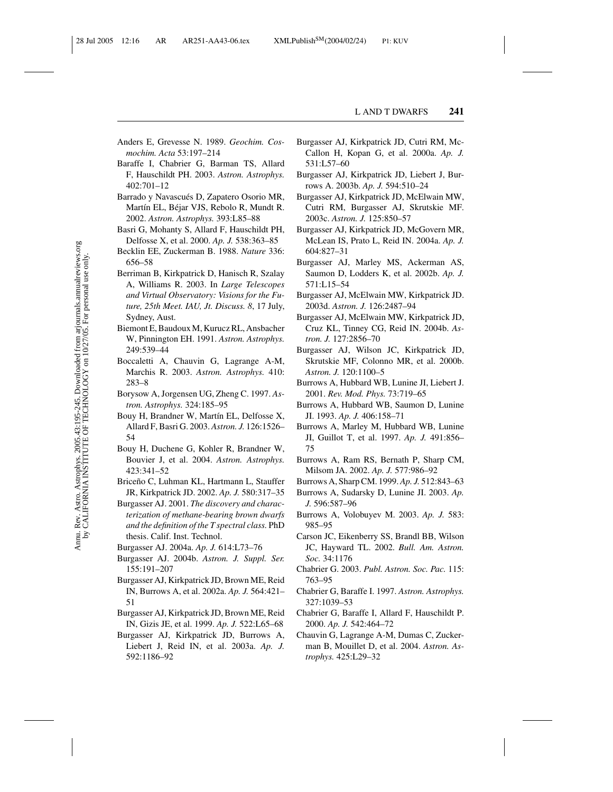- Anders E, Grevesse N. 1989. *Geochim. Cosmochim. Acta* 53:197–214
- Baraffe I, Chabrier G, Barman TS, Allard F, Hauschildt PH. 2003. *Astron. Astrophys.* 402:701–12
- Barrado y Navascués D, Zapatero Osorio MR, Martín EL, Béjar VJS, Rebolo R, Mundt R. 2002. *Astron. Astrophys.* 393:L85–88
- Basri G, Mohanty S, Allard F, Hauschildt PH, Delfosse X, et al. 2000. *Ap. J.* 538:363–85
- Becklin EE, Zuckerman B. 1988. *Nature* 336: 656–58
- Berriman B, Kirkpatrick D, Hanisch R, Szalay A, Williams R. 2003. In *Large Telescopes and Virtual Observatory: Visions for the Future, 25th Meet. IAU, Jt. Discuss. 8*, 17 July, Sydney, Aust.
- Biemont E, Baudoux M, Kurucz RL, Ansbacher W, Pinnington EH. 1991. *Astron. Astrophys.* 249:539–44
- Boccaletti A, Chauvin G, Lagrange A-M, Marchis R. 2003. *Astron. Astrophys.* 410: 283–8
- Borysow A, Jorgensen UG, Zheng C. 1997. *Astron. Astrophys.* 324:185–95
- Bouy H, Brandner W, Martín EL, Delfosse X, Allard F, Basri G. 2003. *Astron. J.* 126:1526– 54
- Bouy H, Duchene G, Kohler R, Brandner W, Bouvier J, et al. 2004. *Astron. Astrophys.* 423:341–52
- Briceño C, Luhman KL, Hartmann L, Stauffer JR, Kirkpatrick JD. 2002. *Ap. J.* 580:317–35
- Burgasser AJ. 2001. *The discovery and characterization of methane-bearing brown dwarfs and the definition of the T spectral class.* PhD thesis. Calif. Inst. Technol.
- Burgasser AJ. 2004a. *Ap. J.* 614:L73–76
- Burgasser AJ. 2004b. *Astron. J. Suppl. Ser.* 155:191–207
- Burgasser AJ, Kirkpatrick JD, Brown ME, Reid IN, Burrows A, et al. 2002a. *Ap. J.* 564:421– 51
- Burgasser AJ, Kirkpatrick JD, Brown ME, Reid IN, Gizis JE, et al. 1999. *Ap. J.* 522:L65–68
- Burgasser AJ, Kirkpatrick JD, Burrows A, Liebert J, Reid IN, et al. 2003a. *Ap. J.* 592:1186–92
- Burgasser AJ, Kirkpatrick JD, Cutri RM, Mc-Callon H, Kopan G, et al. 2000a. *Ap. J.* 531:L57–60
- Burgasser AJ, Kirkpatrick JD, Liebert J, Burrows A. 2003b. *Ap. J.* 594:510–24
- Burgasser AJ, Kirkpatrick JD, McElwain MW, Cutri RM, Burgasser AJ, Skrutskie MF. 2003c. *Astron. J.* 125:850–57
- Burgasser AJ, Kirkpatrick JD, McGovern MR, McLean IS, Prato L, Reid IN. 2004a. *Ap. J.* 604:827–31
- Burgasser AJ, Marley MS, Ackerman AS, Saumon D, Lodders K, et al. 2002b. *Ap. J.* 571:L15–54
- Burgasser AJ, McElwain MW, Kirkpatrick JD. 2003d. *Astron. J.* 126:2487–94
- Burgasser AJ, McElwain MW, Kirkpatrick JD, Cruz KL, Tinney CG, Reid IN. 2004b. *Astron. J.* 127:2856–70
- Burgasser AJ, Wilson JC, Kirkpatrick JD, Skrutskie MF, Colonno MR, et al. 2000b. *Astron. J.* 120:1100–5
- Burrows A, Hubbard WB, Lunine JI, Liebert J. 2001. *Rev. Mod. Phys.* 73:719–65
- Burrows A, Hubbard WB, Saumon D, Lunine JI. 1993. *Ap. J.* 406:158–71
- Burrows A, Marley M, Hubbard WB, Lunine JI, Guillot T, et al. 1997. *Ap. J.* 491:856– 75
- Burrows A, Ram RS, Bernath P, Sharp CM, Milsom JA. 2002. *Ap. J.* 577:986–92
- Burrows A, Sharp CM. 1999. *Ap. J.* 512:843–63
- Burrows A, Sudarsky D, Lunine JI. 2003. *Ap. J.* 596:587–96
- Burrows A, Volobuyev M. 2003. *Ap. J.* 583: 985–95
- Carson JC, Eikenberry SS, Brandl BB, Wilson JC, Hayward TL. 2002. *Bull. Am. Astron. Soc.* 34:1176
- Chabrier G. 2003. *Publ. Astron. Soc. Pac.* 115: 763–95
- Chabrier G, Baraffe I. 1997. *Astron. Astrophys.* 327:1039–53
- Chabrier G, Baraffe I, Allard F, Hauschildt P. 2000. *Ap. J.* 542:464–72
- Chauvin G, Lagrange A-M, Dumas C, Zuckerman B, Mouillet D, et al. 2004. *Astron. Astrophys.* 425:L29–32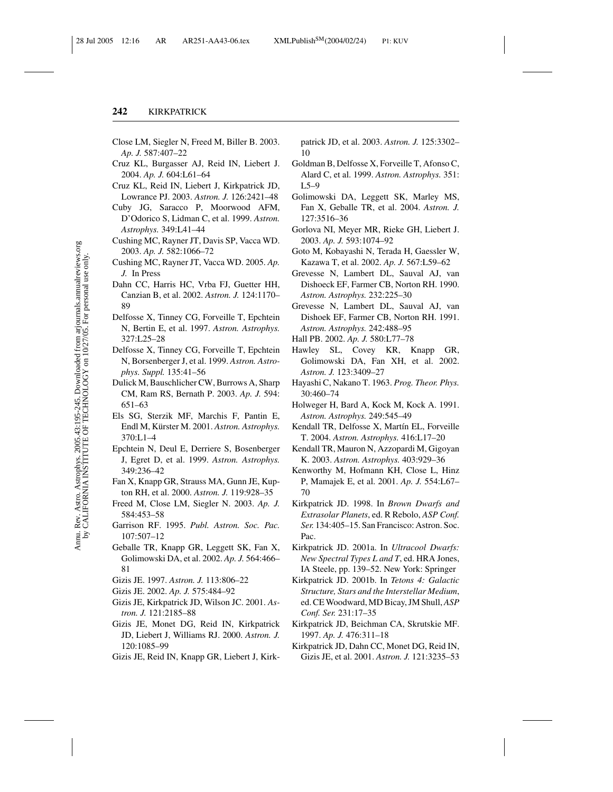- Close LM, Siegler N, Freed M, Biller B. 2003. *Ap. J.* 587:407–22
- Cruz KL, Burgasser AJ, Reid IN, Liebert J. 2004. *Ap. J.* 604:L61–64
- Cruz KL, Reid IN, Liebert J, Kirkpatrick JD, Lowrance PJ. 2003. *Astron. J.* 126:2421–48
- Cuby JG, Saracco P, Moorwood AFM, D'Odorico S, Lidman C, et al. 1999. *Astron. Astrophys.* 349:L41–44
- Cushing MC, Rayner JT, Davis SP, Vacca WD. 2003. *Ap. J.* 582:1066–72
- Cushing MC, Rayner JT, Vacca WD. 2005. *Ap. J.* In Press
- Dahn CC, Harris HC, Vrba FJ, Guetter HH, Canzian B, et al. 2002. *Astron. J.* 124:1170– 89
- Delfosse X, Tinney CG, Forveille T, Epchtein N, Bertin E, et al. 1997. *Astron. Astrophys.* 327:L25–28
- Delfosse X, Tinney CG, Forveille T, Epchtein N, Borsenberger J, et al. 1999. *Astron. Astrophys. Suppl.* 135:41–56
- Dulick M, Bauschlicher CW, Burrows A, Sharp CM, Ram RS, Bernath P. 2003. *Ap. J.* 594: 651–63
- Els SG, Sterzik MF, Marchis F, Pantin E, Endl M, Kürster M. 2001. Astron. Astrophys. 370:L1–4
- Epchtein N, Deul E, Derriere S, Bosenberger J, Egret D, et al. 1999. *Astron. Astrophys.* 349:236–42
- Fan X, Knapp GR, Strauss MA, Gunn JE, Kupton RH, et al. 2000. *Astron. J.* 119:928–35
- Freed M, Close LM, Siegler N. 2003. *Ap. J.* 584:453–58
- Garrison RF. 1995. *Publ. Astron. Soc. Pac.* 107:507–12
- Geballe TR, Knapp GR, Leggett SK, Fan X, Golimowski DA, et al. 2002. *Ap. J.* 564:466– 81
- Gizis JE. 1997. *Astron. J.* 113:806–22
- Gizis JE. 2002. *Ap. J.* 575:484–92
- Gizis JE, Kirkpatrick JD, Wilson JC. 2001. *Astron. J.* 121:2185–88
- Gizis JE, Monet DG, Reid IN, Kirkpatrick JD, Liebert J, Williams RJ. 2000. *Astron. J.* 120:1085–99
- Gizis JE, Reid IN, Knapp GR, Liebert J, Kirk-

patrick JD, et al. 2003. *Astron. J.* 125:3302– 10

- Goldman B, Delfosse X, Forveille T, Afonso C, Alard C, et al. 1999. *Astron. Astrophys.* 351: L5–9
- Golimowski DA, Leggett SK, Marley MS, Fan X, Geballe TR, et al. 2004. *Astron. J.* 127:3516–36
- Gorlova NI, Meyer MR, Rieke GH, Liebert J. 2003. *Ap. J.* 593:1074–92
- Goto M, Kobayashi N, Terada H, Gaessler W, Kazawa T, et al. 2002. *Ap. J.* 567:L59–62
- Grevesse N, Lambert DL, Sauval AJ, van Dishoeck EF, Farmer CB, Norton RH. 1990. *Astron. Astrophys.* 232:225–30
- Grevesse N, Lambert DL, Sauval AJ, van Dishoek EF, Farmer CB, Norton RH. 1991. *Astron. Astrophys.* 242:488–95
- Hall PB. 2002. *Ap. J.* 580:L77–78
- Hawley SL, Covey KR, Knapp GR, Golimowski DA, Fan XH, et al. 2002. *Astron. J.* 123:3409–27
- Hayashi C, Nakano T. 1963. *Prog. Theor. Phys.* 30:460–74
- Holweger H, Bard A, Kock M, Kock A. 1991. *Astron. Astrophys.* 249:545–49
- Kendall TR, Delfosse X, Martín EL, Forveille T. 2004. *Astron. Astrophys.* 416:L17–20
- Kendall TR, Mauron N, Azzopardi M, Gigoyan K. 2003. *Astron. Astrophys.* 403:929–36
- Kenworthy M, Hofmann KH, Close L, Hinz P, Mamajek E, et al. 2001. *Ap. J.* 554:L67– 70
- Kirkpatrick JD. 1998. In *Brown Dwarfs and Extrasolar Planets*, ed. R Rebolo, *ASP Conf. Ser.* 134:405–15. San Francisco: Astron. Soc. Pac.
- Kirkpatrick JD. 2001a. In *Ultracool Dwarfs: New Spectral Types L and T*, ed. HRA Jones, IA Steele, pp. 139–52. New York: Springer
- Kirkpatrick JD. 2001b. In *Tetons 4: Galactic Structure, Stars and the Interstellar Medium*, ed. CE Woodward, MD Bicay, JM Shull, *ASP Conf. Ser.* 231:17–35
- Kirkpatrick JD, Beichman CA, Skrutskie MF. 1997. *Ap. J.* 476:311–18
- Kirkpatrick JD, Dahn CC, Monet DG, Reid IN, Gizis JE, et al. 2001. *Astron. J.* 121:3235–53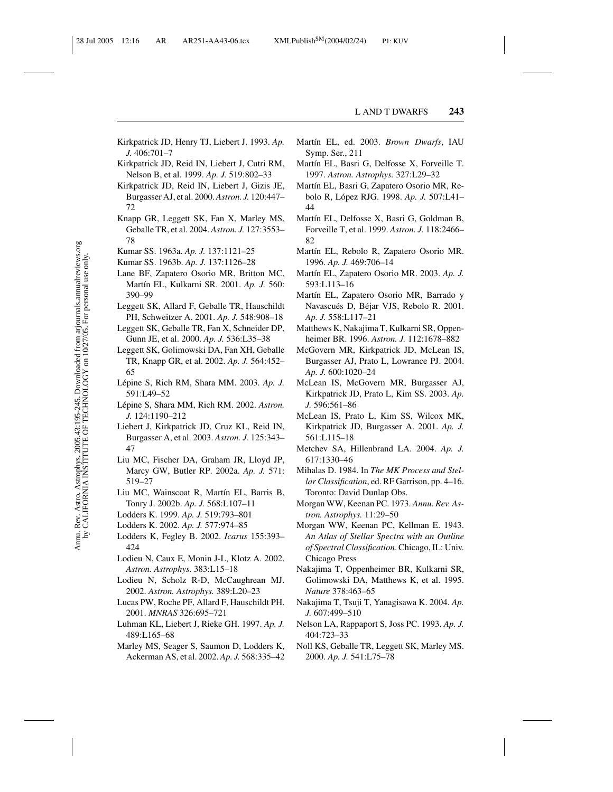- Kirkpatrick JD, Henry TJ, Liebert J. 1993. *Ap. J.* 406:701–7
- Kirkpatrick JD, Reid IN, Liebert J, Cutri RM, Nelson B, et al. 1999. *Ap. J.* 519:802–33
- Kirkpatrick JD, Reid IN, Liebert J, Gizis JE, Burgasser AJ, et al. 2000.*Astron. J.* 120:447– 72
- Knapp GR, Leggett SK, Fan X, Marley MS, Geballe TR, et al. 2004. *Astron. J.* 127:3553– 78
- Kumar SS. 1963a. *Ap. J.* 137:1121–25
- Kumar SS. 1963b. *Ap. J.* 137:1126–28
- Lane BF, Zapatero Osorio MR, Britton MC, Martín EL, Kulkarni SR. 2001. *Ap. J.* 560: 390–99
- Leggett SK, Allard F, Geballe TR, Hauschildt PH, Schweitzer A. 2001. *Ap. J.* 548:908–18
- Leggett SK, Geballe TR, Fan X, Schneider DP, Gunn JE, et al. 2000. *Ap. J.* 536:L35–38
- Leggett SK, Golimowski DA, Fan XH, Geballe TR, Knapp GR, et al. 2002. *Ap. J.* 564:452– 65
- L´epine S, Rich RM, Shara MM. 2003. *Ap. J.* 591:L49–52
- Lépine S, Shara MM, Rich RM. 2002. Astron. *J.* 124:1190–212
- Liebert J, Kirkpatrick JD, Cruz KL, Reid IN, Burgasser A, et al. 2003. *Astron. J.* 125:343– 47
- Liu MC, Fischer DA, Graham JR, Lloyd JP, Marcy GW, Butler RP. 2002a. *Ap. J.* 571: 519–27
- Liu MC, Wainscoat R, Martín EL, Barris B, Tonry J. 2002b. *Ap. J.* 568:L107–11
- Lodders K. 1999. *Ap. J.* 519:793–801
- Lodders K. 2002. *Ap. J.* 577:974–85
- Lodders K, Fegley B. 2002. *Icarus* 155:393– 424
- Lodieu N, Caux E, Monin J-L, Klotz A. 2002. *Astron. Astrophys.* 383:L15–18
- Lodieu N, Scholz R-D, McCaughrean MJ. 2002. *Astron. Astrophys.* 389:L20–23
- Lucas PW, Roche PF, Allard F, Hauschildt PH. 2001. *MNRAS* 326:695–721
- Luhman KL, Liebert J, Rieke GH. 1997. *Ap. J.* 489:L165–68
- Marley MS, Seager S, Saumon D, Lodders K, Ackerman AS, et al. 2002. *Ap. J.* 568:335–42
- Martín EL, ed. 2003. *Brown Dwarfs*, IAU Symp. Ser., 211
- Martín EL, Basri G, Delfosse X, Forveille T. 1997. *Astron. Astrophys.* 327:L29–32
- Martín EL, Basri G, Zapatero Osorio MR, Rebolo R, L´opez RJG. 1998. *Ap. J.* 507:L41– 44
- Martín EL, Delfosse X, Basri G, Goldman B, Forveille T, et al. 1999. *Astron. J.* 118:2466– 82
- Martín EL, Rebolo R, Zapatero Osorio MR. 1996. *Ap. J.* 469:706–14
- Martín EL, Zapatero Osorio MR. 2003. Ap. J. 593:L113–16
- Martín EL, Zapatero Osorio MR, Barrado y Navascués D, Béjar VJS, Rebolo R. 2001. *Ap. J.* 558:L117–21
- Matthews K, Nakajima T, Kulkarni SR, Oppenheimer BR. 1996. *Astron. J.* 112:1678–882
- McGovern MR, Kirkpatrick JD, McLean IS, Burgasser AJ, Prato L, Lowrance PJ. 2004. *Ap. J.* 600:1020–24
- McLean IS, McGovern MR, Burgasser AJ, Kirkpatrick JD, Prato L, Kim SS. 2003. *Ap. J.* 596:561–86
- McLean IS, Prato L, Kim SS, Wilcox MK, Kirkpatrick JD, Burgasser A. 2001. *Ap. J.* 561:L115–18
- Metchev SA, Hillenbrand LA. 2004. *Ap. J.* 617:1330–46
- Mihalas D. 1984. In *The MK Process and Stellar Classification*, ed. RF Garrison, pp. 4–16. Toronto: David Dunlap Obs.
- Morgan WW, Keenan PC. 1973. *Annu. Rev. Astron. Astrophys.* 11:29–50
- Morgan WW, Keenan PC, Kellman E. 1943. *An Atlas of Stellar Spectra with an Outline of Spectral Classification*. Chicago, IL: Univ. Chicago Press
- Nakajima T, Oppenheimer BR, Kulkarni SR, Golimowski DA, Matthews K, et al. 1995. *Nature* 378:463–65
- Nakajima T, Tsuji T, Yanagisawa K. 2004. *Ap. J.* 607:499–510
- Nelson LA, Rappaport S, Joss PC. 1993. *Ap. J.* 404:723–33
- Noll KS, Geballe TR, Leggett SK, Marley MS. 2000. *Ap. J.* 541:L75–78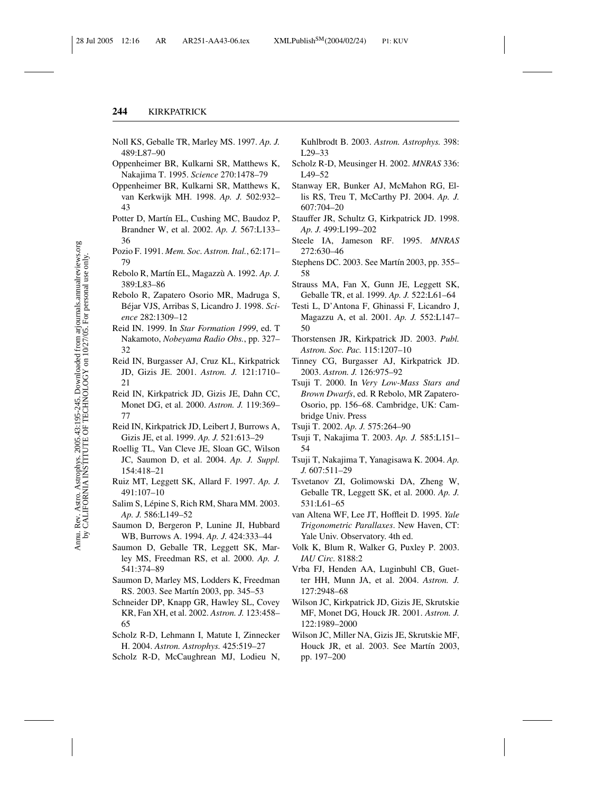- Noll KS, Geballe TR, Marley MS. 1997. *Ap. J.* 489:L87–90
- Oppenheimer BR, Kulkarni SR, Matthews K, Nakajima T. 1995. *Science* 270:1478–79
- Oppenheimer BR, Kulkarni SR, Matthews K, van Kerkwijk MH. 1998. *Ap. J.* 502:932– 43
- Potter D, Martín EL, Cushing MC, Baudoz P, Brandner W, et al. 2002. *Ap. J.* 567:L133– 36
- Pozio F. 1991. *Mem. Soc. Astron. Ital.*, 62:171– 79
- Rebolo R, Martín EL, Magazzù A. 1992. Ap. J. 389:L83–86
- Rebolo R, Zapatero Osorio MR, Madruga S, Béjar VJS, Arribas S, Licandro J. 1998. Sci*ence* 282:1309–12
- Reid IN. 1999. In *Star Formation 1999*, ed. T Nakamoto, *Nobeyama Radio Obs.*, pp. 327– 32
- Reid IN, Burgasser AJ, Cruz KL, Kirkpatrick JD, Gizis JE. 2001. *Astron. J.* 121:1710– 21
- Reid IN, Kirkpatrick JD, Gizis JE, Dahn CC, Monet DG, et al. 2000. *Astron. J.* 119:369– 77
- Reid IN, Kirkpatrick JD, Leibert J, Burrows A, Gizis JE, et al. 1999. *Ap. J.* 521:613–29
- Roellig TL, Van Cleve JE, Sloan GC, Wilson JC, Saumon D, et al. 2004. *Ap. J. Suppl.* 154:418–21
- Ruiz MT, Leggett SK, Allard F. 1997. *Ap. J.* 491:107–10
- Salim S, Lépine S, Rich RM, Shara MM. 2003. *Ap. J.* 586:L149–52
- Saumon D, Bergeron P, Lunine JI, Hubbard WB, Burrows A. 1994. *Ap. J.* 424:333–44
- Saumon D, Geballe TR, Leggett SK, Marley MS, Freedman RS, et al. 2000. *Ap. J.* 541:374–89
- Saumon D, Marley MS, Lodders K, Freedman RS. 2003. See Martín 2003, pp. 345–53
- Schneider DP, Knapp GR, Hawley SL, Covey KR, Fan XH, et al. 2002. *Astron. J.* 123:458– 65
- Scholz R-D, Lehmann I, Matute I, Zinnecker H. 2004. *Astron. Astrophys.* 425:519–27
- Scholz R-D, McCaughrean MJ, Lodieu N,

Kuhlbrodt B. 2003. *Astron. Astrophys.* 398: L29–33

- Scholz R-D, Meusinger H. 2002. *MNRAS* 336: L49–52
- Stanway ER, Bunker AJ, McMahon RG, Ellis RS, Treu T, McCarthy PJ. 2004. *Ap. J.* 607:704–20
- Stauffer JR, Schultz G, Kirkpatrick JD. 1998. *Ap. J.* 499:L199–202
- Steele IA, Jameson RF. 1995. *MNRAS* 272:630–46
- Stephens DC. 2003. See Martín 2003, pp. 355– 58
- Strauss MA, Fan X, Gunn JE, Leggett SK, Geballe TR, et al. 1999. *Ap. J.* 522:L61–64
- Testi L, D'Antona F, Ghinassi F, Licandro J, Magazzu A, et al. 2001. *Ap. J.* 552:L147– 50
- Thorstensen JR, Kirkpatrick JD. 2003. *Publ. Astron. Soc. Pac.* 115:1207–10
- Tinney CG, Burgasser AJ, Kirkpatrick JD. 2003. *Astron. J.* 126:975–92
- Tsuji T. 2000. In *Very Low-Mass Stars and Brown Dwarfs*, ed. R Rebolo, MR Zapatero-Osorio, pp. 156–68. Cambridge, UK: Cambridge Univ. Press
- Tsuji T. 2002. *Ap. J.* 575:264–90
- Tsuji T, Nakajima T. 2003. *Ap. J.* 585:L151– 54
- Tsuji T, Nakajima T, Yanagisawa K. 2004. *Ap. J.* 607:511–29
- Tsvetanov ZI, Golimowski DA, Zheng W, Geballe TR, Leggett SK, et al. 2000. *Ap. J.* 531:L61–65
- van Altena WF, Lee JT, Hoffleit D. 1995. *Yale Trigonometric Parallaxes*. New Haven, CT: Yale Univ. Observatory. 4th ed.
- Volk K, Blum R, Walker G, Puxley P. 2003. *IAU Circ.* 8188:2
- Vrba FJ, Henden AA, Luginbuhl CB, Guetter HH, Munn JA, et al. 2004. *Astron. J.* 127:2948–68
- Wilson JC, Kirkpatrick JD, Gizis JE, Skrutskie MF, Monet DG, Houck JR. 2001. *Astron. J.* 122:1989–2000
- Wilson JC, Miller NA, Gizis JE, Skrutskie MF, Houck JR, et al. 2003. See Martín 2003, pp. 197–200